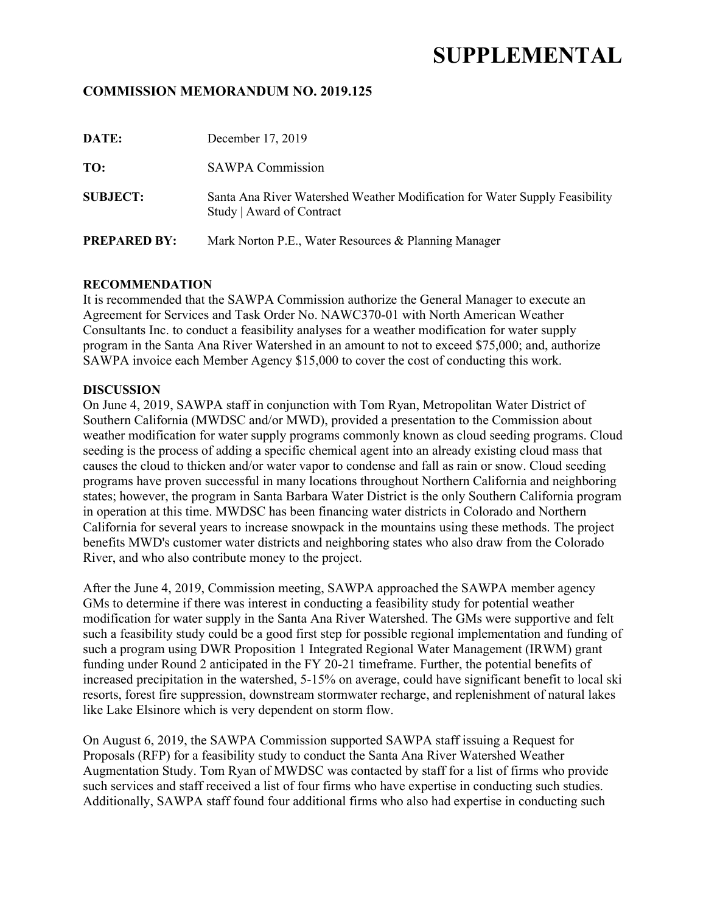# **SUPPLEMENTAL**

## **COMMISSION MEMORANDUM NO. 2019.125**

| DATE:               | December 17, 2019                                                                                        |
|---------------------|----------------------------------------------------------------------------------------------------------|
| TO:                 | <b>SAWPA Commission</b>                                                                                  |
| <b>SUBJECT:</b>     | Santa Ana River Watershed Weather Modification for Water Supply Feasibility<br>Study   Award of Contract |
| <b>PREPARED BY:</b> | Mark Norton P.E., Water Resources & Planning Manager                                                     |

#### **RECOMMENDATION**

It is recommended that the SAWPA Commission authorize the General Manager to execute an Agreement for Services and Task Order No. NAWC370-01 with North American Weather Consultants Inc. to conduct a feasibility analyses for a weather modification for water supply program in the Santa Ana River Watershed in an amount to not to exceed \$75,000; and, authorize SAWPA invoice each Member Agency \$15,000 to cover the cost of conducting this work.

#### **DISCUSSION**

On June 4, 2019, SAWPA staff in conjunction with Tom Ryan, Metropolitan Water District of Southern California (MWDSC and/or MWD), provided a presentation to the Commission about weather modification for water supply programs commonly known as cloud seeding programs. Cloud seeding is the process of adding a specific chemical agent into an already existing cloud mass that causes the cloud to thicken and/or water vapor to condense and fall as rain or snow. Cloud seeding programs have proven successful in many locations throughout Northern California and neighboring states; however, the program in Santa Barbara Water District is the only Southern California program in operation at this time. MWDSC has been financing water districts in Colorado and Northern California for several years to increase snowpack in the mountains using these methods. The project benefits MWD's customer water districts and neighboring states who also draw from the Colorado River, and who also contribute money to the project.

After the June 4, 2019, Commission meeting, SAWPA approached the SAWPA member agency GMs to determine if there was interest in conducting a feasibility study for potential weather modification for water supply in the Santa Ana River Watershed. The GMs were supportive and felt such a feasibility study could be a good first step for possible regional implementation and funding of such a program using DWR Proposition 1 Integrated Regional Water Management (IRWM) grant funding under Round 2 anticipated in the FY 20-21 timeframe. Further, the potential benefits of increased precipitation in the watershed, 5-15% on average, could have significant benefit to local ski resorts, forest fire suppression, downstream stormwater recharge, and replenishment of natural lakes like Lake Elsinore which is very dependent on storm flow.

On August 6, 2019, the SAWPA Commission supported SAWPA staff issuing a Request for Proposals (RFP) for a feasibility study to conduct the Santa Ana River Watershed Weather Augmentation Study. Tom Ryan of MWDSC was contacted by staff for a list of firms who provide such services and staff received a list of four firms who have expertise in conducting such studies. Additionally, SAWPA staff found four additional firms who also had expertise in conducting such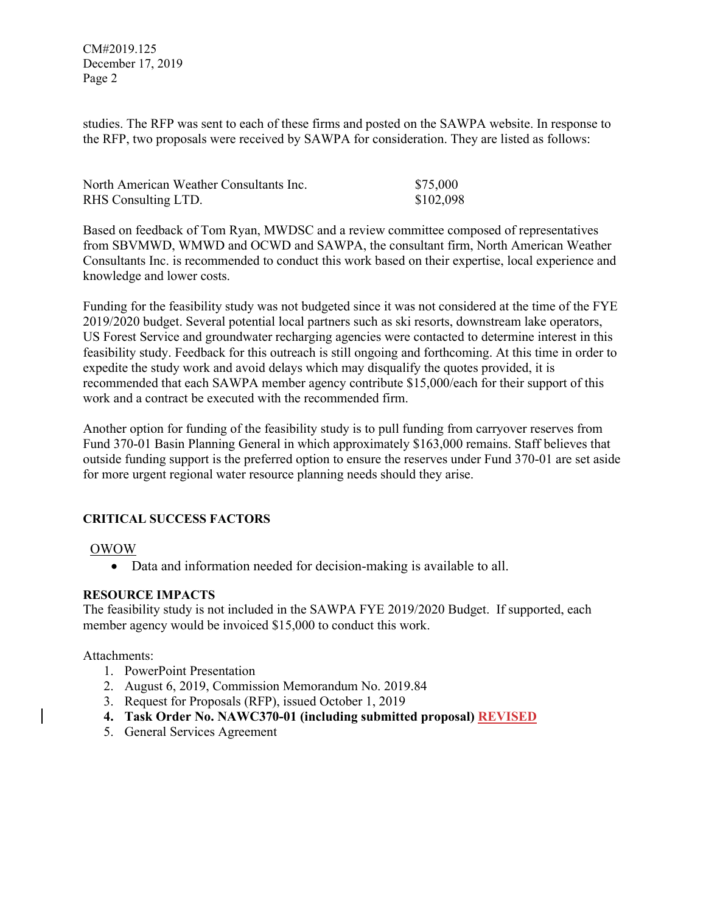CM#2019.125 December 17, 2019 Page 2

studies. The RFP was sent to each of these firms and posted on the SAWPA website. In response to the RFP, two proposals were received by SAWPA for consideration. They are listed as follows:

| North American Weather Consultants Inc. | \$75,000  |
|-----------------------------------------|-----------|
| RHS Consulting LTD.                     | \$102,098 |

Based on feedback of Tom Ryan, MWDSC and a review committee composed of representatives from SBVMWD, WMWD and OCWD and SAWPA, the consultant firm, North American Weather Consultants Inc. is recommended to conduct this work based on their expertise, local experience and knowledge and lower costs.

Funding for the feasibility study was not budgeted since it was not considered at the time of the FYE 2019/2020 budget. Several potential local partners such as ski resorts, downstream lake operators, US Forest Service and groundwater recharging agencies were contacted to determine interest in this feasibility study. Feedback for this outreach is still ongoing and forthcoming. At this time in order to expedite the study work and avoid delays which may disqualify the quotes provided, it is recommended that each SAWPA member agency contribute \$15,000/each for their support of this work and a contract be executed with the recommended firm.

Another option for funding of the feasibility study is to pull funding from carryover reserves from Fund 370-01 Basin Planning General in which approximately \$163,000 remains. Staff believes that outside funding support is the preferred option to ensure the reserves under Fund 370-01 are set aside for more urgent regional water resource planning needs should they arise.

## **CRITICAL SUCCESS FACTORS**

#### OWOW

• Data and information needed for decision-making is available to all.

#### **RESOURCE IMPACTS**

The feasibility study is not included in the SAWPA FYE 2019/2020 Budget. If supported, each member agency would be invoiced \$15,000 to conduct this work.

#### Attachments:

- 1. PowerPoint Presentation
- 2. August 6, 2019, Commission Memorandum No. 2019.84
- 3. Request for Proposals (RFP), issued October 1, 2019
- **4. Task Order No. NAWC370-01 (including submitted proposal) REVISED**
- 5. General Services Agreement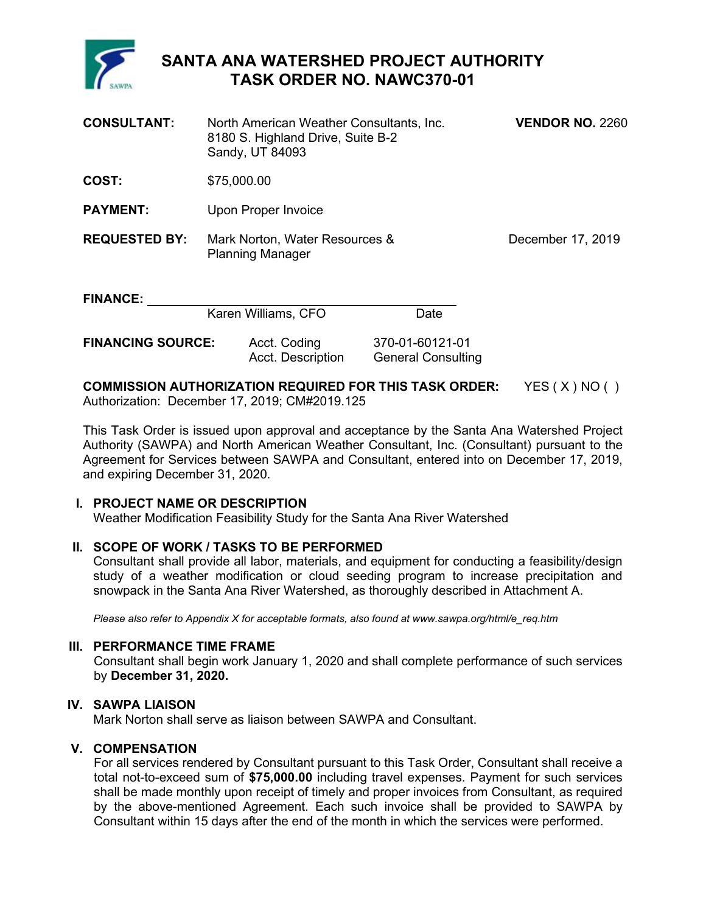

## **SANTA ANA WATERSHED PROJECT AUTHORITY TASK ORDER NO. NAWC370-01**

| <b>CONSULTANT:</b>   | North American Weather Consultants, Inc.<br>8180 S. Highland Drive, Suite B-2<br>Sandy, UT 84093 |      | <b>VENDOR NO. 2260</b> |
|----------------------|--------------------------------------------------------------------------------------------------|------|------------------------|
| COST:                | \$75,000.00                                                                                      |      |                        |
| <b>PAYMENT:</b>      | Upon Proper Invoice                                                                              |      |                        |
| <b>REQUESTED BY:</b> | Mark Norton, Water Resources &<br><b>Planning Manager</b>                                        |      | December 17, 2019      |
| <b>FINANCE:</b>      | Karen Williams, CFO                                                                              | Date |                        |

## **COMMISSION AUTHORIZATION REQUIRED FOR THIS TASK ORDER:** YES ( X ) NO ( ) Authorization: December 17, 2019; CM#2019.125

This Task Order is issued upon approval and acceptance by the Santa Ana Watershed Project Authority (SAWPA) and North American Weather Consultant, Inc. (Consultant) pursuant to the Agreement for Services between SAWPA and Consultant, entered into on December 17, 2019, and expiring December 31, 2020.

## **I. PROJECT NAME OR DESCRIPTION**

Weather Modification Feasibility Study for the Santa Ana River Watershed

## **II. SCOPE OF WORK / TASKS TO BE PERFORMED**

Consultant shall provide all labor, materials, and equipment for conducting a feasibility/design study of a weather modification or cloud seeding program to increase precipitation and snowpack in the Santa Ana River Watershed, as thoroughly described in Attachment A.

*Please also refer to Appendix X for acceptable formats, also found at www.sawpa.org/html/e\_req.htm* 

#### **III. PERFORMANCE TIME FRAME**

Consultant shall begin work January 1, 2020 and shall complete performance of such services by **December 31, 2020.**

## **IV. SAWPA LIAISON**

Mark Norton shall serve as liaison between SAWPA and Consultant.

## **V. COMPENSATION**

For all services rendered by Consultant pursuant to this Task Order, Consultant shall receive a total not-to-exceed sum of **\$75,000.00** including travel expenses. Payment for such services shall be made monthly upon receipt of timely and proper invoices from Consultant, as required by the above-mentioned Agreement. Each such invoice shall be provided to SAWPA by Consultant within 15 days after the end of the month in which the services were performed.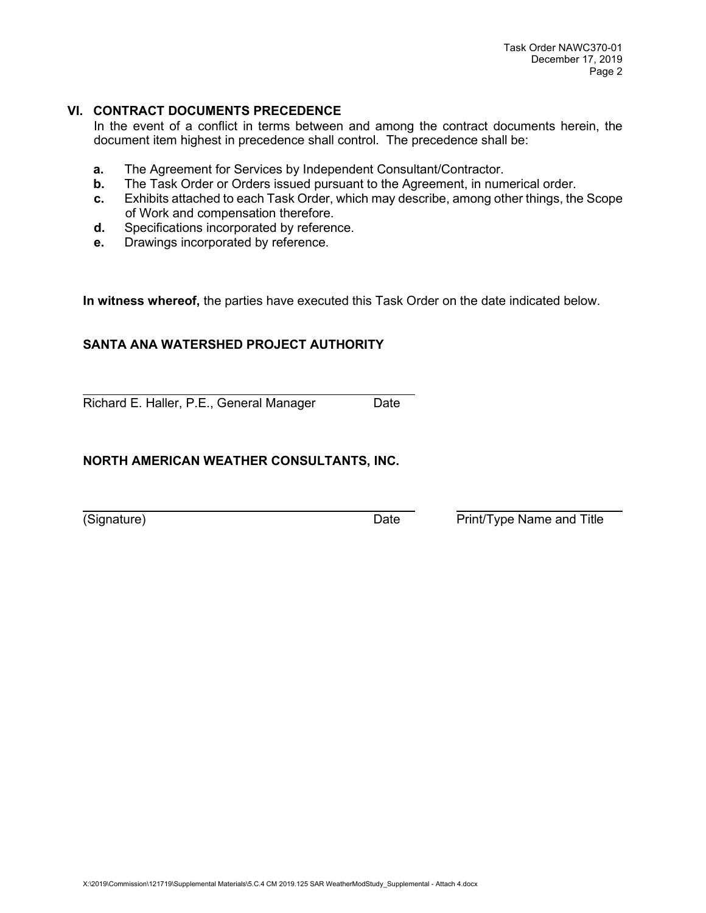## **VI. CONTRACT DOCUMENTS PRECEDENCE**

In the event of a conflict in terms between and among the contract documents herein, the document item highest in precedence shall control. The precedence shall be:

- **a.** The Agreement for Services by Independent Consultant/Contractor.<br>**b.** The Task Order or Orders issued pursuant to the Agreement. in num
- The Task Order or Orders issued pursuant to the Agreement, in numerical order.
- **c.** Exhibits attached to each Task Order, which may describe, among other things, the Scope of Work and compensation therefore.
- **d.** Specifications incorporated by reference.
- **e.** Drawings incorporated by reference.

**In witness whereof,** the parties have executed this Task Order on the date indicated below.

## **SANTA ANA WATERSHED PROJECT AUTHORITY**

Richard E. Haller, P.E., General Manager Date

## **NORTH AMERICAN WEATHER CONSULTANTS, INC.**

(Signature) Date Print/Type Name and Title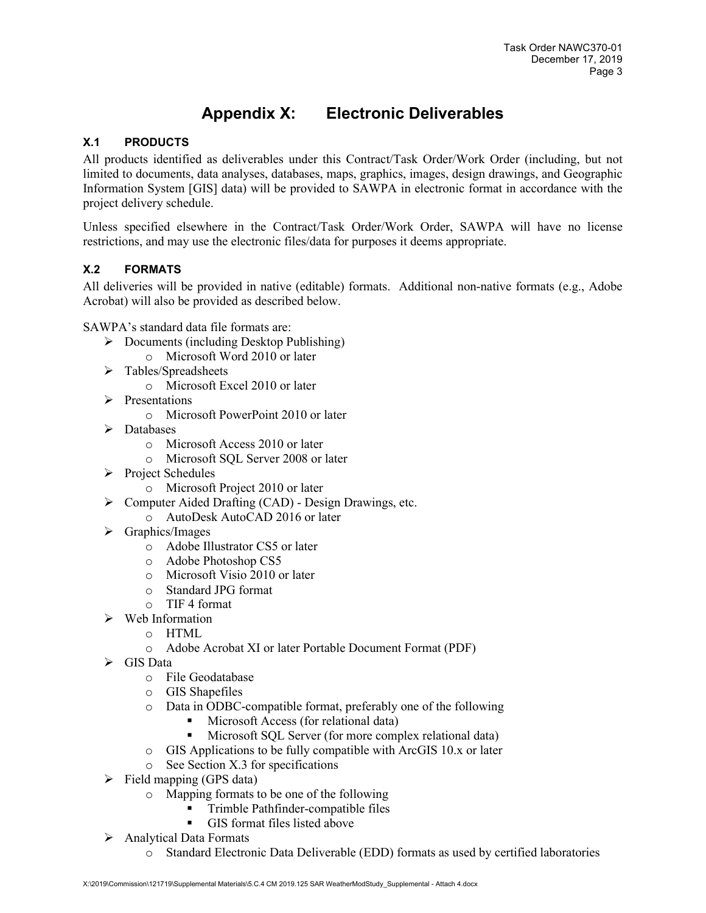# **Appendix X: Electronic Deliverables**

## **X.1 PRODUCTS**

All products identified as deliverables under this Contract/Task Order/Work Order (including, but not limited to documents, data analyses, databases, maps, graphics, images, design drawings, and Geographic Information System [GIS] data) will be provided to SAWPA in electronic format in accordance with the project delivery schedule.

Unless specified elsewhere in the Contract/Task Order/Work Order, SAWPA will have no license restrictions, and may use the electronic files/data for purposes it deems appropriate.

## **X.2 FORMATS**

All deliveries will be provided in native (editable) formats. Additional non-native formats (e.g., Adobe Acrobat) will also be provided as described below.

SAWPA's standard data file formats are:

- $\triangleright$  Documents (including Desktop Publishing)
	- o Microsoft Word 2010 or later
- $\triangleright$  Tables/Spreadsheets
	- o Microsoft Excel 2010 or later
- $\triangleright$  Presentations
	- o Microsoft PowerPoint 2010 or later
- > Databases
	- o Microsoft Access 2010 or later
	- o Microsoft SQL Server 2008 or later
- $\triangleright$  Project Schedules
	- o Microsoft Project 2010 or later
- $\triangleright$  Computer Aided Drafting (CAD) Design Drawings, etc.
	- o AutoDesk AutoCAD 2016 or later
- $\triangleright$  Graphics/Images
	- o Adobe Illustrator CS5 or later
	- o Adobe Photoshop CS5
	- o Microsoft Visio 2010 or later
	- o Standard JPG format
	- o TIF 4 format
- $\triangleright$  Web Information
	- o HTML
	- o Adobe Acrobat XI or later Portable Document Format (PDF)
- $\triangleright$  GIS Data
	- o File Geodatabase
	- o GIS Shapefiles
	- o Data in ODBC-compatible format, preferably one of the following
		- Microsoft Access (for relational data)<br>Microsoft SOL Server (for more comm
		- Microsoft SQL Server (for more complex relational data)
	- o GIS Applications to be fully compatible with ArcGIS 10.x or later
	- o See Section X.3 for specifications
- $\triangleright$  Field mapping (GPS data)
	- o Mapping formats to be one of the following
		- Trimble Pathfinder-compatible files
		- GIS format files listed above
- $\triangleright$  Analytical Data Formats
	- o Standard Electronic Data Deliverable (EDD) formats as used by certified laboratories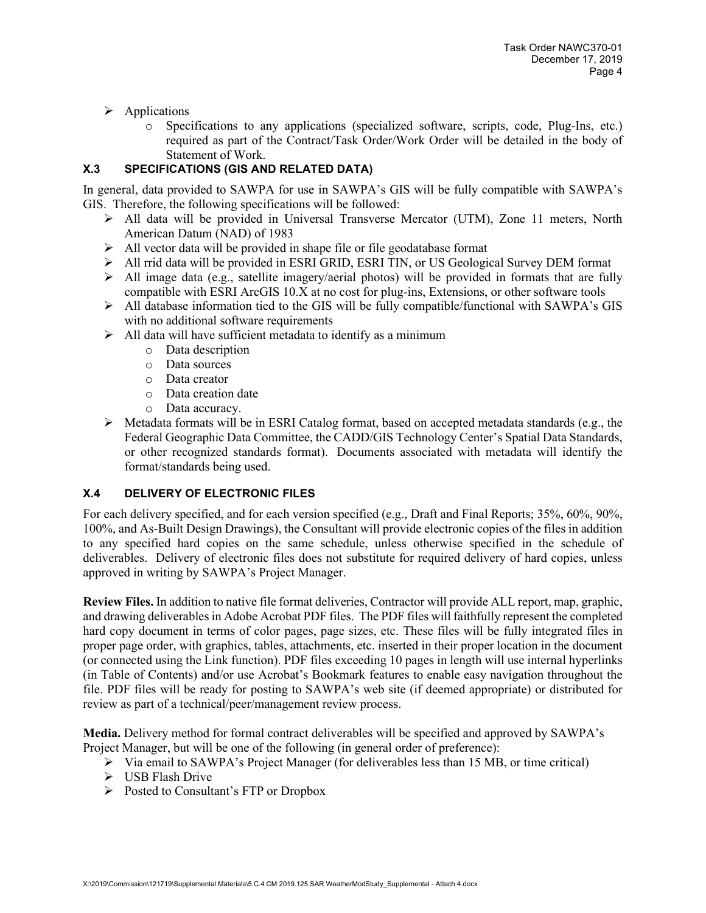- $\triangleright$  Applications
	- o Specifications to any applications (specialized software, scripts, code, Plug-Ins, etc.) required as part of the Contract/Task Order/Work Order will be detailed in the body of Statement of Work.

## **X.3 SPECIFICATIONS (GIS AND RELATED DATA)**

In general, data provided to SAWPA for use in SAWPA's GIS will be fully compatible with SAWPA's GIS. Therefore, the following specifications will be followed:

- $\triangleright$  All data will be provided in Universal Transverse Mercator (UTM), Zone 11 meters, North American Datum (NAD) of 1983
- $\triangleright$  All vector data will be provided in shape file or file geodatabase format
- $\triangleright$  All rrid data will be provided in ESRI GRID, ESRI TIN, or US Geological Survey DEM format
- $\triangleright$  All image data (e.g., satellite imagery/aerial photos) will be provided in formats that are fully compatible with ESRI ArcGIS 10.X at no cost for plug-ins, Extensions, or other software tools
- $\triangleright$  All database information tied to the GIS will be fully compatible/functional with SAWPA's GIS with no additional software requirements
- $\triangleright$  All data will have sufficient metadata to identify as a minimum
	- o Data description
	- o Data sources
	- o Data creator
	- o Data creation date
	- o Data accuracy.
- $\triangleright$  Metadata formats will be in ESRI Catalog format, based on accepted metadata standards (e.g., the Federal Geographic Data Committee, the CADD/GIS Technology Center's Spatial Data Standards, or other recognized standards format). Documents associated with metadata will identify the format/standards being used.

## **X.4 DELIVERY OF ELECTRONIC FILES**

For each delivery specified, and for each version specified (e.g., Draft and Final Reports; 35%, 60%, 90%, 100%, and As-Built Design Drawings), the Consultant will provide electronic copies of the files in addition to any specified hard copies on the same schedule, unless otherwise specified in the schedule of deliverables. Delivery of electronic files does not substitute for required delivery of hard copies, unless approved in writing by SAWPA's Project Manager.

**Review Files.** In addition to native file format deliveries, Contractor will provide ALL report, map, graphic, and drawing deliverables in Adobe Acrobat PDF files. The PDF files will faithfully represent the completed hard copy document in terms of color pages, page sizes, etc. These files will be fully integrated files in proper page order, with graphics, tables, attachments, etc. inserted in their proper location in the document (or connected using the Link function). PDF files exceeding 10 pages in length will use internal hyperlinks (in Table of Contents) and/or use Acrobat's Bookmark features to enable easy navigation throughout the file. PDF files will be ready for posting to SAWPA's web site (if deemed appropriate) or distributed for review as part of a technical/peer/management review process.

**Media.** Delivery method for formal contract deliverables will be specified and approved by SAWPA's Project Manager, but will be one of the following (in general order of preference):

- $\triangleright$  Via email to SAWPA's Project Manager (for deliverables less than 15 MB, or time critical)
- $\triangleright$  USB Flash Drive
- $\triangleright$  Posted to Consultant's FTP or Dropbox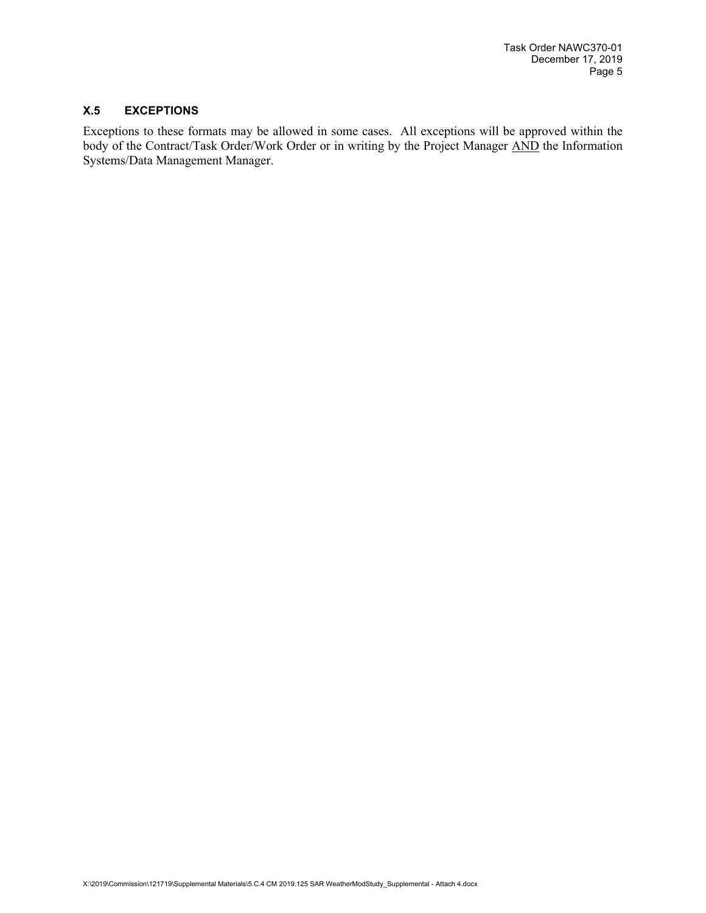#### **X.5 EXCEPTIONS**

Exceptions to these formats may be allowed in some cases. All exceptions will be approved within the body of the Contract/Task Order/Work Order or in writing by the Project Manager AND the Information Systems/Data Management Manager.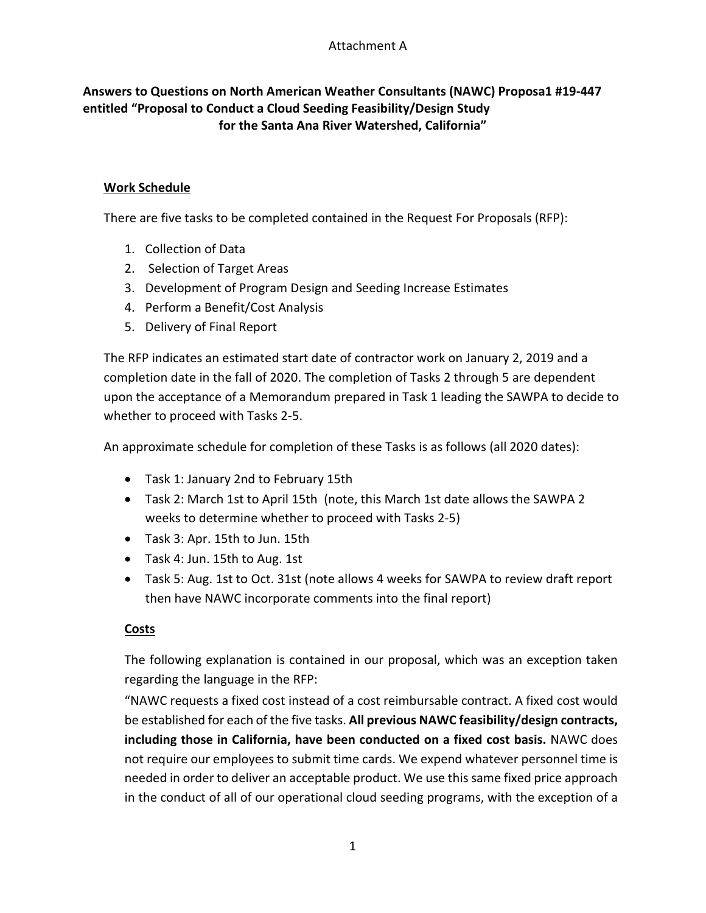## **Answers to Questions on North American Weather Consultants (NAWC) Proposa1 #19-447 entitled "Proposal to Conduct a Cloud Seeding Feasibility/Design Study for the Santa Ana River Watershed, California"**

## **Work Schedule**

There are five tasks to be completed contained in the Request For Proposals (RFP):

- 1. Collection of Data
- 2. Selection of Target Areas
- 3. Development of Program Design and Seeding Increase Estimates
- 4. Perform a Benefit/Cost Analysis
- 5. Delivery of Final Report

The RFP indicates an estimated start date of contractor work on January 2, 2019 and a completion date in the fall of 2020. The completion of Tasks 2 through 5 are dependent upon the acceptance of a Memorandum prepared in Task 1 leading the SAWPA to decide to whether to proceed with Tasks 2-5.

An approximate schedule for completion of these Tasks is as follows (all 2020 dates):

- Task 1: January 2nd to February 15th
- Task 2: March 1st to April 15th (note, this March 1st date allows the SAWPA 2 weeks to determine whether to proceed with Tasks 2-5)
- Task 3: Apr. 15th to Jun. 15th
- Task 4: Jun. 15th to Aug. 1st
- Task 5: Aug. 1st to Oct. 31st (note allows 4 weeks for SAWPA to review draft report then have NAWC incorporate comments into the final report)

## **Costs**

The following explanation is contained in our proposal, which was an exception taken regarding the language in the RFP:

"NAWC requests a fixed cost instead of a cost reimbursable contract. A fixed cost would be established for each of the five tasks. **All previous NAWC feasibility/design contracts, including those in California, have been conducted on a fixed cost basis.** NAWC does not require our employees to submit time cards. We expend whatever personnel time is needed in order to deliver an acceptable product. We use this same fixed price approach in the conduct of all of our operational cloud seeding programs, with the exception of a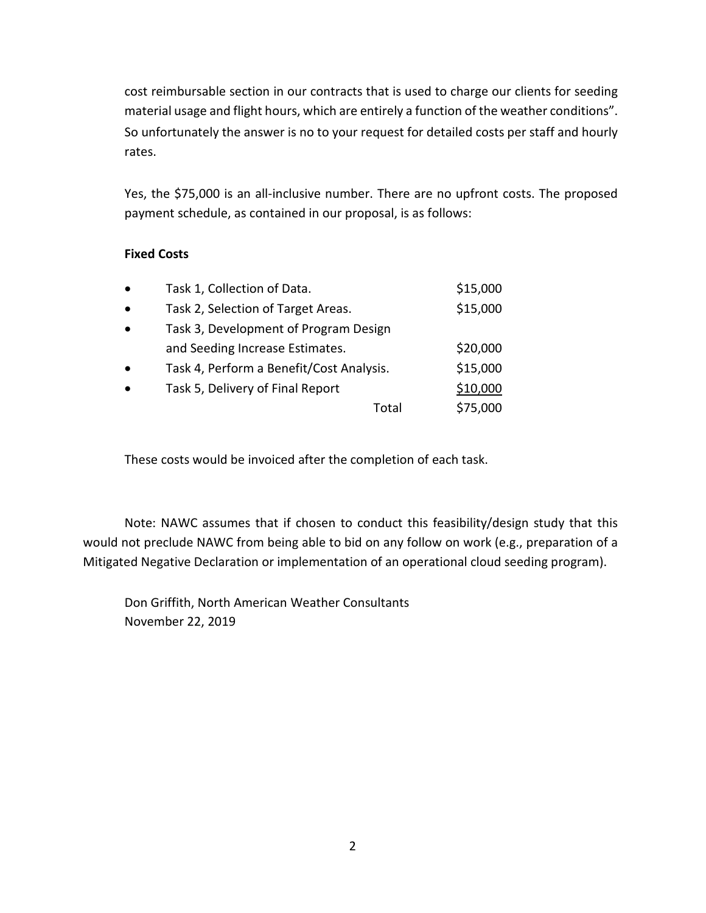cost reimbursable section in our contracts that is used to charge our clients for seeding material usage and flight hours, which are entirely a function of the weather conditions". So unfortunately the answer is no to your request for detailed costs per staff and hourly rates.

Yes, the \$75,000 is an all-inclusive number. There are no upfront costs. The proposed payment schedule, as contained in our proposal, is as follows:

## **Fixed Costs**

| $\bullet$ | Task 1, Collection of Data.              | \$15,000 |
|-----------|------------------------------------------|----------|
| $\bullet$ | Task 2, Selection of Target Areas.       | \$15,000 |
| $\bullet$ | Task 3, Development of Program Design    |          |
|           | and Seeding Increase Estimates.          | \$20,000 |
| $\bullet$ | Task 4, Perform a Benefit/Cost Analysis. | \$15,000 |
| $\bullet$ | Task 5, Delivery of Final Report         | \$10,000 |
|           | Total                                    | \$75,000 |

These costs would be invoiced after the completion of each task.

Note: NAWC assumes that if chosen to conduct this feasibility/design study that this would not preclude NAWC from being able to bid on any follow on work (e.g., preparation of a Mitigated Negative Declaration or implementation of an operational cloud seeding program).

Don Griffith, North American Weather Consultants November 22, 2019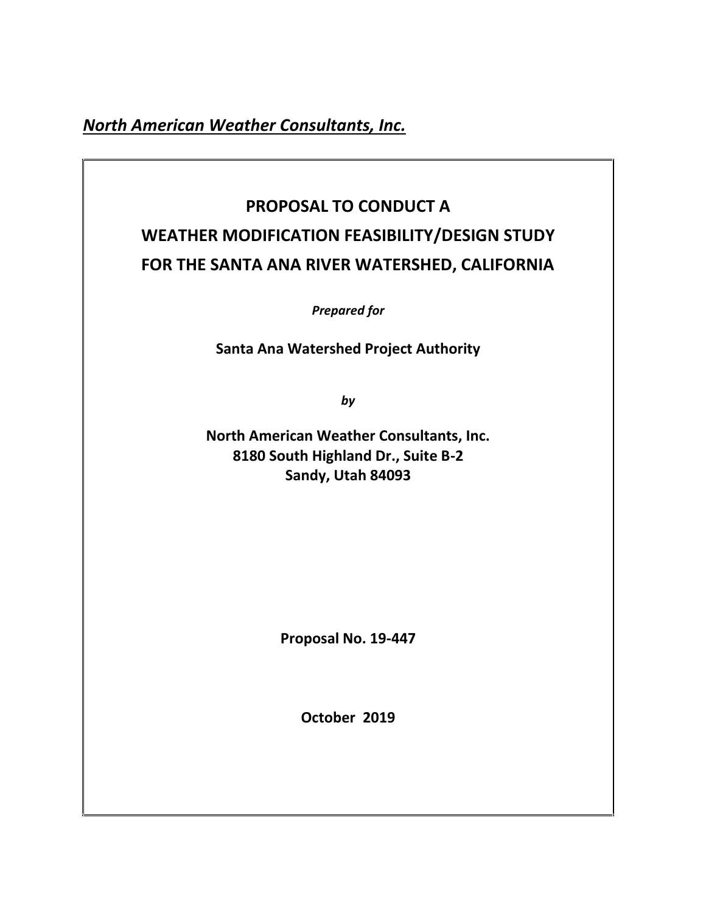*North American Weather Consultants, Inc.*

# **PROPOSAL TO CONDUCT A WEATHER MODIFICATION FEASIBILITY/DESIGN STUDY FOR THE SANTA ANA RIVER WATERSHED, CALIFORNIA**

*Prepared for*

**Santa Ana Watershed Project Authority**

*by*

**North American Weather Consultants, Inc. 8180 South Highland Dr., Suite B-2 Sandy, Utah 84093**

**Proposal No. 19-447**

**October 2019**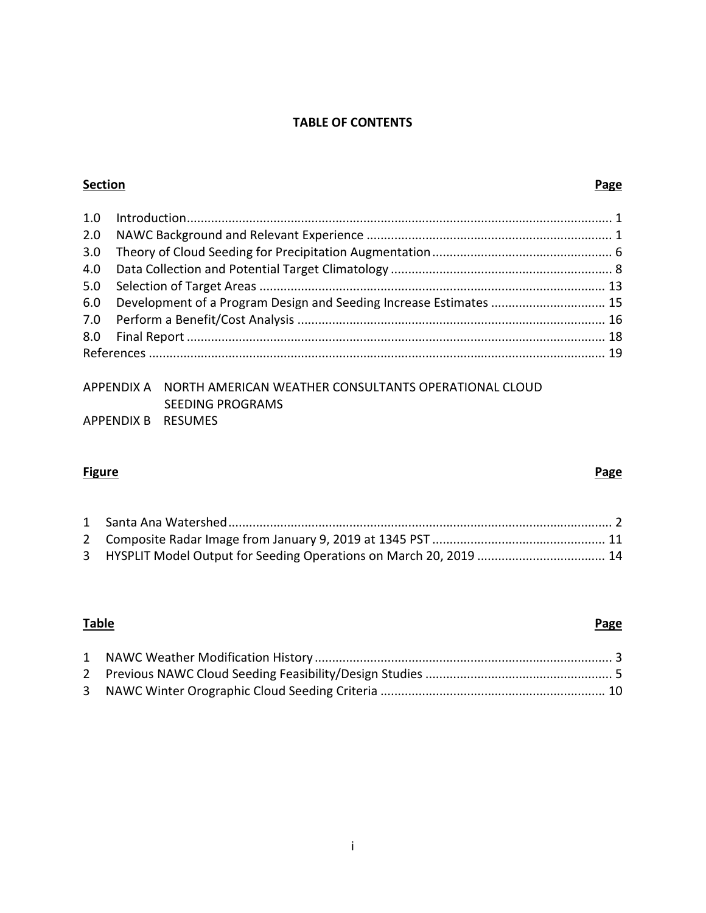## **TABLE OF CONTENTS**

## **Section Page**

| 6.0 Development of a Program Design and Seeding Increase Estimates  15 |  |
|------------------------------------------------------------------------|--|
|                                                                        |  |
|                                                                        |  |
|                                                                        |  |

## APPENDIX A NORTH AMERICAN WEATHER CONSULTANTS OPERATIONAL CLOUD SEEDING PROGRAMS APPENDIX B RESUMES

## **Figure Page**

## **Table Page**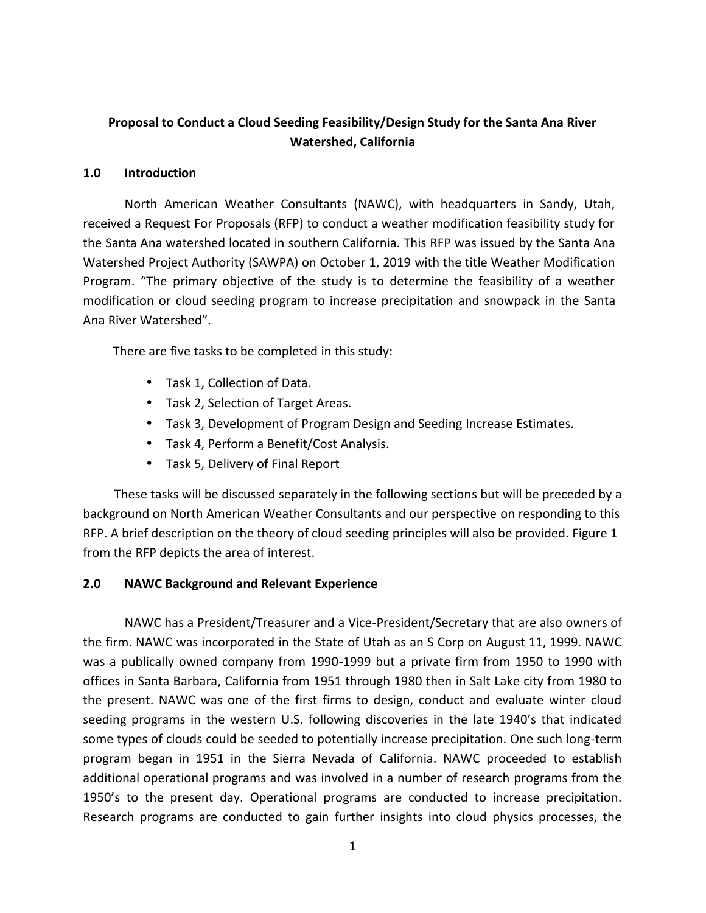## **Proposal to Conduct a Cloud Seeding Feasibility/Design Study for the Santa Ana River Watershed, California**

## **1.0 Introduction**

North American Weather Consultants (NAWC), with headquarters in Sandy, Utah, received a Request For Proposals (RFP) to conduct a weather modification feasibility study for the Santa Ana watershed located in southern California. This RFP was issued by the Santa Ana Watershed Project Authority (SAWPA) on October 1, 2019 with the title Weather Modification Program. "The primary objective of the study is to determine the feasibility of a weather modification or cloud seeding program to increase precipitation and snowpack in the Santa Ana River Watershed".

There are five tasks to be completed in this study:

- Task 1, Collection of Data.
- Task 2, Selection of Target Areas.
- Task 3, Development of Program Design and Seeding Increase Estimates.
- Task 4, Perform a Benefit/Cost Analysis.
- Task 5, Delivery of Final Report

These tasks will be discussed separately in the following sections but will be preceded by a background on North American Weather Consultants and our perspective on responding to this RFP. A brief description on the theory of cloud seeding principles will also be provided. Figure 1 from the RFP depicts the area of interest.

## **2.0 NAWC Background and Relevant Experience**

NAWC has a President/Treasurer and a Vice-President/Secretary that are also owners of the firm. NAWC was incorporated in the State of Utah as an S Corp on August 11, 1999. NAWC was a publically owned company from 1990-1999 but a private firm from 1950 to 1990 with offices in Santa Barbara, California from 1951 through 1980 then in Salt Lake city from 1980 to the present. NAWC was one of the first firms to design, conduct and evaluate winter cloud seeding programs in the western U.S. following discoveries in the late 1940's that indicated some types of clouds could be seeded to potentially increase precipitation. One such long-term program began in 1951 in the Sierra Nevada of California. NAWC proceeded to establish additional operational programs and was involved in a number of research programs from the 1950's to the present day. Operational programs are conducted to increase precipitation. Research programs are conducted to gain further insights into cloud physics processes, the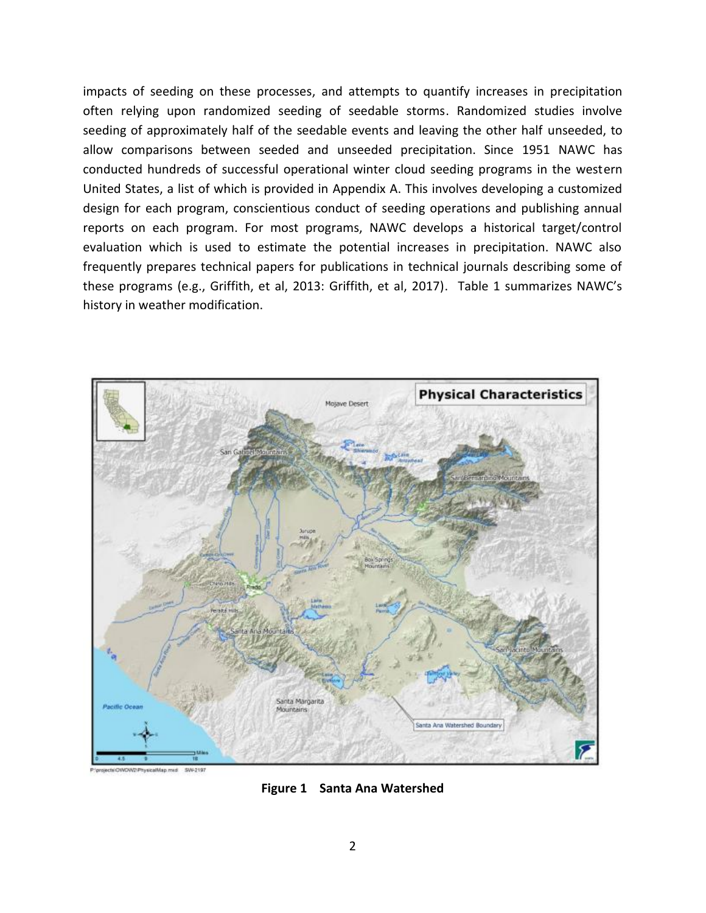impacts of seeding on these processes, and attempts to quantify increases in precipitation often relying upon randomized seeding of seedable storms. Randomized studies involve seeding of approximately half of the seedable events and leaving the other half unseeded, to allow comparisons between seeded and unseeded precipitation. Since 1951 NAWC has conducted hundreds of successful operational winter cloud seeding programs in the western United States, a list of which is provided in Appendix A. This involves developing a customized design for each program, conscientious conduct of seeding operations and publishing annual reports on each program. For most programs, NAWC develops a historical target/control evaluation which is used to estimate the potential increases in precipitation. NAWC also frequently prepares technical papers for publications in technical journals describing some of these programs (e.g., Griffith, et al, 2013: Griffith, et al, 2017). Table 1 summarizes NAWC's history in weather modification.



**Figure 1 Santa Ana Watershed**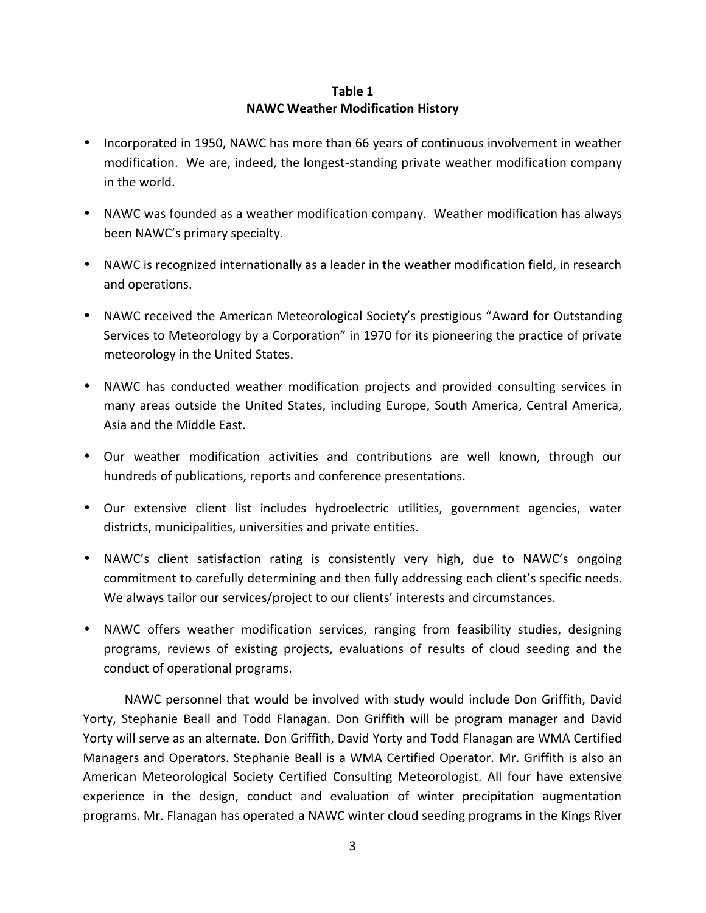## **Table 1 NAWC Weather Modification History**

- Incorporated in 1950, NAWC has more than 66 years of continuous involvement in weather modification. We are, indeed, the longest-standing private weather modification company in the world.
- NAWC was founded as a weather modification company. Weather modification has always been NAWC's primary specialty.
- NAWC is recognized internationally as a leader in the weather modification field, in research and operations.
- NAWC received the American Meteorological Society's prestigious "Award for Outstanding Services to Meteorology by a Corporation" in 1970 for its pioneering the practice of private meteorology in the United States.
- NAWC has conducted weather modification projects and provided consulting services in many areas outside the United States, including Europe, South America, Central America, Asia and the Middle East.
- Our weather modification activities and contributions are well known, through our hundreds of publications, reports and conference presentations.
- Our extensive client list includes hydroelectric utilities, government agencies, water districts, municipalities, universities and private entities.
- NAWC's client satisfaction rating is consistently very high, due to NAWC's ongoing commitment to carefully determining and then fully addressing each client's specific needs. We always tailor our services/project to our clients' interests and circumstances.
- NAWC offers weather modification services, ranging from feasibility studies, designing programs, reviews of existing projects, evaluations of results of cloud seeding and the conduct of operational programs.

NAWC personnel that would be involved with study would include Don Griffith, David Yorty, Stephanie Beall and Todd Flanagan. Don Griffith will be program manager and David Yorty will serve as an alternate. Don Griffith, David Yorty and Todd Flanagan are WMA Certified Managers and Operators. Stephanie Beall is a WMA Certified Operator. Mr. Griffith is also an American Meteorological Society Certified Consulting Meteorologist. All four have extensive experience in the design, conduct and evaluation of winter precipitation augmentation programs. Mr. Flanagan has operated a NAWC winter cloud seeding programs in the Kings River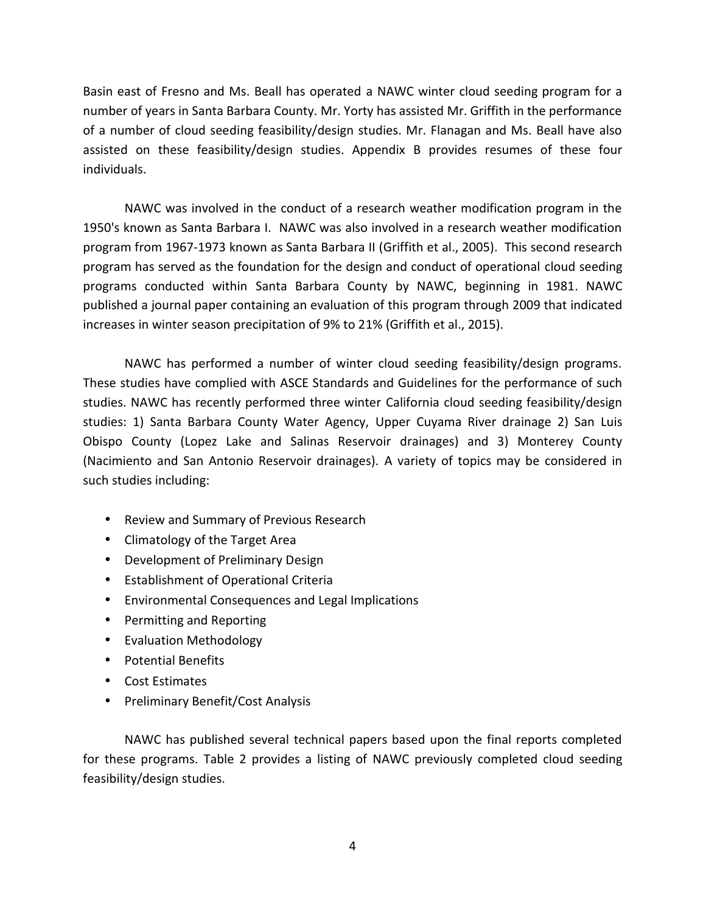Basin east of Fresno and Ms. Beall has operated a NAWC winter cloud seeding program for a number of years in Santa Barbara County. Mr. Yorty has assisted Mr. Griffith in the performance of a number of cloud seeding feasibility/design studies. Mr. Flanagan and Ms. Beall have also assisted on these feasibility/design studies. Appendix B provides resumes of these four individuals.

NAWC was involved in the conduct of a research weather modification program in the 1950's known as Santa Barbara I. NAWC was also involved in a research weather modification program from 1967-1973 known as Santa Barbara II (Griffith et al., 2005). This second research program has served as the foundation for the design and conduct of operational cloud seeding programs conducted within Santa Barbara County by NAWC, beginning in 1981. NAWC published a journal paper containing an evaluation of this program through 2009 that indicated increases in winter season precipitation of 9% to 21% (Griffith et al., 2015).

NAWC has performed a number of winter cloud seeding feasibility/design programs. These studies have complied with ASCE Standards and Guidelines for the performance of such studies. NAWC has recently performed three winter California cloud seeding feasibility/design studies: 1) Santa Barbara County Water Agency, Upper Cuyama River drainage 2) San Luis Obispo County (Lopez Lake and Salinas Reservoir drainages) and 3) Monterey County (Nacimiento and San Antonio Reservoir drainages). A variety of topics may be considered in such studies including:

- Review and Summary of Previous Research
- Climatology of the Target Area
- Development of Preliminary Design
- Establishment of Operational Criteria
- Environmental Consequences and Legal Implications
- ) Permitting and Reporting
- Evaluation Methodology
- Potential Benefits
- Cost Estimates
- Preliminary Benefit/Cost Analysis

NAWC has published several technical papers based upon the final reports completed for these programs. Table 2 provides a listing of NAWC previously completed cloud seeding feasibility/design studies.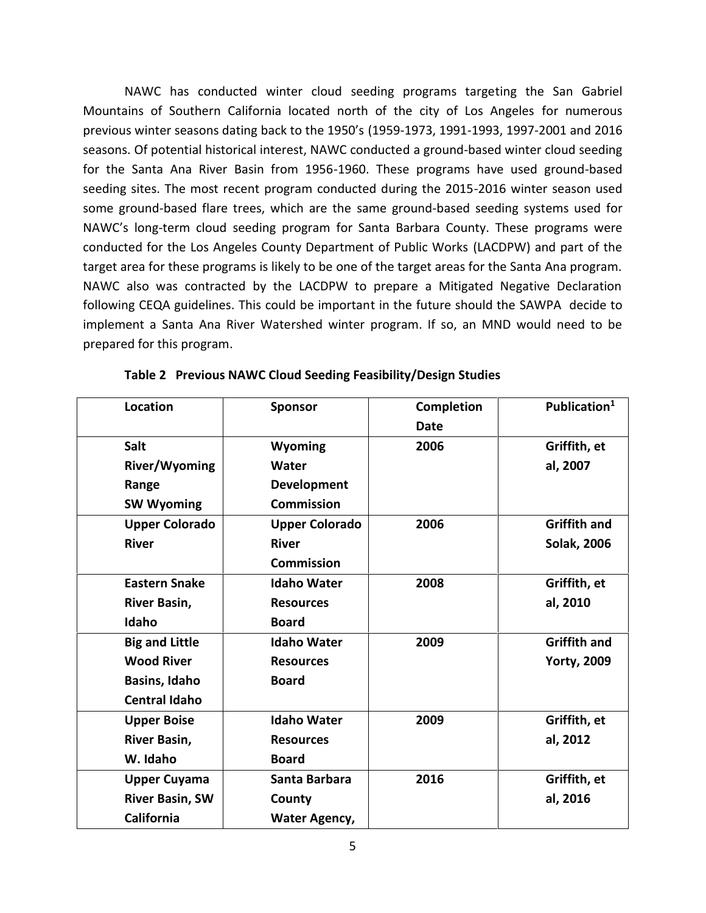NAWC has conducted winter cloud seeding programs targeting the San Gabriel Mountains of Southern California located north of the city of Los Angeles for numerous previous winter seasons dating back to the 1950's (1959-1973, 1991-1993, 1997-2001 and 2016 seasons. Of potential historical interest, NAWC conducted a ground-based winter cloud seeding for the Santa Ana River Basin from 1956-1960. These programs have used ground-based seeding sites. The most recent program conducted during the 2015-2016 winter season used some ground-based flare trees, which are the same ground-based seeding systems used for NAWC's long-term cloud seeding program for Santa Barbara County. These programs were conducted for the Los Angeles County Department of Public Works (LACDPW) and part of the target area for these programs is likely to be one of the target areas for the Santa Ana program. NAWC also was contracted by the LACDPW to prepare a Mitigated Negative Declaration following CEQA guidelines. This could be important in the future should the SAWPA decide to implement a Santa Ana River Watershed winter program. If so, an MND would need to be prepared for this program.

| Location               | <b>Sponsor</b>        | <b>Completion</b> | Publication <sup>1</sup> |
|------------------------|-----------------------|-------------------|--------------------------|
|                        |                       | <b>Date</b>       |                          |
| <b>Salt</b>            | Wyoming               | 2006              | Griffith, et             |
| <b>River/Wyoming</b>   | Water                 |                   | al, 2007                 |
| Range                  | <b>Development</b>    |                   |                          |
| <b>SW Wyoming</b>      | <b>Commission</b>     |                   |                          |
| <b>Upper Colorado</b>  | <b>Upper Colorado</b> | 2006              | <b>Griffith and</b>      |
| <b>River</b>           | <b>River</b>          |                   | <b>Solak, 2006</b>       |
|                        | <b>Commission</b>     |                   |                          |
| <b>Eastern Snake</b>   | <b>Idaho Water</b>    | 2008              | Griffith, et             |
| <b>River Basin,</b>    | <b>Resources</b>      |                   | al, 2010                 |
| Idaho                  | <b>Board</b>          |                   |                          |
| <b>Big and Little</b>  | <b>Idaho Water</b>    | 2009              | <b>Griffith and</b>      |
| <b>Wood River</b>      | <b>Resources</b>      |                   | <b>Yorty, 2009</b>       |
| <b>Basins, Idaho</b>   | <b>Board</b>          |                   |                          |
| <b>Central Idaho</b>   |                       |                   |                          |
| <b>Upper Boise</b>     | <b>Idaho Water</b>    | 2009              | Griffith, et             |
| River Basin,           | <b>Resources</b>      |                   | al, 2012                 |
| W. Idaho               | <b>Board</b>          |                   |                          |
| <b>Upper Cuyama</b>    | Santa Barbara         | 2016              | Griffith, et             |
| <b>River Basin, SW</b> | County                |                   | al, 2016                 |
| California             | <b>Water Agency,</b>  |                   |                          |

|  | Table 2 Previous NAWC Cloud Seeding Feasibility/Design Studies |  |
|--|----------------------------------------------------------------|--|
|--|----------------------------------------------------------------|--|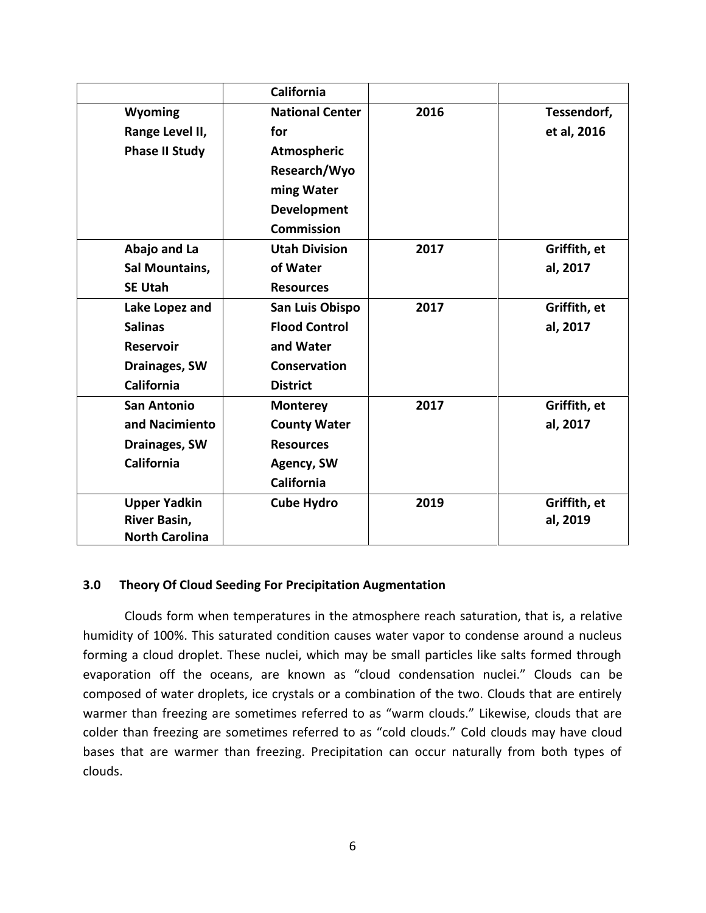|                       | <b>California</b>      |      |              |
|-----------------------|------------------------|------|--------------|
| Wyoming               | <b>National Center</b> | 2016 | Tessendorf,  |
| Range Level II,       | for                    |      | et al, 2016  |
| <b>Phase II Study</b> | Atmospheric            |      |              |
|                       | Research/Wyo           |      |              |
|                       | ming Water             |      |              |
|                       | <b>Development</b>     |      |              |
|                       | <b>Commission</b>      |      |              |
| Abajo and La          | <b>Utah Division</b>   | 2017 | Griffith, et |
| Sal Mountains,        | of Water               |      | al, 2017     |
| <b>SE Utah</b>        | <b>Resources</b>       |      |              |
| Lake Lopez and        | San Luis Obispo        | 2017 | Griffith, et |
| <b>Salinas</b>        | <b>Flood Control</b>   |      | al, 2017     |
| <b>Reservoir</b>      | and Water              |      |              |
| <b>Drainages, SW</b>  | <b>Conservation</b>    |      |              |
| <b>California</b>     | <b>District</b>        |      |              |
| <b>San Antonio</b>    | <b>Monterey</b>        | 2017 | Griffith, et |
| and Nacimiento        | <b>County Water</b>    |      | al, 2017     |
| Drainages, SW         | <b>Resources</b>       |      |              |
| <b>California</b>     | Agency, SW             |      |              |
|                       | <b>California</b>      |      |              |
| <b>Upper Yadkin</b>   | <b>Cube Hydro</b>      | 2019 | Griffith, et |
| <b>River Basin,</b>   |                        |      | al, 2019     |
| <b>North Carolina</b> |                        |      |              |

## **3.0 Theory Of Cloud Seeding For Precipitation Augmentation**

Clouds form when temperatures in the atmosphere reach saturation, that is, a relative humidity of 100%. This saturated condition causes water vapor to condense around a nucleus forming a cloud droplet. These nuclei, which may be small particles like salts formed through evaporation off the oceans, are known as "cloud condensation nuclei." Clouds can be composed of water droplets, ice crystals or a combination of the two. Clouds that are entirely warmer than freezing are sometimes referred to as "warm clouds." Likewise, clouds that are colder than freezing are sometimes referred to as "cold clouds." Cold clouds may have cloud bases that are warmer than freezing. Precipitation can occur naturally from both types of clouds.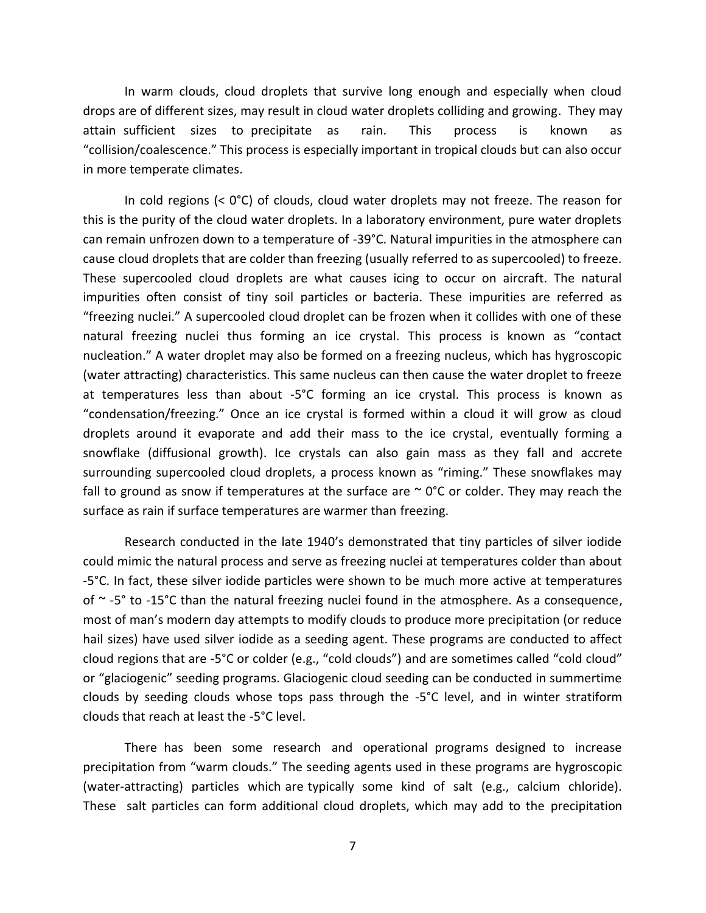In warm clouds, cloud droplets that survive long enough and especially when cloud drops are of different sizes, may result in cloud water droplets colliding and growing. They may attain sufficient sizes to precipitate as rain. This process is known as "collision/coalescence." This process is especially important in tropical clouds but can also occur in more temperate climates.

In cold regions (< 0°C) of clouds, cloud water droplets may not freeze. The reason for this is the purity of the cloud water droplets. In a laboratory environment, pure water droplets can remain unfrozen down to a temperature of -39°C. Natural impurities in the atmosphere can cause cloud droplets that are colder than freezing (usually referred to as supercooled) to freeze. These supercooled cloud droplets are what causes icing to occur on aircraft. The natural impurities often consist of tiny soil particles or bacteria. These impurities are referred as "freezing nuclei." A supercooled cloud droplet can be frozen when it collides with one of these natural freezing nuclei thus forming an ice crystal. This process is known as "contact nucleation." A water droplet may also be formed on a freezing nucleus, which has hygroscopic (water attracting) characteristics. This same nucleus can then cause the water droplet to freeze at temperatures less than about -5°C forming an ice crystal. This process is known as "condensation/freezing." Once an ice crystal is formed within a cloud it will grow as cloud droplets around it evaporate and add their mass to the ice crystal, eventually forming a snowflake (diffusional growth). Ice crystals can also gain mass as they fall and accrete surrounding supercooled cloud droplets, a process known as "riming." These snowflakes may fall to ground as snow if temperatures at the surface are  $\sim$  0°C or colder. They may reach the surface as rain if surface temperatures are warmer than freezing.

Research conducted in the late 1940's demonstrated that tiny particles of silver iodide could mimic the natural process and serve as freezing nuclei at temperatures colder than about -5°C. In fact, these silver iodide particles were shown to be much more active at temperatures of  $\sim$  -5° to -15°C than the natural freezing nuclei found in the atmosphere. As a consequence, most of man's modern day attempts to modify clouds to produce more precipitation (or reduce hail sizes) have used silver iodide as a seeding agent. These programs are conducted to affect cloud regions that are -5°C or colder (e.g., "cold clouds") and are sometimes called "cold cloud" or "glaciogenic" seeding programs. Glaciogenic cloud seeding can be conducted in summertime clouds by seeding clouds whose tops pass through the -5°C level, and in winter stratiform clouds that reach at least the -5°C level.

There has been some research and operational programs designed to increase precipitation from "warm clouds." The seeding agents used in these programs are hygroscopic (water-attracting) particles which are typically some kind of salt (e.g., calcium chloride). These salt particles can form additional cloud droplets, which may add to the precipitation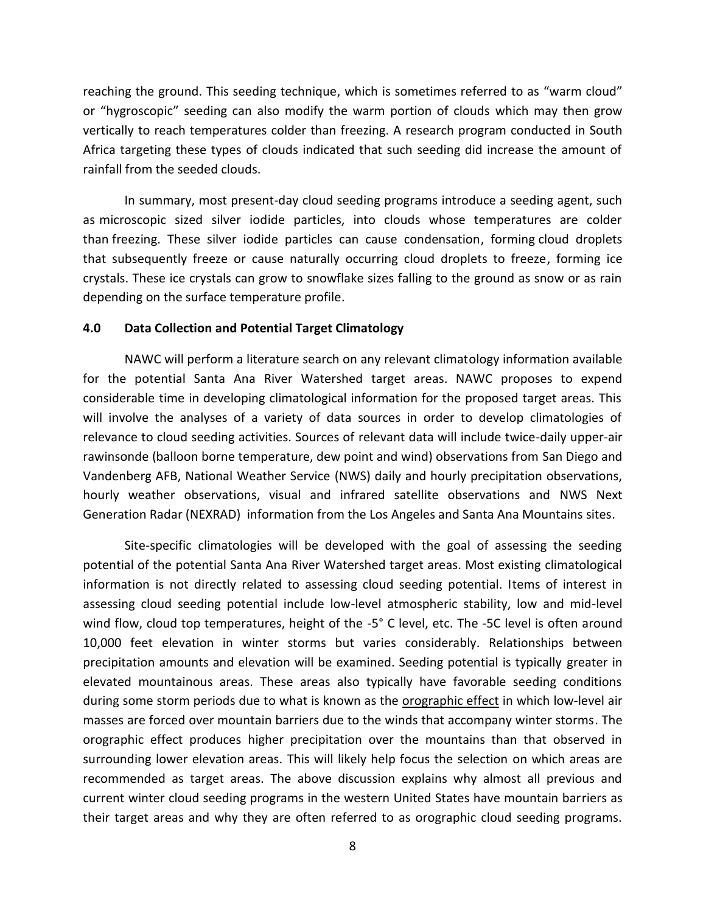reaching the ground. This seeding technique, which is sometimes referred to as "warm cloud" or "hygroscopic" seeding can also modify the warm portion of clouds which may then grow vertically to reach temperatures colder than freezing. A research program conducted in South Africa targeting these types of clouds indicated that such seeding did increase the amount of rainfall from the seeded clouds.

In summary, most present-day cloud seeding programs introduce a seeding agent, such as microscopic sized silver iodide particles, into clouds whose temperatures are colder than freezing. These silver iodide particles can cause condensation, forming cloud droplets that subsequently freeze or cause naturally occurring cloud droplets to freeze, forming ice crystals. These ice crystals can grow to snowflake sizes falling to the ground as snow or as rain depending on the surface temperature profile.

#### **4.0 Data Collection and Potential Target Climatology**

NAWC will perform a literature search on any relevant climatology information available for the potential Santa Ana River Watershed target areas. NAWC proposes to expend considerable time in developing climatological information for the proposed target areas. This will involve the analyses of a variety of data sources in order to develop climatologies of relevance to cloud seeding activities. Sources of relevant data will include twice-daily upper-air rawinsonde (balloon borne temperature, dew point and wind) observations from San Diego and Vandenberg AFB, National Weather Service (NWS) daily and hourly precipitation observations, hourly weather observations, visual and infrared satellite observations and NWS Next Generation Radar (NEXRAD) information from the Los Angeles and Santa Ana Mountains sites.

Site-specific climatologies will be developed with the goal of assessing the seeding potential of the potential Santa Ana River Watershed target areas. Most existing climatological information is not directly related to assessing cloud seeding potential. Items of interest in assessing cloud seeding potential include low-level atmospheric stability, low and mid-level wind flow, cloud top temperatures, height of the -5° C level, etc. The -5C level is often around 10,000 feet elevation in winter storms but varies considerably. Relationships between precipitation amounts and elevation will be examined. Seeding potential is typically greater in elevated mountainous areas. These areas also typically have favorable seeding conditions during some storm periods due to what is known as the orographic effect in which low-level air masses are forced over mountain barriers due to the winds that accompany winter storms. The orographic effect produces higher precipitation over the mountains than that observed in surrounding lower elevation areas. This will likely help focus the selection on which areas are recommended as target areas. The above discussion explains why almost all previous and current winter cloud seeding programs in the western United States have mountain barriers as their target areas and why they are often referred to as orographic cloud seeding programs.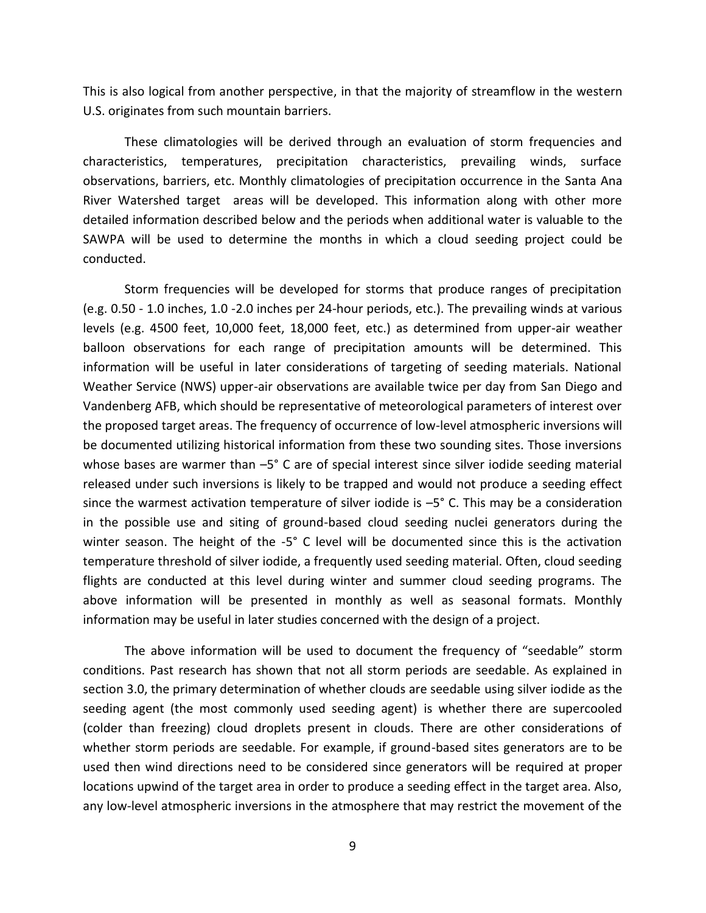This is also logical from another perspective, in that the majority of streamflow in the western U.S. originates from such mountain barriers.

These climatologies will be derived through an evaluation of storm frequencies and characteristics, temperatures, precipitation characteristics, prevailing winds, surface observations, barriers, etc. Monthly climatologies of precipitation occurrence in the Santa Ana River Watershed target areas will be developed. This information along with other more detailed information described below and the periods when additional water is valuable to the SAWPA will be used to determine the months in which a cloud seeding project could be conducted.

Storm frequencies will be developed for storms that produce ranges of precipitation (e.g. 0.50 - 1.0 inches, 1.0 -2.0 inches per 24-hour periods, etc.). The prevailing winds at various levels (e.g. 4500 feet, 10,000 feet, 18,000 feet, etc.) as determined from upper-air weather balloon observations for each range of precipitation amounts will be determined. This information will be useful in later considerations of targeting of seeding materials. National Weather Service (NWS) upper-air observations are available twice per day from San Diego and Vandenberg AFB, which should be representative of meteorological parameters of interest over the proposed target areas. The frequency of occurrence of low-level atmospheric inversions will be documented utilizing historical information from these two sounding sites. Those inversions whose bases are warmer than –5° C are of special interest since silver iodide seeding material released under such inversions is likely to be trapped and would not produce a seeding effect since the warmest activation temperature of silver iodide is –5° C. This may be a consideration in the possible use and siting of ground-based cloud seeding nuclei generators during the winter season. The height of the -5° C level will be documented since this is the activation temperature threshold of silver iodide, a frequently used seeding material. Often, cloud seeding flights are conducted at this level during winter and summer cloud seeding programs. The above information will be presented in monthly as well as seasonal formats. Monthly information may be useful in later studies concerned with the design of a project.

The above information will be used to document the frequency of "seedable" storm conditions. Past research has shown that not all storm periods are seedable. As explained in section 3.0, the primary determination of whether clouds are seedable using silver iodide as the seeding agent (the most commonly used seeding agent) is whether there are supercooled (colder than freezing) cloud droplets present in clouds. There are other considerations of whether storm periods are seedable. For example, if ground-based sites generators are to be used then wind directions need to be considered since generators will be required at proper locations upwind of the target area in order to produce a seeding effect in the target area. Also, any low-level atmospheric inversions in the atmosphere that may restrict the movement of the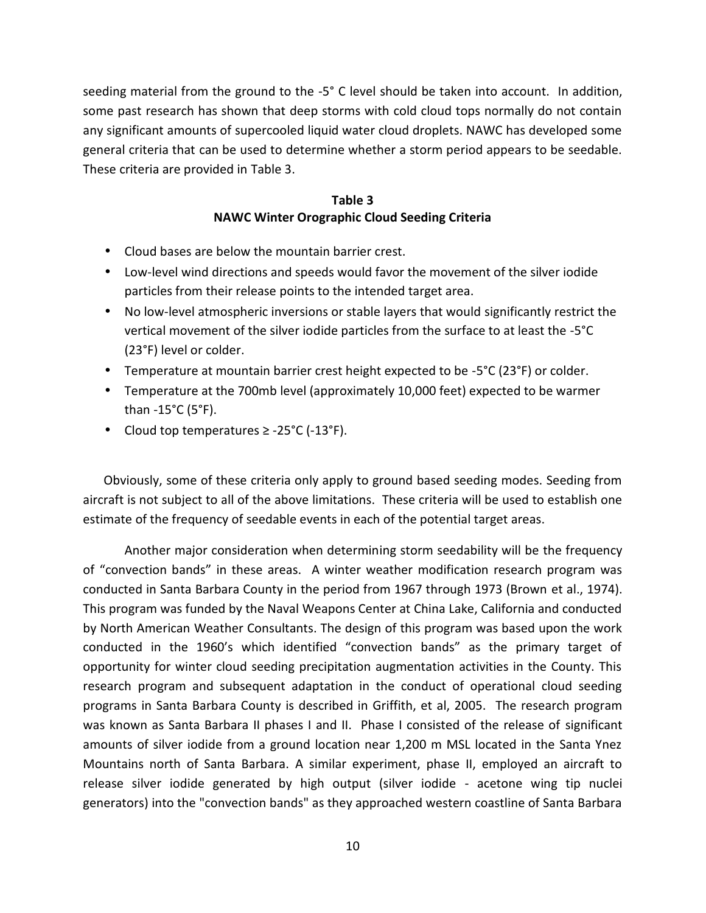seeding material from the ground to the -5° C level should be taken into account. In addition, some past research has shown that deep storms with cold cloud tops normally do not contain any significant amounts of supercooled liquid water cloud droplets. NAWC has developed some general criteria that can be used to determine whether a storm period appears to be seedable. These criteria are provided in Table 3.

## **Table 3 NAWC Winter Orographic Cloud Seeding Criteria**

- Cloud bases are below the mountain barrier crest.
- Low-level wind directions and speeds would favor the movement of the silver iodide particles from their release points to the intended target area.
- No low-level atmospheric inversions or stable layers that would significantly restrict the vertical movement of the silver iodide particles from the surface to at least the -5°C (23°F) level or colder.
- Temperature at mountain barrier crest height expected to be -5°C (23°F) or colder.
- Temperature at the 700mb level (approximately 10,000 feet) expected to be warmer than -15°C (5°F).
- Cloud top temperatures ≥ -25°C (-13°F).

Obviously, some of these criteria only apply to ground based seeding modes. Seeding from aircraft is not subject to all of the above limitations. These criteria will be used to establish one estimate of the frequency of seedable events in each of the potential target areas.

Another major consideration when determining storm seedability will be the frequency of "convection bands" in these areas. A winter weather modification research program was conducted in Santa Barbara County in the period from 1967 through 1973 (Brown et al., 1974). This program was funded by the Naval Weapons Center at China Lake, California and conducted by North American Weather Consultants. The design of this program was based upon the work conducted in the 1960's which identified "convection bands" as the primary target of opportunity for winter cloud seeding precipitation augmentation activities in the County. This research program and subsequent adaptation in the conduct of operational cloud seeding programs in Santa Barbara County is described in Griffith, et al, 2005. The research program was known as Santa Barbara II phases I and II. Phase I consisted of the release of significant amounts of silver iodide from a ground location near 1,200 m MSL located in the Santa Ynez Mountains north of Santa Barbara. A similar experiment, phase II, employed an aircraft to release silver iodide generated by high output (silver iodide - acetone wing tip nuclei generators) into the "convection bands" as they approached western coastline of Santa Barbara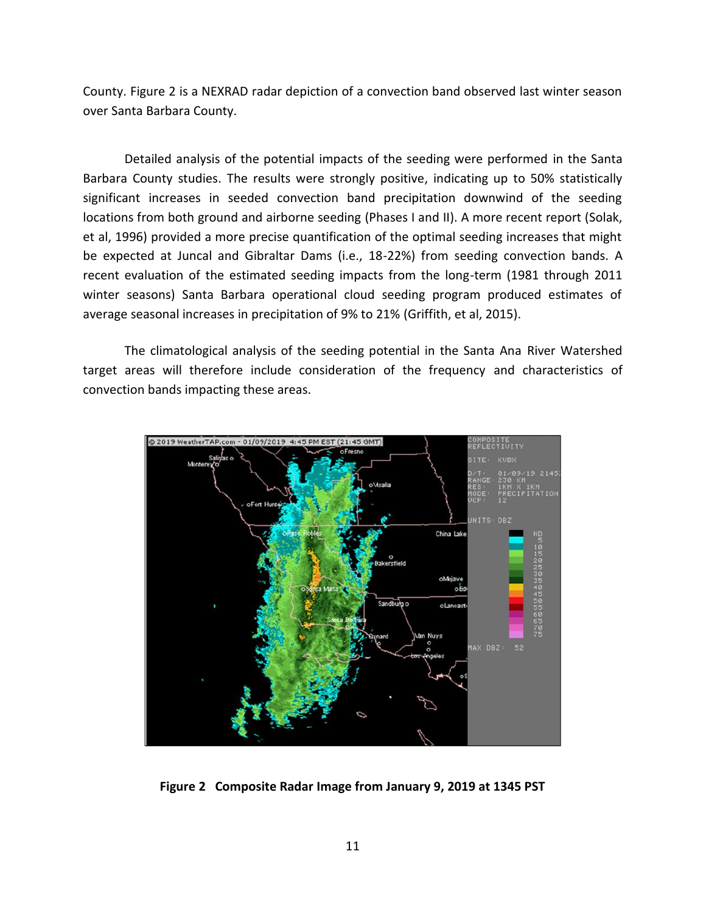County. Figure 2 is a NEXRAD radar depiction of a convection band observed last winter season over Santa Barbara County.

Detailed analysis of the potential impacts of the seeding were performed in the Santa Barbara County studies. The results were strongly positive, indicating up to 50% statistically significant increases in seeded convection band precipitation downwind of the seeding locations from both ground and airborne seeding (Phases I and II). A more recent report (Solak, et al, 1996) provided a more precise quantification of the optimal seeding increases that might be expected at Juncal and Gibraltar Dams (i.e., 18-22%) from seeding convection bands. A recent evaluation of the estimated seeding impacts from the long-term (1981 through 2011 winter seasons) Santa Barbara operational cloud seeding program produced estimates of average seasonal increases in precipitation of 9% to 21% (Griffith, et al, 2015).

The climatological analysis of the seeding potential in the Santa Ana River Watershed target areas will therefore include consideration of the frequency and characteristics of convection bands impacting these areas.



**Figure 2 Composite Radar Image from January 9, 2019 at 1345 PST**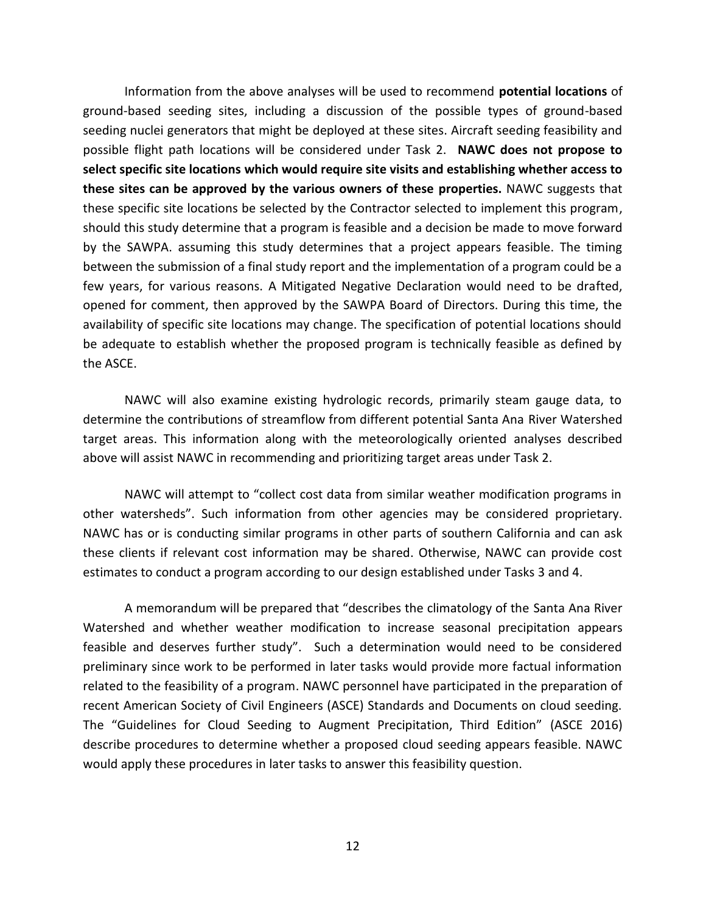Information from the above analyses will be used to recommend **potential locations** of ground-based seeding sites, including a discussion of the possible types of ground-based seeding nuclei generators that might be deployed at these sites. Aircraft seeding feasibility and possible flight path locations will be considered under Task 2. **NAWC does not propose to select specific site locations which would require site visits and establishing whether access to these sites can be approved by the various owners of these properties.** NAWC suggests that these specific site locations be selected by the Contractor selected to implement this program, should this study determine that a program is feasible and a decision be made to move forward by the SAWPA. assuming this study determines that a project appears feasible. The timing between the submission of a final study report and the implementation of a program could be a few years, for various reasons. A Mitigated Negative Declaration would need to be drafted, opened for comment, then approved by the SAWPA Board of Directors. During this time, the availability of specific site locations may change. The specification of potential locations should be adequate to establish whether the proposed program is technically feasible as defined by the ASCE.

NAWC will also examine existing hydrologic records, primarily steam gauge data, to determine the contributions of streamflow from different potential Santa Ana River Watershed target areas. This information along with the meteorologically oriented analyses described above will assist NAWC in recommending and prioritizing target areas under Task 2.

NAWC will attempt to "collect cost data from similar weather modification programs in other watersheds". Such information from other agencies may be considered proprietary. NAWC has or is conducting similar programs in other parts of southern California and can ask these clients if relevant cost information may be shared. Otherwise, NAWC can provide cost estimates to conduct a program according to our design established under Tasks 3 and 4.

A memorandum will be prepared that "describes the climatology of the Santa Ana River Watershed and whether weather modification to increase seasonal precipitation appears feasible and deserves further study". Such a determination would need to be considered preliminary since work to be performed in later tasks would provide more factual information related to the feasibility of a program. NAWC personnel have participated in the preparation of recent American Society of Civil Engineers (ASCE) Standards and Documents on cloud seeding. The "Guidelines for Cloud Seeding to Augment Precipitation, Third Edition" (ASCE 2016) describe procedures to determine whether a proposed cloud seeding appears feasible. NAWC would apply these procedures in later tasks to answer this feasibility question.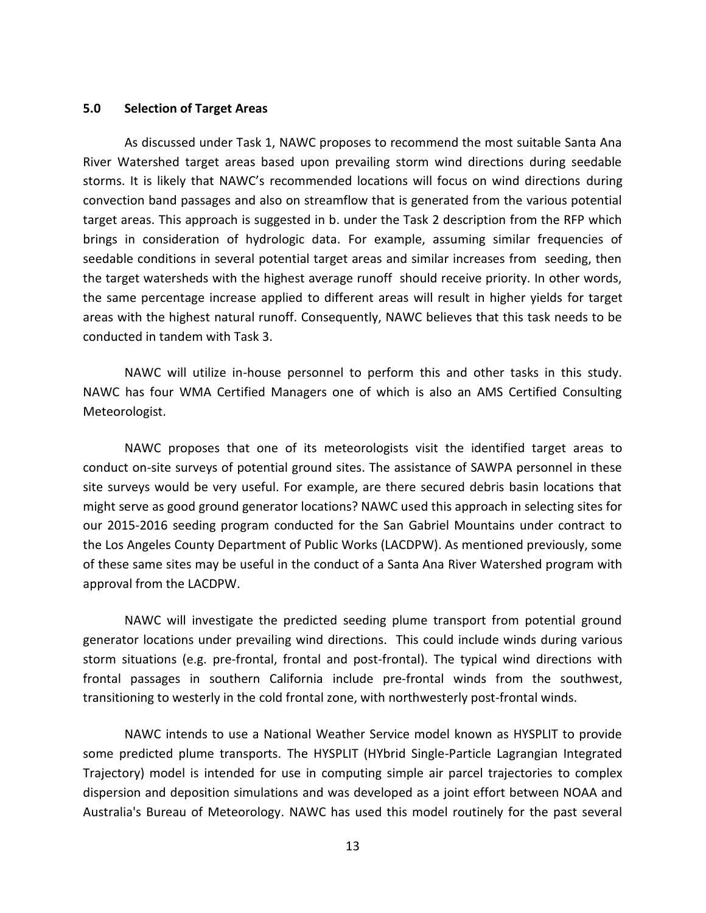## **5.0 Selection of Target Areas**

As discussed under Task 1, NAWC proposes to recommend the most suitable Santa Ana River Watershed target areas based upon prevailing storm wind directions during seedable storms. It is likely that NAWC's recommended locations will focus on wind directions during convection band passages and also on streamflow that is generated from the various potential target areas. This approach is suggested in b. under the Task 2 description from the RFP which brings in consideration of hydrologic data. For example, assuming similar frequencies of seedable conditions in several potential target areas and similar increases from seeding, then the target watersheds with the highest average runoff should receive priority. In other words, the same percentage increase applied to different areas will result in higher yields for target areas with the highest natural runoff. Consequently, NAWC believes that this task needs to be conducted in tandem with Task 3.

NAWC will utilize in-house personnel to perform this and other tasks in this study. NAWC has four WMA Certified Managers one of which is also an AMS Certified Consulting Meteorologist.

NAWC proposes that one of its meteorologists visit the identified target areas to conduct on-site surveys of potential ground sites. The assistance of SAWPA personnel in these site surveys would be very useful. For example, are there secured debris basin locations that might serve as good ground generator locations? NAWC used this approach in selecting sites for our 2015-2016 seeding program conducted for the San Gabriel Mountains under contract to the Los Angeles County Department of Public Works (LACDPW). As mentioned previously, some of these same sites may be useful in the conduct of a Santa Ana River Watershed program with approval from the LACDPW.

NAWC will investigate the predicted seeding plume transport from potential ground generator locations under prevailing wind directions. This could include winds during various storm situations (e.g. pre-frontal, frontal and post-frontal). The typical wind directions with frontal passages in southern California include pre-frontal winds from the southwest, transitioning to westerly in the cold frontal zone, with northwesterly post-frontal winds.

NAWC intends to use a National Weather Service model known as HYSPLIT to provide some predicted plume transports. The HYSPLIT (HYbrid Single-Particle Lagrangian Integrated Trajectory) model is intended for use in computing simple air parcel trajectories to complex dispersion and deposition simulations and was developed as a joint effort between NOAA and Australia's Bureau of Meteorology. NAWC has used this model routinely for the past several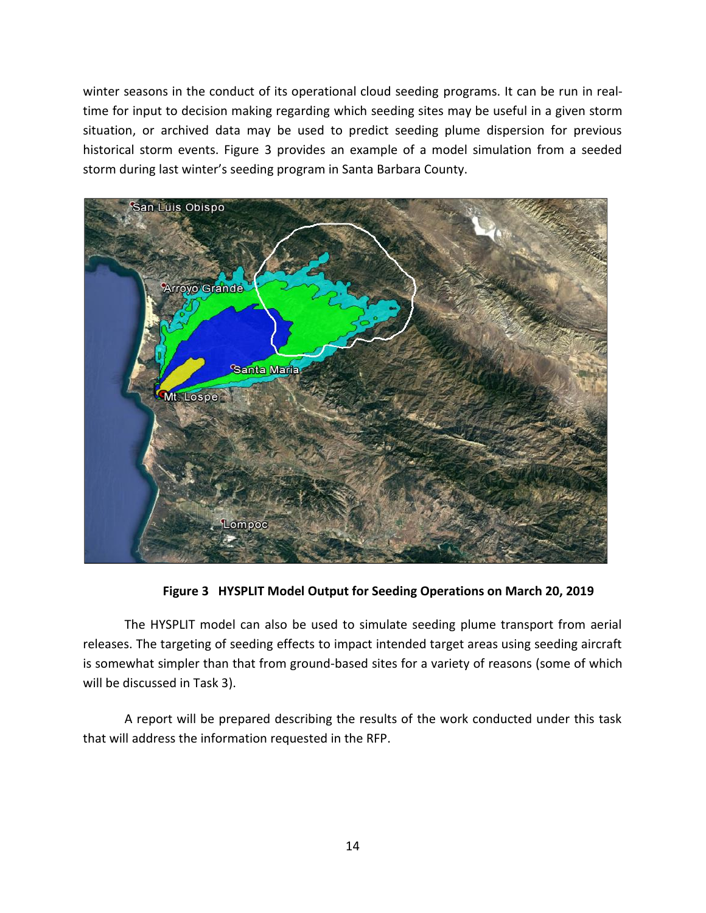winter seasons in the conduct of its operational cloud seeding programs. It can be run in real time for input to decision making regarding which seeding sites may be useful in a given storm situation, or archived data may be used to predict seeding plume dispersion for previous historical storm events. Figure 3 provides an example of a model simulation from a seeded storm during last winter's seeding program in Santa Barbara County.



**Figure 3 HYSPLIT Model Output for Seeding Operations on March 20, 2019**

The HYSPLIT model can also be used to simulate seeding plume transport from aerial releases. The targeting of seeding effects to impact intended target areas using seeding aircraft is somewhat simpler than that from ground-based sites for a variety of reasons (some of which will be discussed in Task 3).

A report will be prepared describing the results of the work conducted under this task that will address the information requested in the RFP.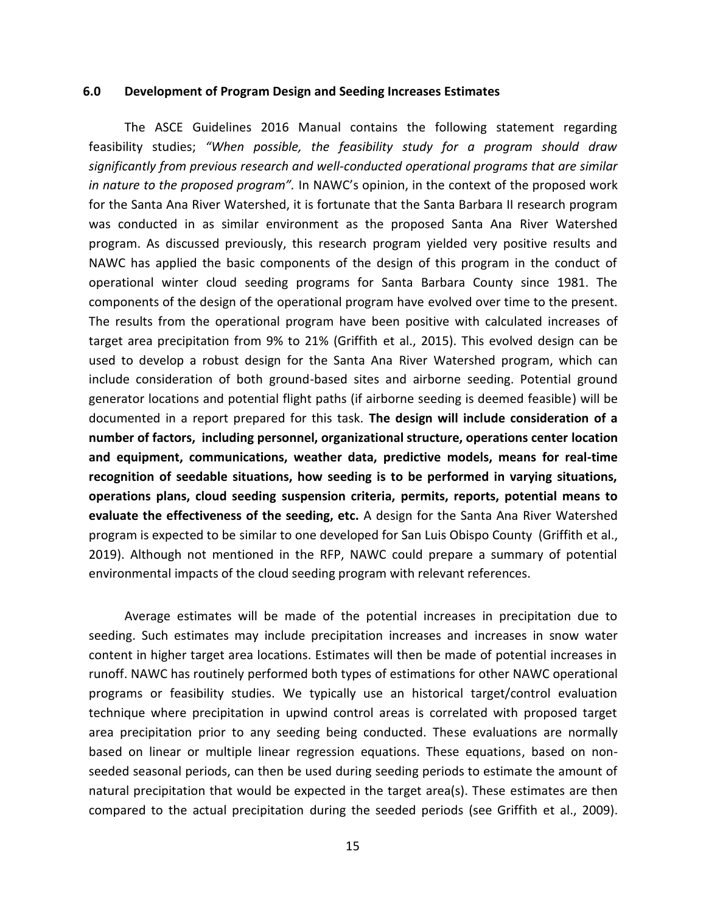#### **6.0 Development of Program Design and Seeding Increases Estimates**

The ASCE Guidelines 2016 Manual contains the following statement regarding feasibility studies; *"When possible, the feasibility study for a program should draw significantly from previous research and well-conducted operational programs that are similar in nature to the proposed program".* In NAWC's opinion, in the context of the proposed work for the Santa Ana River Watershed, it is fortunate that the Santa Barbara II research program was conducted in as similar environment as the proposed Santa Ana River Watershed program. As discussed previously, this research program yielded very positive results and NAWC has applied the basic components of the design of this program in the conduct of operational winter cloud seeding programs for Santa Barbara County since 1981. The components of the design of the operational program have evolved over time to the present. The results from the operational program have been positive with calculated increases of target area precipitation from 9% to 21% (Griffith et al., 2015). This evolved design can be used to develop a robust design for the Santa Ana River Watershed program, which can include consideration of both ground-based sites and airborne seeding. Potential ground generator locations and potential flight paths (if airborne seeding is deemed feasible) will be documented in a report prepared for this task. **The design will include consideration of a number of factors, including personnel, organizational structure, operations center location and equipment, communications, weather data, predictive models, means for real-time recognition of seedable situations, how seeding is to be performed in varying situations, operations plans, cloud seeding suspension criteria, permits, reports, potential means to evaluate the effectiveness of the seeding, etc.** A design for the Santa Ana River Watershed program is expected to be similar to one developed for San Luis Obispo County (Griffith et al., 2019). Although not mentioned in the RFP, NAWC could prepare a summary of potential environmental impacts of the cloud seeding program with relevant references.

Average estimates will be made of the potential increases in precipitation due to seeding. Such estimates may include precipitation increases and increases in snow water content in higher target area locations. Estimates will then be made of potential increases in runoff. NAWC has routinely performed both types of estimations for other NAWC operational programs or feasibility studies. We typically use an historical target/control evaluation technique where precipitation in upwind control areas is correlated with proposed target area precipitation prior to any seeding being conducted. These evaluations are normally based on linear or multiple linear regression equations. These equations, based on non seeded seasonal periods, can then be used during seeding periods to estimate the amount of natural precipitation that would be expected in the target area(s). These estimates are then compared to the actual precipitation during the seeded periods (see Griffith et al., 2009).

15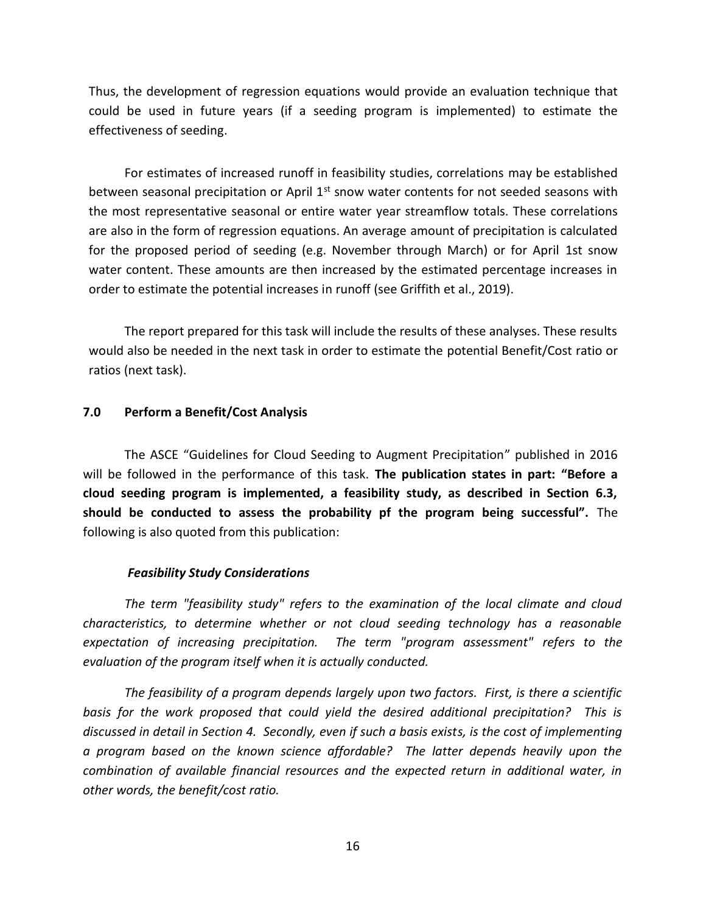Thus, the development of regression equations would provide an evaluation technique that could be used in future years (if a seeding program is implemented) to estimate the effectiveness of seeding.

For estimates of increased runoff in feasibility studies, correlations may be established between seasonal precipitation or April  $1<sup>st</sup>$  snow water contents for not seeded seasons with the most representative seasonal or entire water year streamflow totals. These correlations are also in the form of regression equations. An average amount of precipitation is calculated for the proposed period of seeding (e.g. November through March) or for April 1st snow water content. These amounts are then increased by the estimated percentage increases in order to estimate the potential increases in runoff (see Griffith et al., 2019).

The report prepared for this task will include the results of these analyses. These results would also be needed in the next task in order to estimate the potential Benefit/Cost ratio or ratios (next task).

### **7.0 Perform a Benefit/Cost Analysis**

The ASCE "Guidelines for Cloud Seeding to Augment Precipitation" published in 2016 will be followed in the performance of this task. **The publication states in part: "Before a cloud seeding program is implemented, a feasibility study, as described in Section 6.3, should be conducted to assess the probability pf the program being successful".** The following is also quoted from this publication:

#### *Feasibility Study Considerations*

*The term "feasibility study" refers to the examination of the local climate and cloud characteristics, to determine whether or not cloud seeding technology has a reasonable expectation of increasing precipitation. The term "program assessment" refers to the evaluation of the program itself when it is actually conducted.*

*The feasibility of a program depends largely upon two factors. First, is there a scientific basis for the work proposed that could yield the desired additional precipitation? This is discussed in detail in Section 4. Secondly, even if such a basis exists, is the cost of implementing a program based on the known science affordable? The latter depends heavily upon the combination of available financial resources and the expected return in additional water, in other words, the benefit/cost ratio.*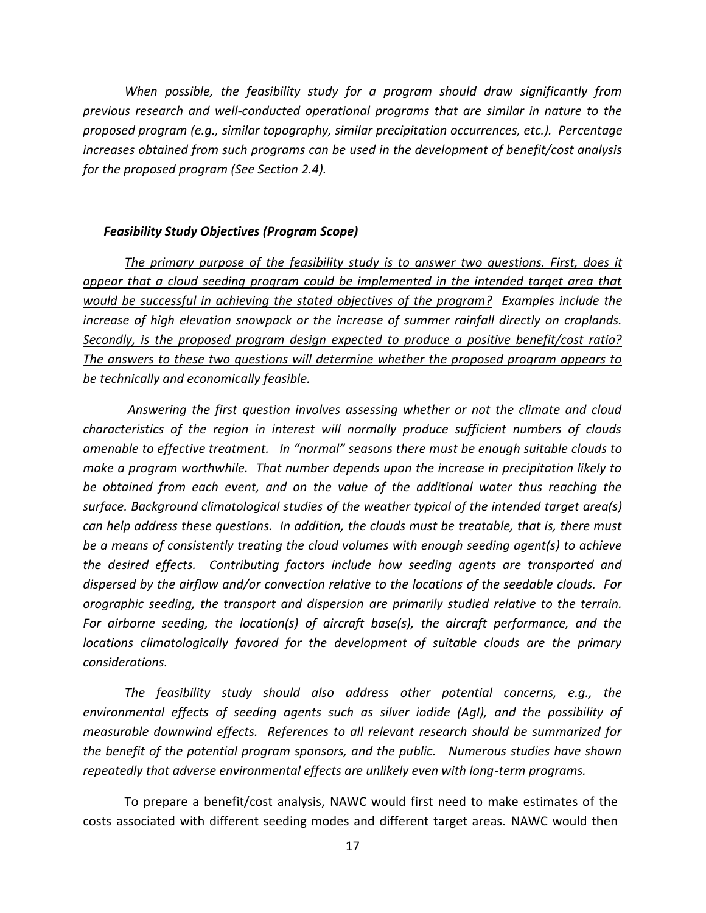*When possible, the feasibility study for a program should draw significantly from previous research and well-conducted operational programs that are similar in nature to the proposed program (e.g., similar topography, similar precipitation occurrences, etc.). Percentage increases obtained from such programs can be used in the development of benefit/cost analysis for the proposed program (See Section 2.4).*

#### *Feasibility Study Objectives (Program Scope)*

*The primary purpose of the feasibility study is to answer two questions. First, does it appear that a cloud seeding program could be implemented in the intended target area that would be successful in achieving the stated objectives of the program? Examples include the increase of high elevation snowpack or the increase of summer rainfall directly on croplands. Secondly, is the proposed program design expected to produce a positive benefit/cost ratio? The answers to these two questions will determine whether the proposed program appears to be technically and economically feasible.*

*Answering the first question involves assessing whether or not the climate and cloud characteristics of the region in interest will normally produce sufficient numbers of clouds amenable to effective treatment. In "normal" seasons there must be enough suitable clouds to make a program worthwhile. That number depends upon the increase in precipitation likely to be obtained from each event, and on the value of the additional water thus reaching the surface. Background climatological studies of the weather typical of the intended target area(s) can help address these questions. In addition, the clouds must be treatable, that is, there must be a means of consistently treating the cloud volumes with enough seeding agent(s) to achieve the desired effects. Contributing factors include how seeding agents are transported and dispersed by the airflow and/or convection relative to the locations of the seedable clouds. For orographic seeding, the transport and dispersion are primarily studied relative to the terrain. For airborne seeding, the location(s) of aircraft base(s), the aircraft performance, and the locations climatologically favored for the development of suitable clouds are the primary considerations.*

*The feasibility study should also address other potential concerns, e.g., the environmental effects of seeding agents such as silver iodide (AgI), and the possibility of measurable downwind effects. References to all relevant research should be summarized for the benefit of the potential program sponsors, and the public. Numerous studies have shown repeatedly that adverse environmental effects are unlikely even with long-term programs.*

To prepare a benefit/cost analysis, NAWC would first need to make estimates of the costs associated with different seeding modes and different target areas. NAWC would then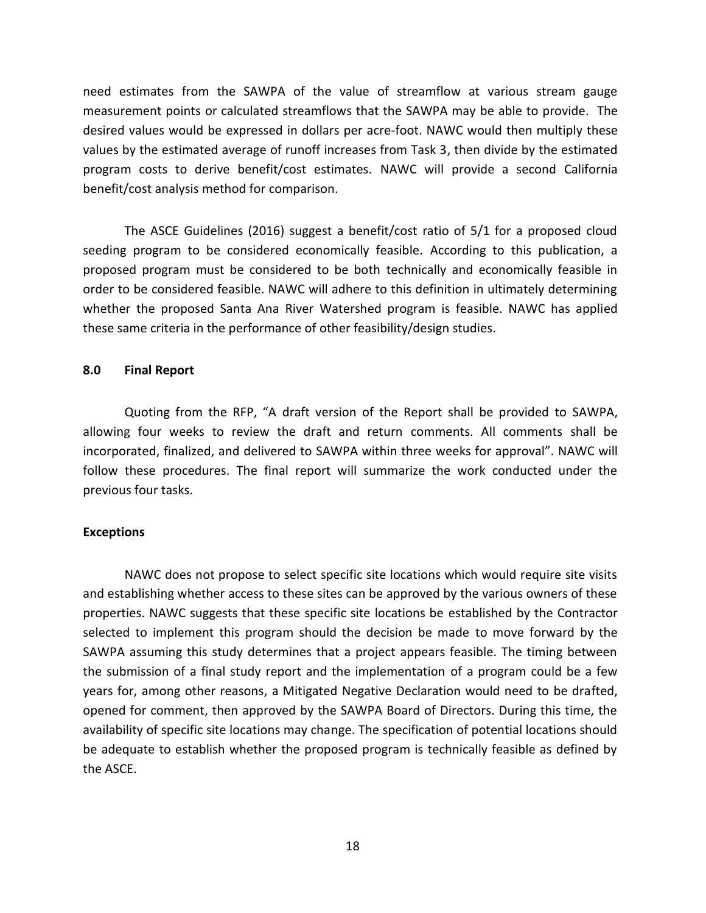need estimates from the SAWPA of the value of streamflow at various stream gauge measurement points or calculated streamflows that the SAWPA may be able to provide. The desired values would be expressed in dollars per acre-foot. NAWC would then multiply these values by the estimated average of runoff increases from Task 3, then divide by the estimated program costs to derive benefit/cost estimates. NAWC will provide a second California benefit/cost analysis method for comparison.

The ASCE Guidelines (2016) suggest a benefit/cost ratio of 5/1 for a proposed cloud seeding program to be considered economically feasible. According to this publication, a proposed program must be considered to be both technically and economically feasible in order to be considered feasible. NAWC will adhere to this definition in ultimately determining whether the proposed Santa Ana River Watershed program is feasible. NAWC has applied these same criteria in the performance of other feasibility/design studies.

#### **8.0 Final Report**

Quoting from the RFP, "A draft version of the Report shall be provided to SAWPA, allowing four weeks to review the draft and return comments. All comments shall be incorporated, finalized, and delivered to SAWPA within three weeks for approval". NAWC will follow these procedures. The final report will summarize the work conducted under the previous four tasks.

#### **Exceptions**

NAWC does not propose to select specific site locations which would require site visits and establishing whether access to these sites can be approved by the various owners of these properties. NAWC suggests that these specific site locations be established by the Contractor selected to implement this program should the decision be made to move forward by the SAWPA assuming this study determines that a project appears feasible. The timing between the submission of a final study report and the implementation of a program could be a few years for, among other reasons, a Mitigated Negative Declaration would need to be drafted, opened for comment, then approved by the SAWPA Board of Directors. During this time, the availability of specific site locations may change. The specification of potential locations should be adequate to establish whether the proposed program is technically feasible as defined by the ASCE.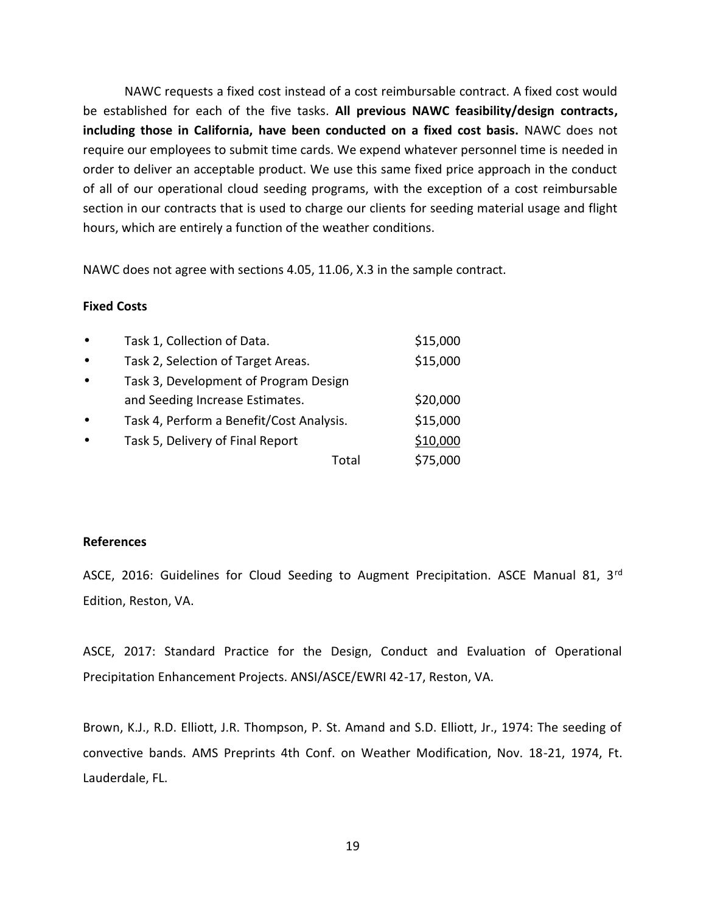NAWC requests a fixed cost instead of a cost reimbursable contract. A fixed cost would be established for each of the five tasks. **All previous NAWC feasibility/design contracts, including those in California, have been conducted on a fixed cost basis.** NAWC does not require our employees to submit time cards. We expend whatever personnel time is needed in order to deliver an acceptable product. We use this same fixed price approach in the conduct of all of our operational cloud seeding programs, with the exception of a cost reimbursable section in our contracts that is used to charge our clients for seeding material usage and flight hours, which are entirely a function of the weather conditions.

NAWC does not agree with sections 4.05, 11.06, X.3 in the sample contract.

#### **Fixed Costs**

| Task 1, Collection of Data.              | \$15,000 |  |
|------------------------------------------|----------|--|
| Task 2, Selection of Target Areas.       | \$15,000 |  |
| Task 3, Development of Program Design    |          |  |
| and Seeding Increase Estimates.          | \$20,000 |  |
| Task 4, Perform a Benefit/Cost Analysis. | \$15,000 |  |
| Task 5, Delivery of Final Report         | \$10,000 |  |
| Total                                    | \$75,000 |  |

## **References**

ASCE, 2016: Guidelines for Cloud Seeding to Augment Precipitation. ASCE Manual 81, 3rd Edition, Reston, VA.

ASCE, 2017: Standard Practice for the Design, Conduct and Evaluation of Operational Precipitation Enhancement Projects. ANSI/ASCE/EWRI 42-17, Reston, VA.

Brown, K.J., R.D. Elliott, J.R. Thompson, P. St. Amand and S.D. Elliott, Jr., 1974: The seeding of convective bands. AMS Preprints 4th Conf. on Weather Modification, Nov. 18-21, 1974, Ft. Lauderdale, FL.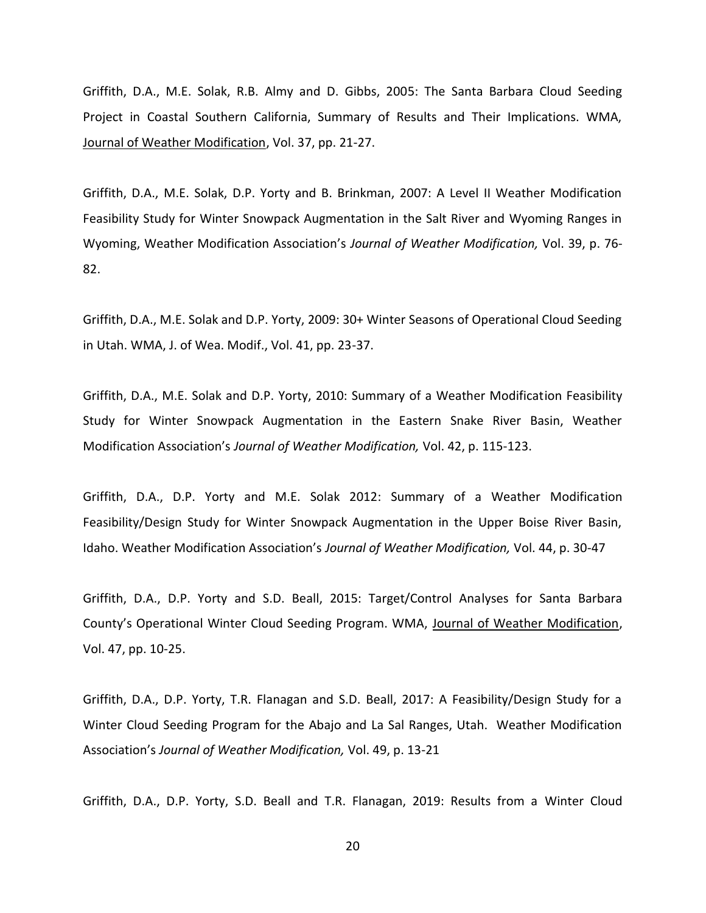Griffith, D.A., M.E. Solak, R.B. Almy and D. Gibbs, 2005: The Santa Barbara Cloud Seeding Project in Coastal Southern California, Summary of Results and Their Implications. WMA, Journal of Weather Modification, Vol. 37, pp. 21-27.

Griffith, D.A., M.E. Solak, D.P. Yorty and B. Brinkman, 2007: A Level II Weather Modification Feasibility Study for Winter Snowpack Augmentation in the Salt River and Wyoming Ranges in Wyoming, Weather Modification Association's *Journal of Weather Modification,* Vol. 39, p. 76- 82.

Griffith, D.A., M.E. Solak and D.P. Yorty, 2009: 30+ Winter Seasons of Operational Cloud Seeding in Utah. WMA, J. of Wea. Modif., Vol. 41, pp. 23-37.

Griffith, D.A., M.E. Solak and D.P. Yorty, 2010: Summary of a Weather Modification Feasibility Study for Winter Snowpack Augmentation in the Eastern Snake River Basin, Weather Modification Association's *Journal of Weather Modification,* Vol. 42, p. 115-123.

Griffith, D.A., D.P. Yorty and M.E. Solak 2012: Summary of a Weather Modification Feasibility/Design Study for Winter Snowpack Augmentation in the Upper Boise River Basin, Idaho. Weather Modification Association's *Journal of Weather Modification,* Vol. 44, p. 30-47

Griffith, D.A., D.P. Yorty and S.D. Beall, 2015: Target/Control Analyses for Santa Barbara County's Operational Winter Cloud Seeding Program. WMA, Journal of Weather Modification, Vol. 47, pp. 10-25.

Griffith, D.A., D.P. Yorty, T.R. Flanagan and S.D. Beall, 2017: A Feasibility/Design Study for a Winter Cloud Seeding Program for the Abajo and La Sal Ranges, Utah. Weather Modification Association's *Journal of Weather Modification,* Vol. 49, p. 13-21

Griffith, D.A., D.P. Yorty, S.D. Beall and T.R. Flanagan, 2019: Results from a Winter Cloud

20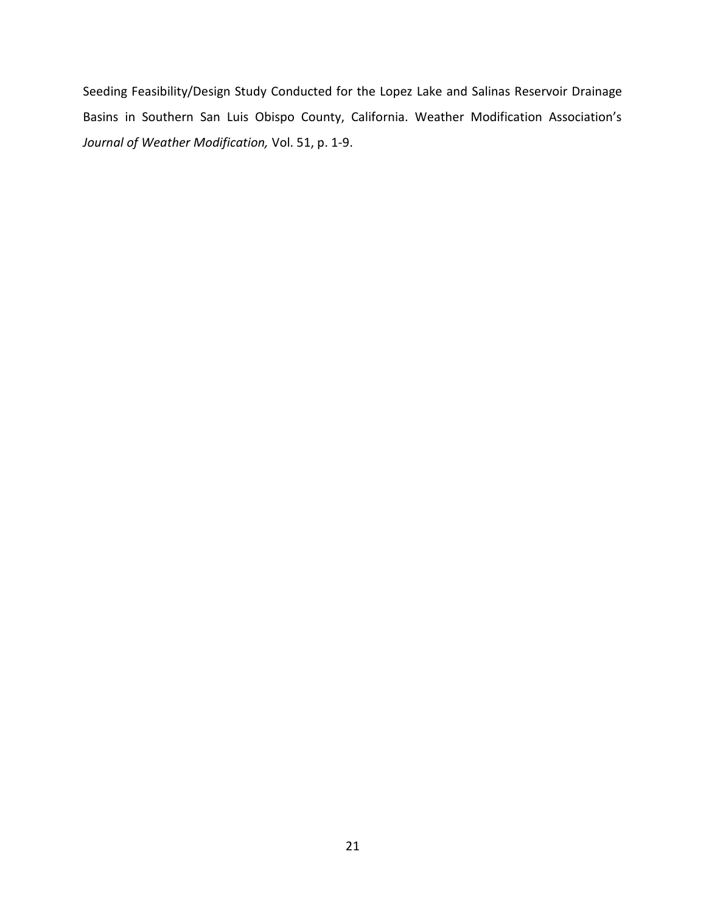Seeding Feasibility/Design Study Conducted for the Lopez Lake and Salinas Reservoir Drainage Basins in Southern San Luis Obispo County, California. Weather Modification Association's *Journal of Weather Modification,* Vol. 51, p. 1-9.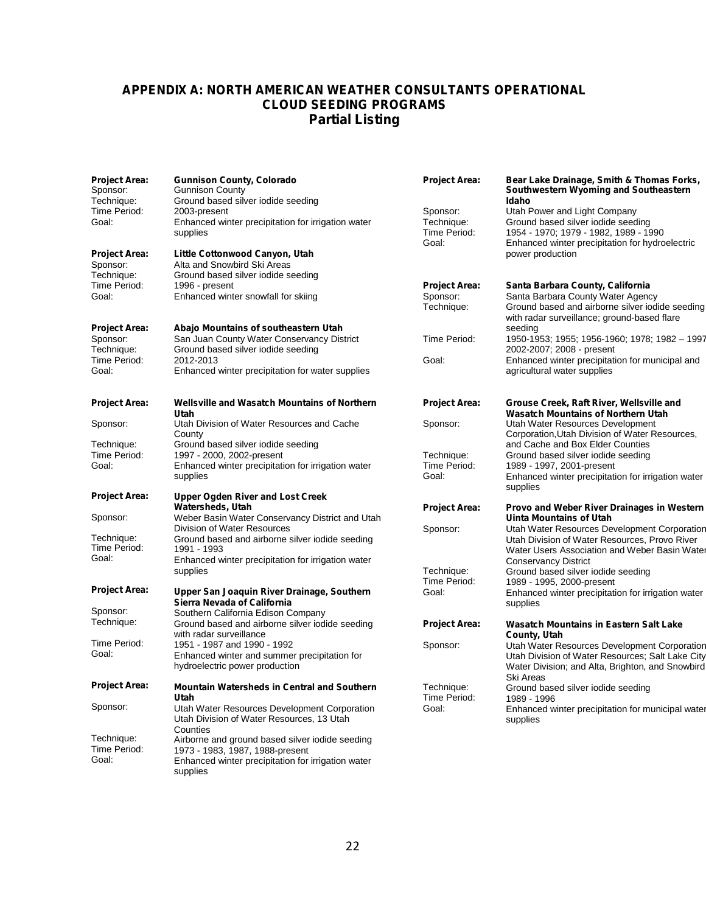## **APPENDIX A: NORTH AMERICAN WEATHER CONSULTANTS OPERATIONAL CLOUD SEEDING PROGRAMS Partial Listing**

| <b>Project Area:</b><br>Sponsor:<br>Technique: | Gunnison County, Colorado<br>Gunnison County<br>Ground based silver iodide seeding                                       | <b>Project Area:</b>                            | Bear Lake Drainage, Smith & Thomas Forks,<br>Southwestern Wyoming and Southeastern<br>Idaho                                                                             |
|------------------------------------------------|--------------------------------------------------------------------------------------------------------------------------|-------------------------------------------------|-------------------------------------------------------------------------------------------------------------------------------------------------------------------------|
| Time Period:<br>Goal:                          | 2003-present<br>Enhanced winter precipitation for irrigation water<br>supplies                                           | Sponsor:<br>Technique:<br>Time Period:<br>Goal: | Utah Power and Light Company<br>Ground based silver iodide seeding<br>1954 - 1970; 1979 - 1982, 1989 - 1990<br>Enhanced winter precipitation for hydroelectric          |
| <b>Project Area:</b><br>Sponsor:<br>Technique: | Little Cottonwood Canyon, Utah<br>Alta and Snowbird Ski Areas<br>Ground based silver iodide seeding                      |                                                 | power production                                                                                                                                                        |
| Time Period:<br>Goal:                          | 1996 - present<br>Enhanced winter snowfall for skiing                                                                    | <b>Project Area:</b><br>Sponsor:<br>Technique:  | Santa Barbara County, California<br>Santa Barbara County Water Agency<br>Ground based and airborne silver iodide seeding<br>with radar surveillance; ground-based flare |
| <b>Project Area:</b><br>Sponsor:<br>Technique: | Abajo Mountains of southeastern Utah<br>San Juan County Water Conservancy District<br>Ground based silver iodide seeding | Time Period:                                    | seeding<br>1950-1953; 1955; 1956-1960; 1978; 1982 - 1997<br>2002-2007; 2008 - present                                                                                   |
| Time Period:<br>Goal:                          | 2012-2013<br>Enhanced winter precipitation for water supplies                                                            | Goal:                                           | Enhanced winter precipitation for municipal and<br>agricultural water supplies                                                                                          |
| <b>Project Area:</b>                           | <b>Wellsville and Wasatch Mountains of Northern</b><br>Utah                                                              | <b>Project Area:</b>                            | Grouse Creek, Raft River, Wellsville and<br><b>Wasatch Mountains of Northern Utah</b>                                                                                   |
| Sponsor:                                       | Utah Division of Water Resources and Cache<br>County                                                                     | Sponsor:                                        | Utah Water Resources Development<br>Corporation, Utah Division of Water Resources,                                                                                      |
| Technique:                                     | Ground based silver iodide seeding                                                                                       |                                                 | and Cache and Box Elder Counties                                                                                                                                        |
| Time Period:<br>Goal:                          | 1997 - 2000, 2002-present                                                                                                | Technique:<br>Time Period:                      | Ground based silver iodide seeding<br>1989 - 1997, 2001-present                                                                                                         |
|                                                | Enhanced winter precipitation for irrigation water<br>supplies                                                           | Goal:                                           | Enhanced winter precipitation for irrigation water<br>supplies                                                                                                          |
| <b>Project Area:</b>                           | <b>Upper Ogden River and Lost Creek</b>                                                                                  |                                                 |                                                                                                                                                                         |
| Sponsor:                                       | Watersheds, Utah<br>Weber Basin Water Conservancy District and Utah<br>Division of Water Resources                       | <b>Project Area:</b><br>Sponsor:                | Provo and Weber River Drainages in Western<br>Uinta Mountains of Utah<br>Utah Water Resources Development Corporation                                                   |
| Technique:<br>Time Period:                     | Ground based and airborne silver iodide seeding<br>1991 - 1993                                                           |                                                 | Utah Division of Water Resources, Provo River<br>Water Users Association and Weber Basin Water                                                                          |
| Goal:                                          | Enhanced winter precipitation for irrigation water<br>supplies                                                           | Technique:                                      | <b>Conservancy District</b><br>Ground based silver iodide seeding                                                                                                       |
| <b>Project Area:</b>                           | Upper San Joaquin River Drainage, Southern<br>Sierra Nevada of California                                                | Time Period:<br>Goal:                           | 1989 - 1995, 2000-present<br>Enhanced winter precipitation for irrigation water<br>supplies                                                                             |
| Sponsor:                                       | Southern California Edison Company                                                                                       |                                                 |                                                                                                                                                                         |
| Technique:                                     | Ground based and airborne silver iodide seeding<br>with radar surveillance                                               | <b>Project Area:</b>                            | <b>Wasatch Mountains in Eastern Salt Lake</b><br>County, Utah                                                                                                           |
| Time Period:<br>Goal:                          | 1951 - 1987 and 1990 - 1992                                                                                              | Sponsor:                                        | Utah Water Resources Development Corporation                                                                                                                            |
|                                                | Enhanced winter and summer precipitation for<br>hydroelectric power production                                           |                                                 | Utah Division of Water Resources; Salt Lake City<br>Water Division; and Alta, Brighton, and Snowbird<br>Ski Areas                                                       |
| <b>Project Area:</b>                           | Mountain Watersheds in Central and Southern<br>Utah                                                                      | Technique:<br>Time Period:                      | Ground based silver iodide seeding<br>1989 - 1996                                                                                                                       |
| Sponsor:                                       | Utah Water Resources Development Corporation<br>Utah Division of Water Resources, 13 Utah<br>Counties                    | Goal:                                           | Enhanced winter precipitation for municipal water<br>supplies                                                                                                           |
| Technique:<br>Time Period:                     | Airborne and ground based silver iodide seeding<br>1973 - 1983, 1987, 1988-present                                       |                                                 |                                                                                                                                                                         |
| Goal:                                          | Enhanced winter precipitation for irrigation water<br>supplies                                                           |                                                 |                                                                                                                                                                         |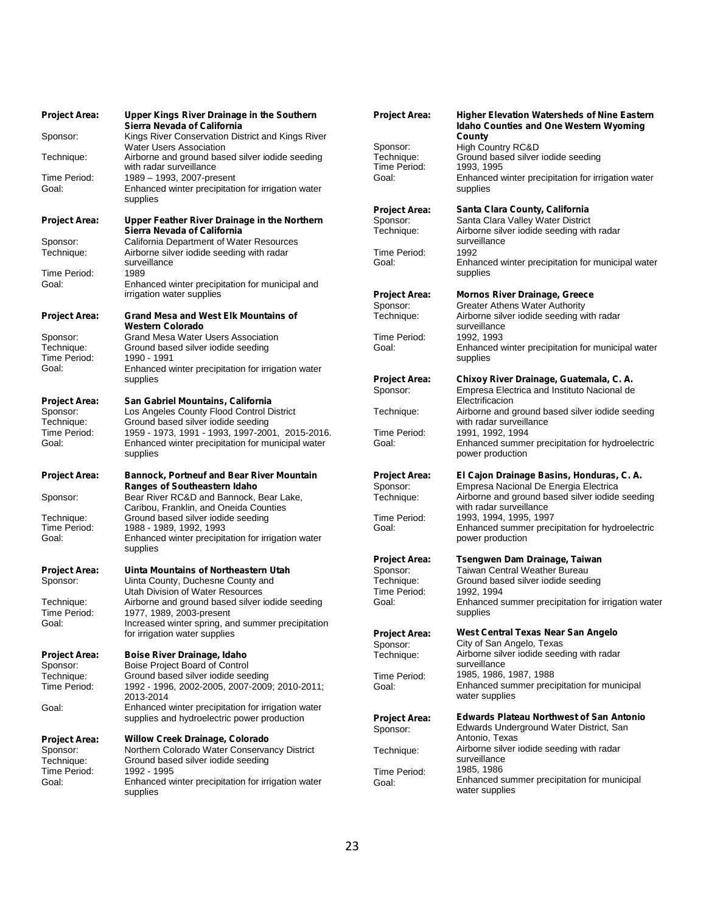| <b>Project Area:</b>             | Upper Kings River Drainage in the Southern<br>Sierra Nevada of California                                    | <b>Project Area:</b>                   | <b>Higher Elevation Watersheds of Nine Eastern</b><br><b>Idaho Counties and One Western Wyoming</b> |
|----------------------------------|--------------------------------------------------------------------------------------------------------------|----------------------------------------|-----------------------------------------------------------------------------------------------------|
| Sponsor:                         | Kings River Conservation District and Kings River                                                            |                                        | County                                                                                              |
| Technique:                       | <b>Water Users Association</b><br>Airborne and ground based silver iodide seeding<br>with radar surveillance | Sponsor:<br>Technique:<br>Time Period: | High Country RC&D<br>Ground based silver iodide seeding<br>1993, 1995                               |
| Time Period:                     | 1989 - 1993, 2007-present                                                                                    | Goal:                                  | Enhanced winter precipitation for irrigation water                                                  |
| Goal:                            | Enhanced winter precipitation for irrigation water<br>supplies                                               |                                        | supplies                                                                                            |
|                                  |                                                                                                              | <b>Project Area:</b>                   | Santa Clara County, California                                                                      |
| <b>Project Area:</b>             | Upper Feather River Drainage in the Northern<br>Sierra Nevada of California                                  | Sponsor:<br>Technique:                 | Santa Clara Valley Water District<br>Airborne silver iodide seeding with radar                      |
| Sponsor:                         | California Department of Water Resources                                                                     |                                        | surveillance                                                                                        |
| Technique:                       | Airborne silver iodide seeding with radar                                                                    | Time Period:                           | 1992                                                                                                |
| Time Period:                     | surveillance<br>1989                                                                                         | Goal:                                  | Enhanced winter precipitation for municipal water<br>supplies                                       |
| Goal:                            | Enhanced winter precipitation for municipal and                                                              |                                        |                                                                                                     |
|                                  | irrigation water supplies                                                                                    | <b>Project Area:</b>                   | <b>Mornos River Drainage, Greece</b>                                                                |
|                                  |                                                                                                              | Sponsor:<br>Technique:                 | <b>Greater Athens Water Authority</b>                                                               |
| <b>Project Area:</b>             | <b>Grand Mesa and West Elk Mountains of</b><br><b>Western Colorado</b>                                       |                                        | Airborne silver iodide seeding with radar<br>surveillance                                           |
| Sponsor:                         | Grand Mesa Water Users Association                                                                           | Time Period:                           | 1992, 1993                                                                                          |
| Technique:                       | Ground based silver iodide seeding                                                                           | Goal:                                  | Enhanced winter precipitation for municipal water                                                   |
| Time Period:<br>Goal:            | 1990 - 1991<br>Enhanced winter precipitation for irrigation water                                            |                                        | supplies                                                                                            |
|                                  | supplies                                                                                                     | <b>Project Area:</b>                   | Chixoy River Drainage, Guatemala, C. A.                                                             |
|                                  |                                                                                                              | Sponsor:                               | Empresa Electrica and Instituto Nacional de                                                         |
| <b>Project Area:</b><br>Sponsor: | San Gabriel Mountains, California<br>Los Angeles County Flood Control District                               | Technique:                             | Electrificacion<br>Airborne and ground based silver iodide seeding                                  |
| Technique:                       | Ground based silver iodide seeding                                                                           |                                        | with radar surveillance                                                                             |
| Time Period:                     | 1959 - 1973, 1991 - 1993, 1997-2001, 2015-2016.                                                              | Time Period:                           | 1991, 1992, 1994                                                                                    |
| Goal:                            | Enhanced winter precipitation for municipal water<br>supplies                                                | Goal:                                  | Enhanced summer precipitation for hydroelectric<br>power production                                 |
| <b>Project Area:</b>             | <b>Bannock, Portneuf and Bear River Mountain</b>                                                             | <b>Project Area:</b>                   | El Cajon Drainage Basins, Honduras, C. A.                                                           |
| Sponsor:                         | Ranges of Southeastern Idaho<br>Bear River RC&D and Bannock, Bear Lake,                                      | Sponsor:<br>Technique:                 | Empresa Nacional De Energia Electrica<br>Airborne and ground based silver iodide seeding            |
|                                  | Caribou, Franklin, and Oneida Counties                                                                       |                                        | with radar surveillance                                                                             |
| Technique:                       | Ground based silver iodide seeding                                                                           | Time Period:                           | 1993, 1994, 1995, 1997                                                                              |
| Time Period:<br>Goal:            | 1988 - 1989, 1992, 1993<br>Enhanced winter precipitation for irrigation water<br>supplies                    | Goal:                                  | Enhanced summer precipitation for hydroelectric<br>power production                                 |
|                                  |                                                                                                              | <b>Project Area:</b>                   | Tsengwen Dam Drainage, Taiwan                                                                       |
| <b>Project Area:</b>             | Uinta Mountains of Northeastern Utah                                                                         | Sponsor:                               | Taiwan Central Weather Bureau                                                                       |
| Sponsor:                         | Uinta County, Duchesne County and                                                                            | Technique:                             | Ground based silver iodide seeding                                                                  |
| Technique:                       | Utah Division of Water Resources<br>Airborne and ground based silver iodide seeding                          | Time Period:<br>Goal:                  | 1992, 1994<br>Enhanced summer precipitation for irrigation water                                    |
| Time Period:                     | 1977, 1989, 2003-present                                                                                     |                                        | supplies                                                                                            |
| Goal:                            | Increased winter spring, and summer precipitation                                                            |                                        | West Central Texas Near San Angelo                                                                  |
|                                  | for irrigation water supplies                                                                                | <b>Project Area:</b><br>Sponsor:       | City of San Angelo, Texas                                                                           |
| <b>Project Area:</b>             | Boise River Drainage, Idaho                                                                                  | Technique:                             | Airborne silver iodide seeding with radar                                                           |
| Sponsor:                         | Boise Project Board of Control                                                                               |                                        | surveillance                                                                                        |
| Technique:<br>Time Period:       | Ground based silver iodide seeding<br>1992 - 1996, 2002-2005, 2007-2009; 2010-2011;                          | Time Period:<br>Goal:                  | 1985, 1986, 1987, 1988<br>Enhanced summer precipitation for municipal                               |
|                                  | 2013-2014                                                                                                    |                                        | water supplies                                                                                      |
| Goal:                            | Enhanced winter precipitation for irrigation water                                                           |                                        |                                                                                                     |
|                                  | supplies and hydroelectric power production                                                                  | <b>Project Area:</b><br>Sponsor:       | <b>Edwards Plateau Northwest of San Antonio</b><br>Edwards Underground Water District, San          |
| <b>Project Area:</b>             | <b>Willow Creek Drainage, Colorado</b>                                                                       |                                        | Antonio, Texas                                                                                      |
| Sponsor:                         | Northern Colorado Water Conservancy District                                                                 | Technique:                             | Airborne silver iodide seeding with radar                                                           |
| Technique:<br>Time Period:       | Ground based silver iodide seeding<br>1992 - 1995                                                            | Time Period:                           | surveillance<br>1985, 1986                                                                          |
| Goal:                            | Enhanced winter precipitation for irrigation water                                                           | Goal:                                  | Enhanced summer precipitation for municipal                                                         |
|                                  | supplies                                                                                                     |                                        | water supplies                                                                                      |

| Upper Kings River Drainage in the Southern                                 | <b>Project Area:</b>   | <b>Higher Elevation Watersheds of Nine Eastern</b>                     |
|----------------------------------------------------------------------------|------------------------|------------------------------------------------------------------------|
| Sierra Nevada of California                                                |                        | <b>Idaho Counties and One Western Wyoming</b>                          |
| Kings River Conservation District and Kings River                          |                        | County                                                                 |
| Water Users Association<br>Airborne and ground based silver iodide seeding | Sponsor:<br>Technique: | High Country RC&D<br>Ground based silver iodide seeding                |
| with radar surveillance                                                    | Time Period:           | 1993, 1995                                                             |
| 1989 - 1993, 2007-present                                                  | Goal:                  | Enhanced winter precipitation for irrigation water                     |
| Enhanced winter precipitation for irrigation water                         |                        | supplies                                                               |
| supplies                                                                   |                        |                                                                        |
|                                                                            | <b>Project Area:</b>   | Santa Clara County, California                                         |
| Upper Feather River Drainage in the Northern                               | Sponsor:               | Santa Clara Valley Water District                                      |
| Sierra Nevada of California                                                | Technique:             | Airborne silver iodide seeding with radar                              |
| California Department of Water Resources                                   |                        | surveillance                                                           |
| Airborne silver iodide seeding with radar                                  | Time Period:           | 1992                                                                   |
| surveillance                                                               | Goal:                  | Enhanced winter precipitation for municipal water                      |
| 1989                                                                       |                        | supplies                                                               |
| Enhanced winter precipitation for municipal and                            |                        |                                                                        |
| irrigation water supplies                                                  | Project Area:          | <b>Mornos River Drainage, Greece</b>                                   |
|                                                                            | Sponsor:               | <b>Greater Athens Water Authority</b>                                  |
| Grand Mesa and West Elk Mountains of                                       | Technique:             | Airborne silver iodide seeding with radar                              |
| Western Colorado                                                           |                        | surveillance                                                           |
| Grand Mesa Water Users Association                                         | Time Period:           | 1992, 1993                                                             |
| Ground based silver iodide seeding                                         | Goal:                  | Enhanced winter precipitation for municipal water                      |
| 1990 - 1991                                                                |                        | supplies                                                               |
| Enhanced winter precipitation for irrigation water                         |                        |                                                                        |
| supplies                                                                   | <b>Project Area:</b>   | Chixoy River Drainage, Guatemala, C. A.                                |
|                                                                            | Sponsor:               | Empresa Electrica and Instituto Nacional de                            |
| San Gabriel Mountains, California                                          |                        | Electrificacion                                                        |
| Los Angeles County Flood Control District                                  | Technique:             | Airborne and ground based silver iodide seeding                        |
| Ground based silver iodide seeding                                         |                        | with radar surveillance                                                |
| 1959 - 1973, 1991 - 1993, 1997-2001, 2015-2016.                            | Time Period:<br>Goal:  | 1991, 1992, 1994                                                       |
| Enhanced winter precipitation for municipal water<br>supplies              |                        | Enhanced summer precipitation for hydroelectric<br>power production    |
|                                                                            |                        |                                                                        |
| Bannock, Portneuf and Bear River Mountain                                  | <b>Project Area:</b>   | El Cajon Drainage Basins, Honduras, C. A.                              |
| <b>Ranges of Southeastern Idaho</b>                                        | Sponsor:               | Empresa Nacional De Energia Electrica                                  |
| Bear River RC&D and Bannock, Bear Lake,                                    | Technique:             | Airborne and ground based silver iodide seeding                        |
| Caribou, Franklin, and Oneida Counties                                     |                        | with radar surveillance                                                |
| Ground based silver iodide seeding                                         | Time Period:           | 1993, 1994, 1995, 1997                                                 |
| 1988 - 1989, 1992, 1993                                                    | Goal:                  | Enhanced summer precipitation for hydroelectric                        |
| Enhanced winter precipitation for irrigation water                         |                        | power production                                                       |
| supplies                                                                   |                        |                                                                        |
|                                                                            | <b>Project Area:</b>   | Tsengwen Dam Drainage, Taiwan                                          |
| Uinta Mountains of Northeastern Utah                                       | Sponsor:               | Taiwan Central Weather Bureau                                          |
| Uinta County, Duchesne County and                                          | Technique:             | Ground based silver iodide seeding                                     |
| Utah Division of Water Resources                                           | Time Period:           | 1992, 1994                                                             |
| Airborne and ground based silver iodide seeding                            | Goal:                  | Enhanced summer precipitation for irrigation water                     |
| 1977, 1989, 2003-present                                                   |                        | supplies                                                               |
| Increased winter spring, and summer precipitation                          |                        |                                                                        |
| for irrigation water supplies                                              | <b>Project Area:</b>   | West Central Texas Near San Angelo                                     |
|                                                                            | Sponsor:               | City of San Angelo, Texas<br>Airborne silver iodide seeding with radar |
| Boise River Drainage, Idaho                                                | Technique:             | surveillance                                                           |
| Boise Project Board of Control                                             |                        | 1985, 1986, 1987, 1988                                                 |
| Ground based silver iodide seeding                                         | Time Period:           | Enhanced summer precipitation for municipal                            |
| 1992 - 1996, 2002-2005, 2007-2009; 2010-2011;<br>2013-2014                 | Goal:                  | water supplies                                                         |
| Enhanced winter precipitation for irrigation water                         |                        |                                                                        |
| supplies and hydroelectric power production                                | <b>Project Area:</b>   | <b>Edwards Plateau Northwest of San Antonio</b>                        |
|                                                                            | Sponsor:               | Edwards Underground Water District, San                                |
| Willow Creek Drainage, Colorado                                            |                        | Antonio, Texas                                                         |
| Northern Colorado Water Conservancy District                               | Technique:             | Airborne silver iodide seeding with radar                              |
| Ground based silver iodide seeding                                         |                        | surveillance                                                           |
| 1992 - 1995                                                                | Time Period:           | 1985, 1986                                                             |
| Enhanced winter precipitation for irrigation water                         | Goal:                  | Enhanced summer precipitation for municipal                            |
| supplies                                                                   |                        | water supplies                                                         |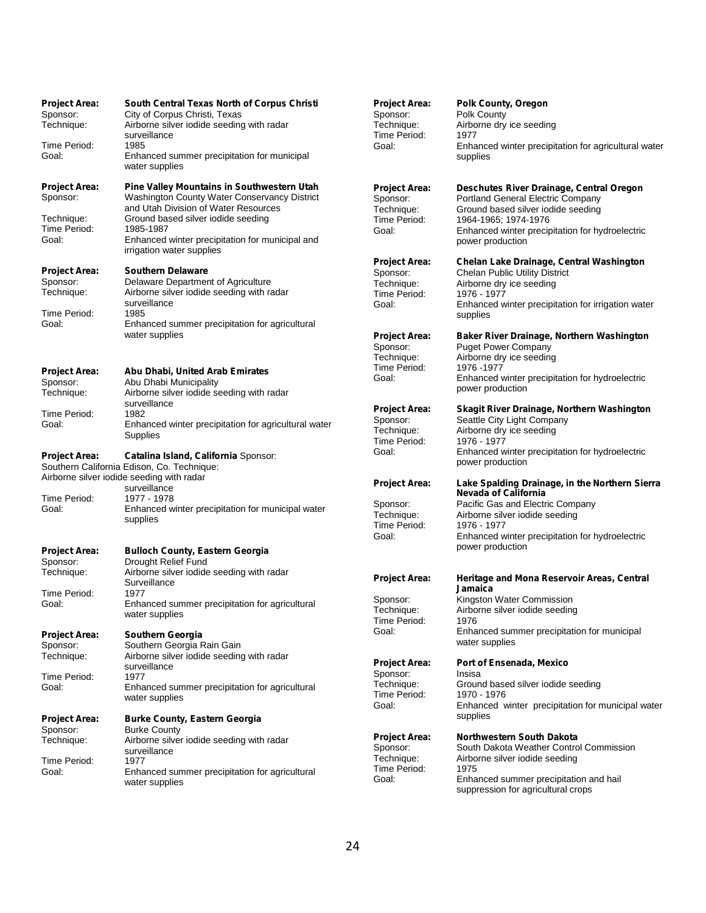| <b>Project Area:</b><br>Sponsor:<br>Technique: | South Central Texas North of Corpus Christi<br>City of Corpus Christi, Texas<br>Airborne silver iodide seeding with radar | <b>Project Area:</b><br>Sponsor:<br>Technique: | <b>Polk County, Oregon</b><br>Polk County<br>Airborne dry ice seeding         |
|------------------------------------------------|---------------------------------------------------------------------------------------------------------------------------|------------------------------------------------|-------------------------------------------------------------------------------|
|                                                | surveillance                                                                                                              | Time Period:                                   | 1977                                                                          |
| Time Period:<br>Goal:                          | 1985<br>Enhanced summer precipitation for municipal<br>water supplies                                                     | Goal:                                          | Enhanced winter precipitation for agricultural wa<br>supplies                 |
| <b>Project Area:</b><br>Sponsor:               | Pine Valley Mountains in Southwestern Utah<br>Washington County Water Conservancy District                                | Project Area:<br>Sponsor:                      | Deschutes River Drainage, Central Oregon<br>Portland General Electric Company |
|                                                | and Utah Division of Water Resources                                                                                      | Technique:                                     | Ground based silver iodide seeding                                            |
| Technique:<br>Time Period:                     | Ground based silver iodide seeding<br>1985-1987                                                                           | Time Period:<br>Goal:                          | 1964-1965; 1974-1976<br>Enhanced winter precipitation for hydroelectric       |
| Goal:                                          | Enhanced winter precipitation for municipal and<br>irrigation water supplies                                              |                                                | power production                                                              |
| <b>Project Area:</b>                           | <b>Southern Delaware</b>                                                                                                  | Project Area:<br>Sponsor:                      | Chelan Lake Drainage, Central Washington<br>Chelan Public Utility District    |
| Sponsor:                                       | Delaware Department of Agriculture                                                                                        | Technique:                                     | Airborne dry ice seeding                                                      |
| Technique:                                     | Airborne silver iodide seeding with radar                                                                                 | Time Period:                                   | 1976 - 1977                                                                   |
|                                                | surveillance                                                                                                              | Goal:                                          | Enhanced winter precipitation for irrigation wate                             |
| Time Period:<br>Goal:                          | 1985<br>Enhanced summer precipitation for agricultural                                                                    |                                                | supplies                                                                      |
|                                                | water supplies                                                                                                            | Project Area:                                  | Baker River Drainage, Northern Washington                                     |
|                                                |                                                                                                                           | Sponsor:                                       | <b>Puget Power Company</b>                                                    |
|                                                |                                                                                                                           | Technique:                                     | Airborne dry ice seeding                                                      |
| <b>Project Area:</b>                           | Abu Dhabi, United Arab Emirates                                                                                           | Time Period:<br>Goal:                          | 1976 - 1977<br>Enhanced winter precipitation for hydroelectric                |
| Sponsor:<br>Technique:                         | Abu Dhabi Municipality<br>Airborne silver iodide seeding with radar                                                       |                                                | power production                                                              |
|                                                | surveillance                                                                                                              |                                                |                                                                               |
| Time Period:                                   | 1982                                                                                                                      | Project Area:                                  | Skagit River Drainage, Northern Washington                                    |
| Goal:                                          | Enhanced winter precipitation for agricultural water                                                                      | Sponsor:<br>Technique:                         | Seattle City Light Company<br>Airborne dry ice seeding                        |
|                                                | Supplies                                                                                                                  | Time Period:                                   | 1976 - 1977                                                                   |
| <b>Project Area:</b>                           | Catalina Island, California Sponsor:<br>Southern California Edison, Co. Technique:                                        | Goal:                                          | Enhanced winter precipitation for hydroelectric<br>power production           |
|                                                | Airborne silver iodide seeding with radar                                                                                 | Project Area:                                  | Lake Spalding Drainage, in the Northern Sier                                  |
|                                                | surveillance                                                                                                              |                                                | <b>Nevada of California</b>                                                   |
| Time Period:<br>Goal:                          | 1977 - 1978<br>Enhanced winter precipitation for municipal water                                                          | Sponsor:                                       | Pacific Gas and Electric Company                                              |
|                                                | supplies                                                                                                                  | Technique:                                     | Airborne silver iodide seeding                                                |
|                                                |                                                                                                                           | Time Period:<br>Goal:                          | 1976 - 1977<br>Enhanced winter precipitation for hydroelectric                |
|                                                |                                                                                                                           |                                                | power production                                                              |
| <b>Project Area:</b><br>Sponsor:               | <b>Bulloch County, Eastern Georgia</b><br>Drought Relief Fund                                                             |                                                |                                                                               |
| Technique:                                     | Airborne silver iodide seeding with radar                                                                                 |                                                |                                                                               |
|                                                | Surveillance                                                                                                              | <b>Project Area:</b>                           | Heritage and Mona Reservoir Areas, Central<br>Jamaica                         |
| Time Period:<br>Goal:                          | 1977<br>Enhanced summer precipitation for agricultural                                                                    | Sponsor:                                       | Kingston Water Commission                                                     |
|                                                | water supplies                                                                                                            | Technique:                                     | Airborne silver iodide seeding                                                |
|                                                |                                                                                                                           | Time Period:<br>Goal:                          | 1976<br>Enhanced summer precipitation for municipal                           |
| <b>Project Area:</b>                           | Southern Georgia<br>Southern Georgia Rain Gain                                                                            |                                                | water supplies                                                                |
| Sponsor:<br>Technique:                         | Airborne silver iodide seeding with radar                                                                                 |                                                |                                                                               |
|                                                | surveillance                                                                                                              | <b>Project Area:</b>                           | <b>Port of Ensenada, Mexico</b>                                               |
| Time Period:                                   | 1977                                                                                                                      | Sponsor:<br>Technique:                         | Insisa<br>Ground based silver iodide seeding                                  |
| Goal:                                          | Enhanced summer precipitation for agricultural                                                                            | Time Period:                                   | 1970 - 1976                                                                   |
|                                                | water supplies                                                                                                            | Goal:                                          | Enhanced winter precipitation for municipal wa                                |
| <b>Project Area:</b>                           | <b>Burke County, Eastern Georgia</b>                                                                                      |                                                | supplies                                                                      |
| Sponsor:                                       | <b>Burke County</b>                                                                                                       | Project Area:                                  | <b>Northwestern South Dakota</b>                                              |
| Technique:                                     | Airborne silver iodide seeding with radar<br>surveillance                                                                 | Sponsor:                                       | South Dakota Weather Control Commission                                       |
| Time Period:                                   | 1977                                                                                                                      | Technique:                                     | Airborne silver iodide seeding                                                |
| Goal:                                          | Enhanced summer precipitation for agricultural                                                                            | Time Period:                                   | 1975                                                                          |
|                                                | water supplies                                                                                                            | Goal:                                          | Enhanced summer precipitation and hail                                        |

#### **Project Area: Polk County, Oregon**

dry ice seeding d winter precipitation for agricultural water supplies

#### **Project Area: Deschutes River Drainage, Central Oregon General Electric Company** based silver iodide seeding 55; 1974-1976 d winter precipitation for hydroelectric oduction<sup>1</sup>

## **Project Area: Chelan Lake Drainage, Central Washington** ublic Utility District dry ice seeding

#### **Project Area: Baker River Drainage, Northern Washington** wer Company

#### d winter precipitation for hydroelectric oduction **Project Area: Lake Spalding Drainage, in the Northern Sierra Nevada of California**

## **Project Area: Heritage and Mona Reservoir Areas, Central**

## **Project Area: Port of Ensenada, Mexico**

based silver iodide seeding<br>976 d winter precipitation for municipal water supplies

#### **Project Area: Northwestern South Dakota**

akota Weather Control Commission silver iodide seeding d summer precipitation and hail suppression for agricultural crops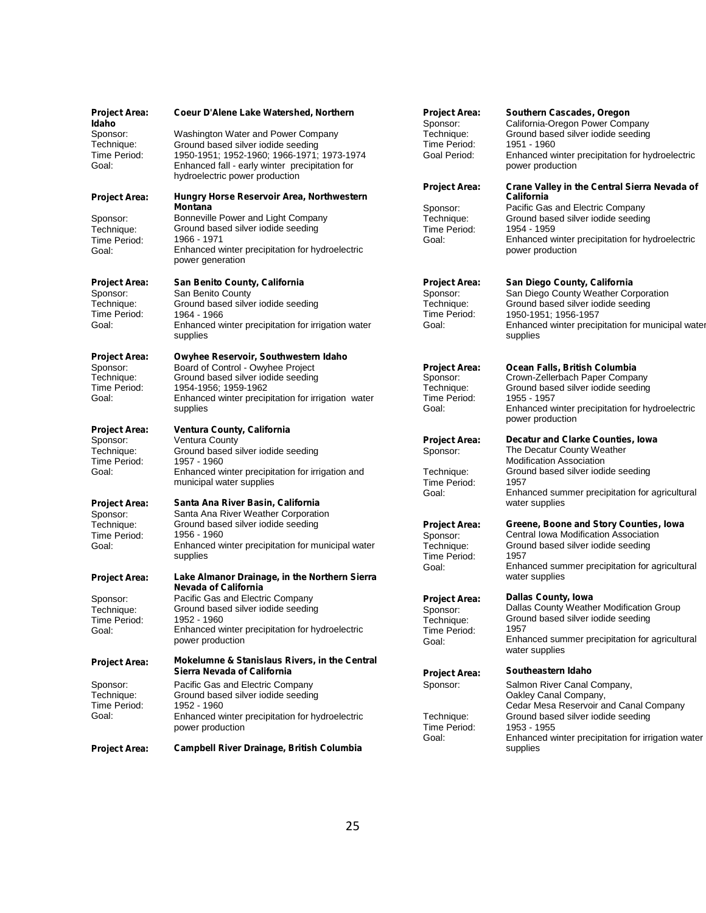| <b>Project Area:</b><br>Idaho | Coeur D'Alene Lake Watershed, Northern                                           | <b>Project Area:</b><br>Sponsor: | Southern Cascades, Oregon<br>California-Oregon Power Company        |
|-------------------------------|----------------------------------------------------------------------------------|----------------------------------|---------------------------------------------------------------------|
| Sponsor:                      | Washington Water and Power Company                                               | Technique:                       | Ground based silver iodide seeding                                  |
| Technique:                    | Ground based silver iodide seeding                                               | Time Period:                     | 1951 - 1960                                                         |
| Time Period:                  | 1950-1951; 1952-1960; 1966-1971; 1973-1974                                       | Goal Period:                     | Enhanced winter precipitation for hydroelectric                     |
| Goal:                         | Enhanced fall - early winter precipitation for<br>hydroelectric power production |                                  | power production                                                    |
|                               |                                                                                  | <b>Project Area:</b>             | Crane Valley in the Central Sierra Nevada of                        |
| <b>Project Area:</b>          | Hungry Horse Reservoir Area, Northwestern                                        |                                  | California                                                          |
|                               | <b>Montana</b>                                                                   | Sponsor:                         | Pacific Gas and Electric Company                                    |
| Sponsor:                      | Bonneville Power and Light Company                                               | Technique:                       | Ground based silver iodide seeding                                  |
| Technique:                    | Ground based silver iodide seeding<br>1966 - 1971                                | Time Period:                     | 1954 - 1959                                                         |
| Time Period:<br>Goal:         | Enhanced winter precipitation for hydroelectric                                  | Goal:                            | Enhanced winter precipitation for hydroelectric<br>power production |
|                               | power generation                                                                 |                                  |                                                                     |
| <b>Project Area:</b>          | San Benito County, California                                                    | <b>Project Area:</b>             | San Diego County, California                                        |
| Sponsor:                      | San Benito County                                                                | Sponsor:                         | San Diego County Weather Corporation                                |
| Technique:                    | Ground based silver iodide seeding                                               | Technique:                       | Ground based silver iodide seeding                                  |
| Time Period:                  | 1964 - 1966                                                                      | Time Period:                     | 1950-1951; 1956-1957                                                |
| Goal:                         | Enhanced winter precipitation for irrigation water                               | Goal:                            | Enhanced winter precipitation for municipal water                   |
|                               | supplies                                                                         |                                  | supplies                                                            |
| <b>Project Area:</b>          | Owyhee Reservoir, Southwestern Idaho                                             |                                  |                                                                     |
| Sponsor:                      | Board of Control - Owyhee Project                                                | <b>Project Area:</b>             | Ocean Falls, British Columbia                                       |
| Technique:                    | Ground based silver iodide seeding                                               | Sponsor:                         | Crown-Zellerbach Paper Company                                      |
| Time Period:                  | 1954-1956; 1959-1962                                                             | Technique:                       | Ground based silver iodide seeding                                  |
| Goal:                         | Enhanced winter precipitation for irrigation water                               | Time Period:                     | 1955 - 1957                                                         |
|                               | supplies                                                                         | Goal:                            | Enhanced winter precipitation for hydroelectric                     |
| <b>Project Area:</b>          | Ventura County, California                                                       |                                  | power production                                                    |
| Sponsor:                      | Ventura County                                                                   | <b>Project Area:</b>             | Decatur and Clarke Counties, Iowa                                   |
| Technique:                    | Ground based silver iodide seeding                                               | Sponsor:                         | The Decatur County Weather                                          |
| Time Period:                  | 1957 - 1960                                                                      |                                  | <b>Modification Association</b>                                     |
| Goal:                         | Enhanced winter precipitation for irrigation and                                 | Technique:                       | Ground based silver iodide seeding                                  |
|                               | municipal water supplies                                                         | Time Period:                     | 1957                                                                |
|                               |                                                                                  | Goal:                            | Enhanced summer precipitation for agricultural                      |
| <b>Project Area:</b>          | Santa Ana River Basin, California                                                |                                  | water supplies                                                      |
| Sponsor:                      | Santa Ana River Weather Corporation                                              |                                  |                                                                     |
| Technique:                    | Ground based silver iodide seeding                                               | <b>Project Area:</b>             | Greene, Boone and Story Counties, Iowa                              |
| Time Period:                  | 1956 - 1960                                                                      | Sponsor:                         | Central Iowa Modification Association                               |
| Goal:                         | Enhanced winter precipitation for municipal water                                | Technique:                       | Ground based silver iodide seeding<br>1957                          |
|                               | supplies                                                                         | Time Period:                     | Enhanced summer precipitation for agricultural                      |
| <b>Project Area:</b>          | Lake Almanor Drainage, in the Northern Sierra                                    | Goal:                            | water supplies                                                      |
|                               | <b>Nevada of California</b>                                                      |                                  |                                                                     |
| Sponsor:                      | Pacific Gas and Electric Company                                                 | <b>Project Area:</b>             | <b>Dallas County, Iowa</b>                                          |
| Technique:                    | Ground based silver iodide seeding                                               | Sponsor:                         | Dallas County Weather Modification Group                            |
| Time Period:                  | 1952 - 1960                                                                      | Technique:                       | Ground based silver iodide seeding                                  |
| Goal:                         | Enhanced winter precipitation for hydroelectric                                  | Time Period:                     | 1957                                                                |
|                               | power production                                                                 | Goal:                            | Enhanced summer precipitation for agricultural<br>water supplies    |
| <b>Project Area:</b>          | Mokelumne & Stanislaus Rivers, in the Central                                    |                                  |                                                                     |
|                               | Sierra Nevada of California                                                      | <b>Project Area:</b>             | Southeastern Idaho                                                  |
| Sponsor:                      | Pacific Gas and Electric Company                                                 | Sponsor:                         | Salmon River Canal Company,                                         |
| Technique:                    | Ground based silver iodide seeding                                               |                                  | Oakley Canal Company,                                               |
| Time Period:<br>Goal:         | 1952 - 1960                                                                      |                                  | Cedar Mesa Reservoir and Canal Company                              |
|                               | Enhanced winter precipitation for hydroelectric                                  | Technique:                       | Ground based silver iodide seeding<br>1953 - 1955                   |
|                               | power production                                                                 | Time Period:<br>Goal:            | Enhanced winter precipitation for irrigation water                  |
| <b>Project Area:</b>          | <b>Campbell River Drainage, British Columbia</b>                                 |                                  | supplies                                                            |
|                               |                                                                                  |                                  |                                                                     |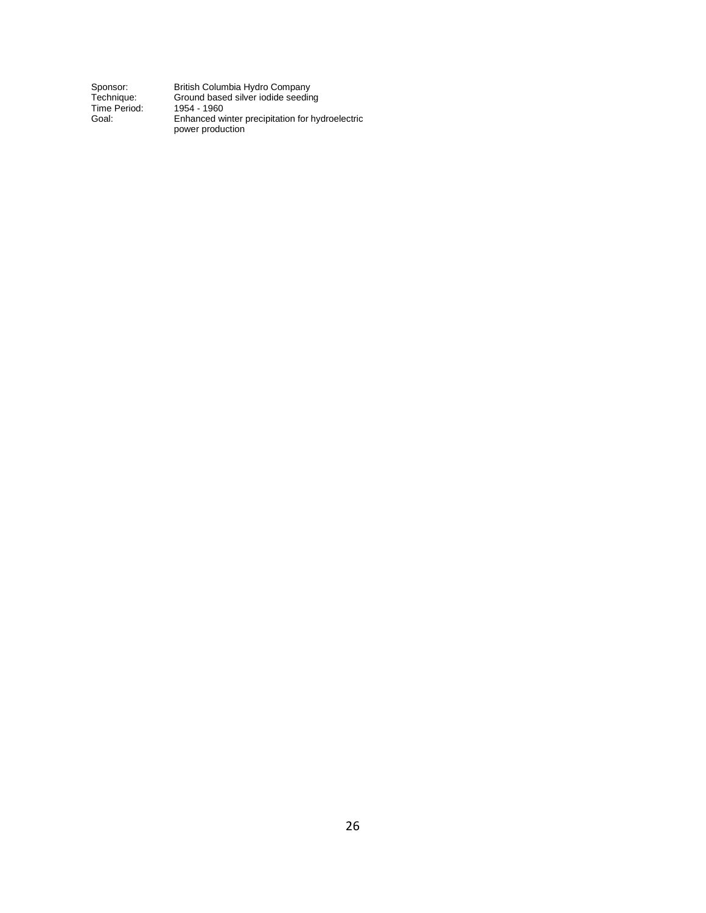| Sponsor:     |  |
|--------------|--|
| Technique:   |  |
| Time Period: |  |
| Goal:        |  |

British Columbia Hydro Company Ground based silver iodide seeding 1954 - 1960 Enhanced winter precipitation for hydroelectric power production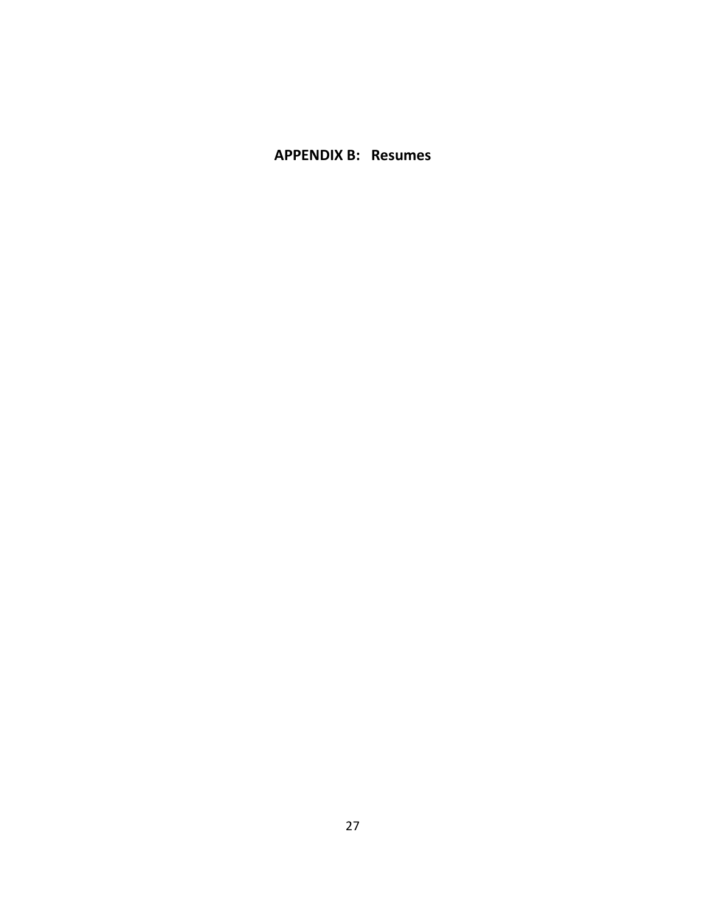**APPENDIX B: Resumes**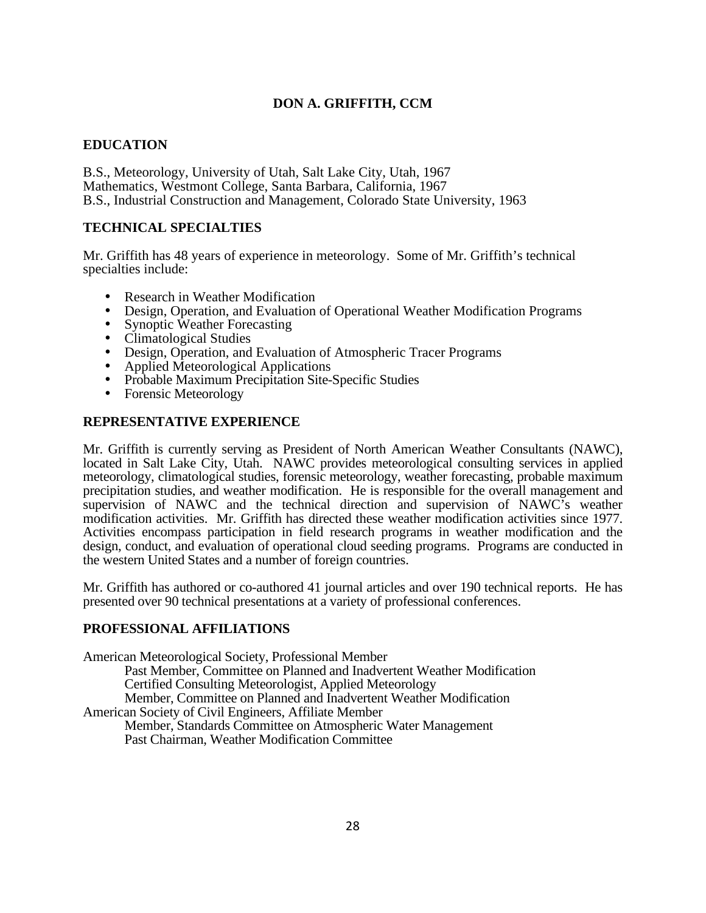## **DON A. GRIFFITH, CCM**

## **EDUCATION**

B.S., Meteorology, University of Utah, Salt Lake City, Utah, 1967 Mathematics, Westmont College, Santa Barbara, California, 1967 B.S., Industrial Construction and Management, Colorado State University, 1963

## **TECHNICAL SPECIALTIES**

Mr. Griffith has 48 years of experience in meteorology. Some of Mr. Griffith's technical specialties include:

- Research in Weather Modification
- Design, Operation, and Evaluation of Operational Weather Modification Programs
- Synoptic Weather Forecasting
- Climatological Studies
- Design, Operation, and Evaluation of Atmospheric Tracer Programs
- Applied Meteorological Applications
- Probable Maximum Precipitation Site-Specific Studies
- Forensic Meteorology

## **REPRESENTATIVE EXPERIENCE**

Mr. Griffith is currently serving as President of North American Weather Consultants (NAWC), located in Salt Lake City, Utah. NAWC provides meteorological consulting services in applied meteorology, climatological studies, forensic meteorology, weather forecasting, probable maximum precipitation studies, and weather modification. He is responsible for the overall management and supervision of NAWC and the technical direction and supervision of NAWC's weather modification activities. Mr. Griffith has directed these weather modification activities since 1977. Activities encompass participation in field research programs in weather modification and the design, conduct, and evaluation of operational cloud seeding programs. Programs are conducted in the western United States and a number of foreign countries.

Mr. Griffith has authored or co-authored 41 journal articles and over 190 technical reports. He has presented over 90 technical presentations at a variety of professional conferences.

## **PROFESSIONAL AFFILIATIONS**

American Meteorological Society, Professional Member Past Member, Committee on Planned and Inadvertent Weather Modification Certified Consulting Meteorologist, Applied Meteorology Member, Committee on Planned and Inadvertent Weather Modification American Society of Civil Engineers, Affiliate Member Member, Standards Committee on Atmospheric Water Management Past Chairman, Weather Modification Committee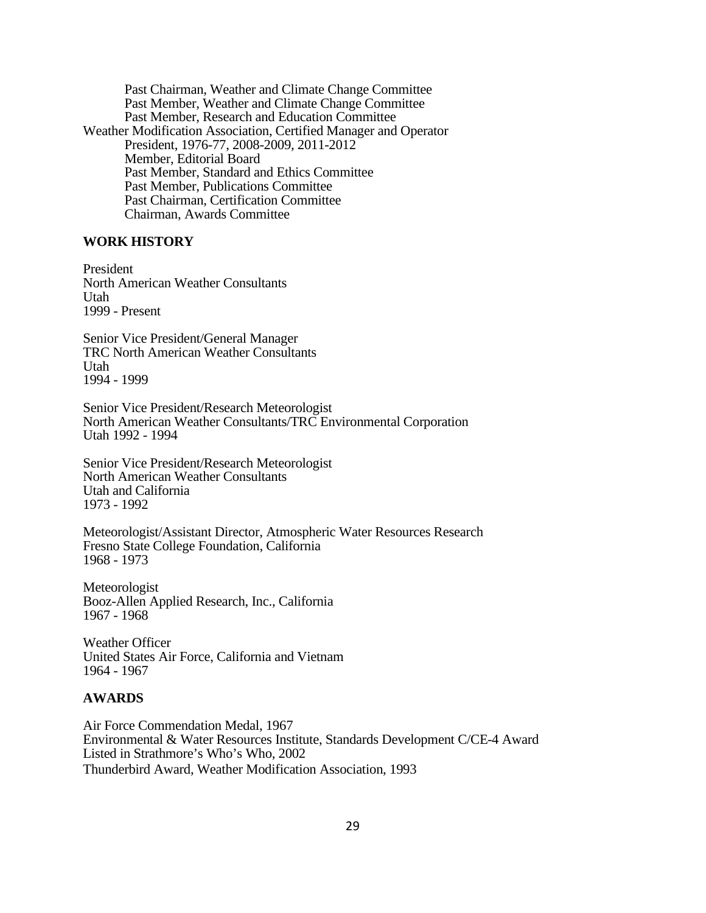Past Chairman, Weather and Climate Change Committee Past Member, Weather and Climate Change Committee Past Member, Research and Education Committee Weather Modification Association, Certified Manager and Operator President, 1976-77, 2008-2009, 2011-2012 Member, Editorial Board Past Member, Standard and Ethics Committee Past Member, Publications Committee Past Chairman, Certification Committee Chairman, Awards Committee

#### **WORK HISTORY**

President North American Weather Consultants Utah 1999 - Present

Senior Vice President/General Manager TRC North American Weather Consultants Utah 1994 - 1999

Senior Vice President/Research Meteorologist North American Weather Consultants/TRC Environmental Corporation Utah 1992 - 1994

Senior Vice President/Research Meteorologist North American Weather Consultants Utah and California 1973 - 1992

Meteorologist/Assistant Director, Atmospheric Water Resources Research Fresno State College Foundation, California 1968 - 1973

Meteorologist Booz-Allen Applied Research, Inc., California 1967 - 1968

Weather Officer United States Air Force, California and Vietnam 1964 - 1967

#### **AWARDS**

Air Force Commendation Medal, 1967 Environmental & Water Resources Institute, Standards Development C/CE-4 Award Listed in Strathmore's Who's Who, 2002 Thunderbird Award, Weather Modification Association, 1993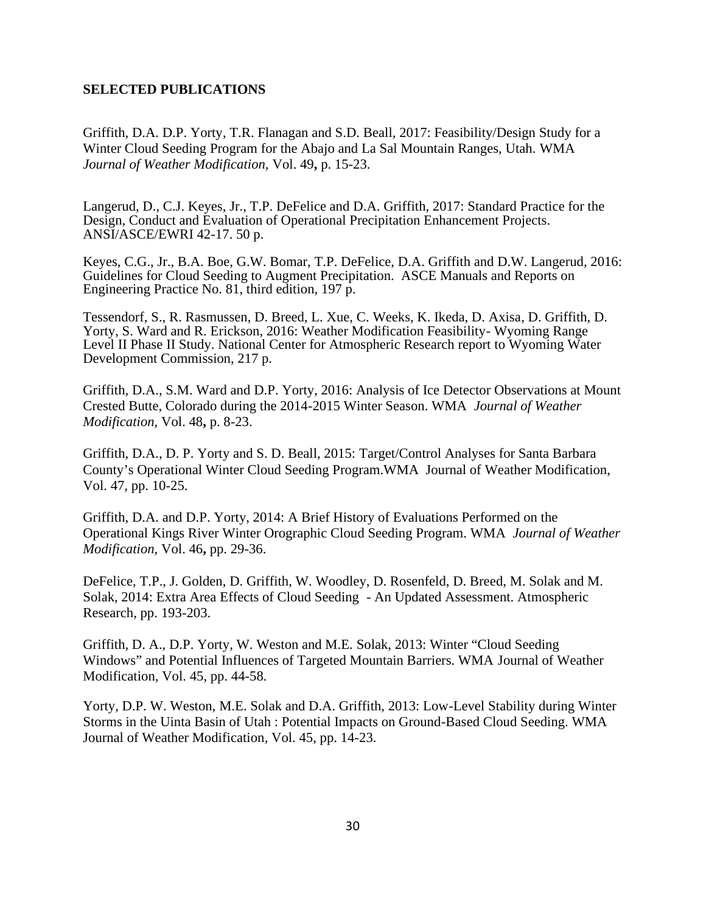#### **SELECTED PUBLICATIONS**

Griffith, D.A. D.P. Yorty, T.R. Flanagan and S.D. Beall, 2017: Feasibility/Design Study for a Winter Cloud Seeding Program for the Abajo and La Sal Mountain Ranges, Utah. WMA *Journal of Weather Modification,* Vol. 49**,** p. 15-23.

Langerud, D., C.J. Keyes, Jr., T.P. DeFelice and D.A. Griffith, 2017: Standard Practice for the Design, Conduct and Evaluation of Operational Precipitation Enhancement Projects. ANSI/ASCE/EWRI 42-17. 50 p.

Keyes, C.G., Jr., B.A. Boe, G.W. Bomar, T.P. DeFelice, D.A. Griffith and D.W. Langerud, 2016: Guidelines for Cloud Seeding to Augment Precipitation. ASCE Manuals and Reports on Engineering Practice No. 81, third edition, 197 p.

Tessendorf, S., R. Rasmussen, D. Breed, L. Xue, C. Weeks, K. Ikeda, D. Axisa, D. Griffith, D. Yorty, S. Ward and R. Erickson, 2016: Weather Modification Feasibility- Wyoming Range Level II Phase II Study. National Center for Atmospheric Research report to Wyoming Water Development Commission, 217 p.

Griffith, D.A., S.M. Ward and D.P. Yorty, 2016: Analysis of Ice Detector Observations at Mount Crested Butte, Colorado during the 2014-2015 Winter Season. WMA *Journal of Weather Modification,* Vol. 48**,** p. 8-23.

Griffith, D.A., D. P. Yorty and S. D. Beall, 2015: Target/Control Analyses for Santa Barbara County's Operational Winter Cloud Seeding Program.WMA Journal of Weather Modification, Vol. 47, pp. 10-25.

Griffith, D.A. and D.P. Yorty, 2014: A Brief History of Evaluations Performed on the Operational Kings River Winter Orographic Cloud Seeding Program. WMA *Journal of Weather Modification,* Vol. 46**,** pp. 29-36.

DeFelice, T.P., J. Golden, D. Griffith, W. Woodley, D. Rosenfeld, D. Breed, M. Solak and M. Solak, 2014: Extra Area Effects of Cloud Seeding - An Updated Assessment. Atmospheric Research, pp. 193-203.

Griffith, D. A., D.P. Yorty, W. Weston and M.E. Solak, 2013: Winter "Cloud Seeding Windows" and Potential Influences of Targeted Mountain Barriers. WMA Journal of Weather Modification*,* Vol. 45, pp. 44-58.

Yorty, D.P. W. Weston, M.E. Solak and D.A. Griffith, 2013: Low-Level Stability during Winter Storms in the Uinta Basin of Utah : Potential Impacts on Ground-Based Cloud Seeding. WMA Journal of Weather Modification*,* Vol. 45, pp. 14-23.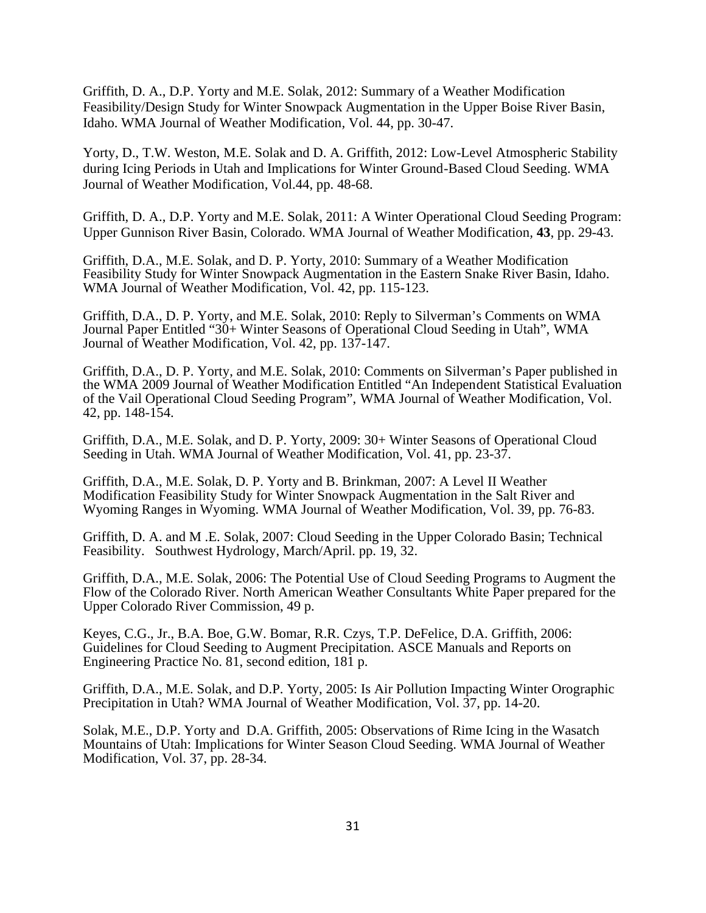Griffith, D. A., D.P. Yorty and M.E. Solak, 2012: Summary of a Weather Modification Feasibility/Design Study for Winter Snowpack Augmentation in the Upper Boise River Basin, Idaho. WMA Journal of Weather Modification*,* Vol. 44, pp. 30-47.

Yorty, D., T.W. Weston, M.E. Solak and D. A. Griffith, 2012: Low-Level Atmospheric Stability during Icing Periods in Utah and Implications for Winter Ground-Based Cloud Seeding. WMA Journal of Weather Modification*,* Vol.44, pp. 48-68.

Griffith, D. A., D.P. Yorty and M.E. Solak, 2011: A Winter Operational Cloud Seeding Program: Upper Gunnison River Basin, Colorado. WMA Journal of Weather Modification*,* **43**, pp. 29-43.

Griffith, D.A., M.E. Solak, and D. P. Yorty, 2010: Summary of a Weather Modification Feasibility Study for Winter Snowpack Augmentation in the Eastern Snake River Basin, Idaho. WMA Journal of Weather Modification*,* Vol. 42, pp. 115-123.

Griffith, D.A., D. P. Yorty, and M.E. Solak, 2010: Reply to Silverman's Comments on WMA Journal Paper Entitled "30+ Winter Seasons of Operational Cloud Seeding in Utah", WMA Journal of Weather Modification*,* Vol. 42, pp. 137-147.

Griffith, D.A., D. P. Yorty, and M.E. Solak, 2010: Comments on Silverman's Paper published in the WMA 2009 Journal of Weather Modification Entitled "An Independent Statistical Evaluation of the Vail Operational Cloud Seeding Program", WMA Journal of Weather Modification*,* Vol. 42, pp. 148-154.

Griffith, D.A., M.E. Solak, and D. P. Yorty, 2009: 30+ Winter Seasons of Operational Cloud Seeding in Utah. WMA Journal of Weather Modification*,* Vol. 41, pp. 23-37.

Griffith, D.A., M.E. Solak, D. P. Yorty and B. Brinkman, 2007: A Level II Weather Modification Feasibility Study for Winter Snowpack Augmentation in the Salt River and Wyoming Ranges in Wyoming. WMA Journal of Weather Modification*,* Vol. 39, pp. 76-83.

Griffith, D. A. and M .E. Solak, 2007: Cloud Seeding in the Upper Colorado Basin; Technical Feasibility. Southwest Hydrology, March/April. pp. 19, 32.

Griffith, D.A., M.E. Solak, 2006: The Potential Use of Cloud Seeding Programs to Augment the Flow of the Colorado River. North American Weather Consultants White Paper prepared for the Upper Colorado River Commission, 49 p.

Keyes, C.G., Jr., B.A. Boe, G.W. Bomar, R.R. Czys, T.P. DeFelice, D.A. Griffith, 2006: Guidelines for Cloud Seeding to Augment Precipitation. ASCE Manuals and Reports on Engineering Practice No. 81, second edition, 181 p.

Griffith, D.A., M.E. Solak, and D.P. Yorty, 2005: Is Air Pollution Impacting Winter Orographic Precipitation in Utah? WMA Journal of Weather Modification*,* Vol. 37, pp. 14-20.

Solak, M.E., D.P. Yorty and D.A. Griffith, 2005: Observations of Rime Icing in the Wasatch Mountains of Utah: Implications for Winter Season Cloud Seeding. WMA Journal of Weather Modification, Vol. 37, pp. 28-34.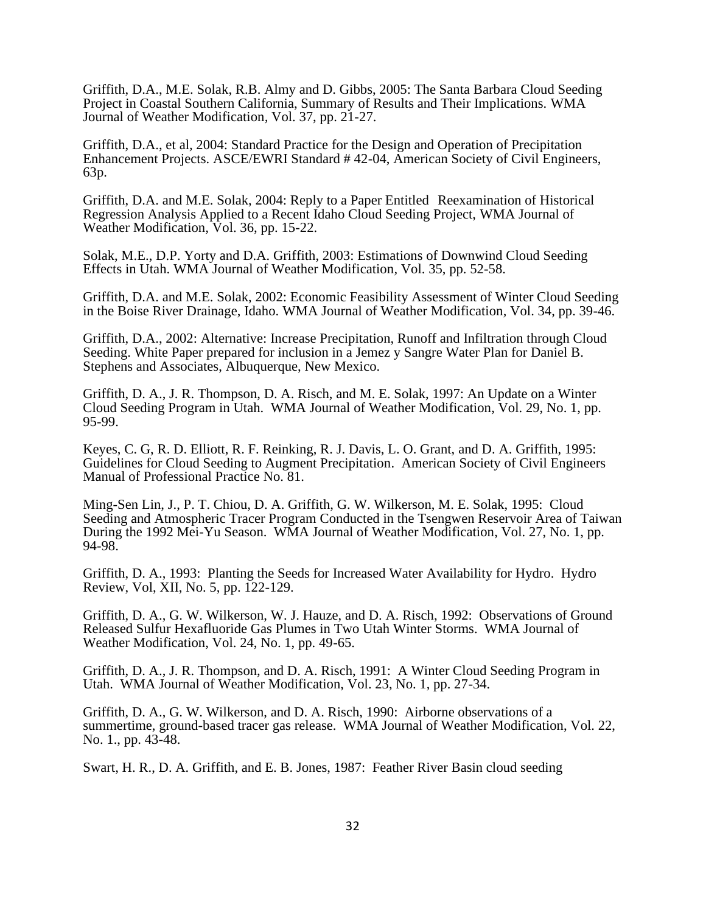Griffith, D.A., M.E. Solak, R.B. Almy and D. Gibbs, 2005: The Santa Barbara Cloud Seeding Project in Coastal Southern California, Summary of Results and Their Implications. WMA Journal of Weather Modification*,* Vol. 37, pp. 21-27.

Griffith, D.A., et al*,* 2004: Standard Practice for the Design and Operation of Precipitation Enhancement Projects. ASCE/EWRI Standard # 42-04, American Society of Civil Engineers, 63p.

Griffith, D.A. and M.E. Solak, 2004: Reply to a Paper Entitled Reexamination of Historical Regression Analysis Applied to a Recent Idaho Cloud Seeding Project, WMA Journal of Weather Modification*,* Vol. 36, pp. 15-22.

Solak, M.E., D.P. Yorty and D.A. Griffith, 2003: Estimations of Downwind Cloud Seeding Effects in Utah. WMA Journal of Weather Modification*,* Vol. 35, pp. 52-58.

Griffith, D.A. and M.E. Solak, 2002: Economic Feasibility Assessment of Winter Cloud Seeding in the Boise River Drainage, Idaho. WMA Journal of Weather Modification*,* Vol. 34, pp. 39-46.

Griffith, D.A., 2002: Alternative: Increase Precipitation, Runoff and Infiltration through Cloud Seeding. White Paper prepared for inclusion in a Jemez y Sangre Water Plan for Daniel B. Stephens and Associates, Albuquerque, New Mexico.

Griffith, D. A., J. R. Thompson, D. A. Risch, and M. E. Solak, 1997: An Update on a Winter Cloud Seeding Program in Utah. WMA Journal of Weather Modification, Vol. 29, No. 1, pp. 95-99.

Keyes, C. G, R. D. Elliott, R. F. Reinking, R. J. Davis, L. O. Grant, and D. A. Griffith, 1995: Guidelines for Cloud Seeding to Augment Precipitation. American Society of Civil Engineers Manual of Professional Practice No. 81.

Ming-Sen Lin, J., P. T. Chiou, D. A. Griffith, G. W. Wilkerson, M. E. Solak, 1995: Cloud Seeding and Atmospheric Tracer Program Conducted in the Tsengwen Reservoir Area of Taiwan During the 1992 Mei-Yu Season. WMA Journal of Weather Modification, Vol. 27, No. 1, pp. 94-98.

Griffith, D. A., 1993: Planting the Seeds for Increased Water Availability for Hydro. Hydro Review, Vol, XII, No. 5, pp. 122-129.

Griffith, D. A., G. W. Wilkerson, W. J. Hauze, and D. A. Risch, 1992: Observations of Ground Released Sulfur Hexafluoride Gas Plumes in Two Utah Winter Storms. WMA Journal of Weather Modification, Vol. 24, No. 1, pp. 49-65.

Griffith, D. A., J. R. Thompson, and D. A. Risch, 1991: A Winter Cloud Seeding Program in Utah. WMA Journal of Weather Modification, Vol. 23, No. 1, pp. 27-34.

Griffith, D. A., G. W. Wilkerson, and D. A. Risch, 1990: Airborne observations of a summertime, ground-based tracer gas release. WMA Journal of Weather Modification, Vol. 22, No. 1., pp. 43-48.

Swart, H. R., D. A. Griffith, and E. B. Jones, 1987: Feather River Basin cloud seeding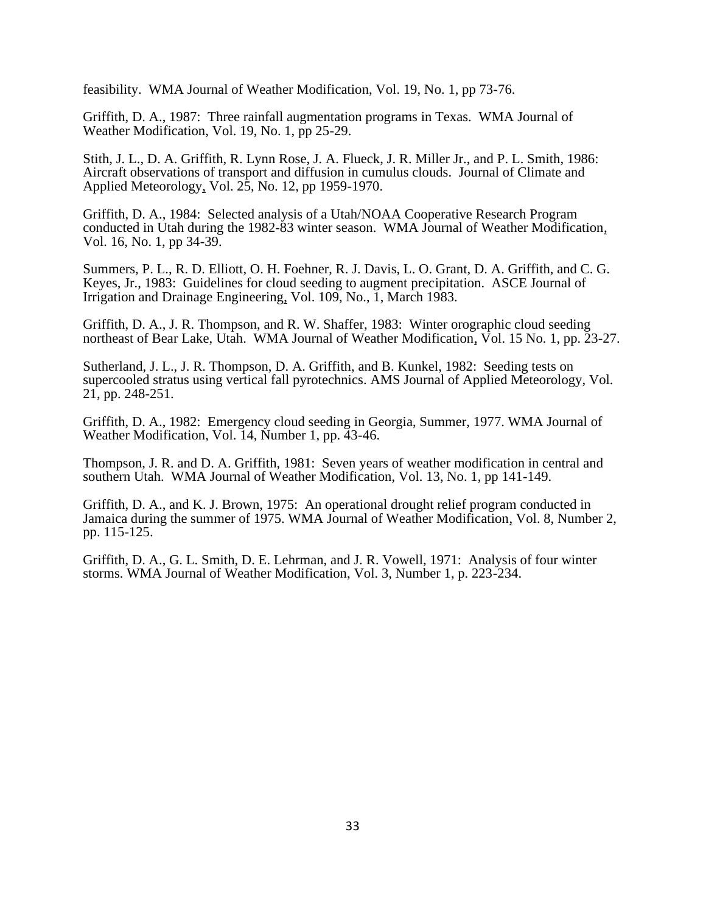feasibility. WMA Journal of Weather Modification, Vol. 19, No. 1, pp 73-76.

Griffith, D. A., 1987: Three rainfall augmentation programs in Texas. WMA Journal of Weather Modification, Vol. 19, No. 1, pp 25-29.

Stith, J. L., D. A. Griffith, R. Lynn Rose, J. A. Flueck, J. R. Miller Jr., and P. L. Smith, 1986: Aircraft observations of transport and diffusion in cumulus clouds. Journal of Climate and Applied Meteorology, Vol. 25, No. 12, pp 1959-1970.

Griffith, D. A., 1984: Selected analysis of a Utah/NOAA Cooperative Research Program conducted in Utah during the 1982-83 winter season. WMA Journal of Weather Modification, Vol. 16, No. 1, pp 34-39.

Summers, P. L., R. D. Elliott, O. H. Foehner, R. J. Davis, L. O. Grant, D. A. Griffith, and C. G. Keyes, Jr., 1983: Guidelines for cloud seeding to augment precipitation. ASCE Journal of Irrigation and Drainage Engineering, Vol. 109, No., 1, March 1983.

Griffith, D. A., J. R. Thompson, and R. W. Shaffer, 1983: Winter orographic cloud seeding northeast of Bear Lake, Utah. WMA Journal of Weather Modification, Vol. 15 No. 1, pp. 23-27.

Sutherland, J. L., J. R. Thompson, D. A. Griffith, and B. Kunkel, 1982: Seeding tests on supercooled stratus using vertical fall pyrotechnics. AMS Journal of Applied Meteorology, Vol. 21, pp. 248-251.

Griffith, D. A., 1982: Emergency cloud seeding in Georgia, Summer, 1977. WMA Journal of Weather Modification, Vol. 14, Number 1, pp. 43-46.

Thompson, J. R. and D. A. Griffith, 1981: Seven years of weather modification in central and southern Utah. WMA Journal of Weather Modification, Vol. 13, No. 1, pp 141-149.

Griffith, D. A., and K. J. Brown, 1975: An operational drought relief program conducted in Jamaica during the summer of 1975. WMA Journal of Weather Modification, Vol. 8, Number 2, pp. 115-125.

Griffith, D. A., G. L. Smith, D. E. Lehrman, and J. R. Vowell, 1971: Analysis of four winter storms. WMA Journal of Weather Modification, Vol. 3, Number 1, p. 223-234.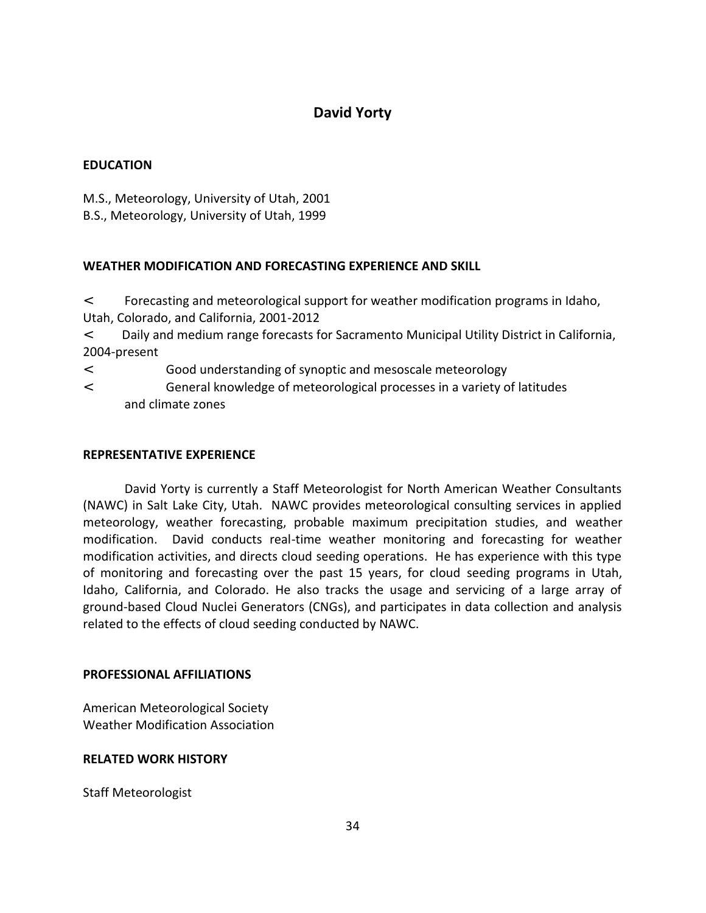## **David Yorty**

## **EDUCATION**

M.S., Meteorology, University of Utah, 2001

B.S., Meteorology, University of Utah, 1999

## **WEATHER MODIFICATION AND FORECASTING EXPERIENCE AND SKILL**

 $\Phi$  Forecasting and meteorological support for weather modification programs in Idaho, Utah, Colorado, and California, 2001-2012

 Daily and medium range forecasts for Sacramento Municipal Utility District in California, 2004-present

Good understanding of synoptic and mesoscale meteorology

 $\Phi$  General knowledge of meteorological processes in a variety of latitudes and climate zones

## **REPRESENTATIVE EXPERIENCE**

David Yorty is currently a Staff Meteorologist for North American Weather Consultants (NAWC) in Salt Lake City, Utah. NAWC provides meteorological consulting services in applied meteorology, weather forecasting, probable maximum precipitation studies, and weather modification. David conducts real-time weather monitoring and forecasting for weather modification activities, and directs cloud seeding operations. He has experience with this type of monitoring and forecasting over the past 15 years, for cloud seeding programs in Utah, Idaho, California, and Colorado. He also tracks the usage and servicing of a large array of ground-based Cloud Nuclei Generators (CNGs), and participates in data collection and analysis related to the effects of cloud seeding conducted by NAWC.

## **PROFESSIONAL AFFILIATIONS**

American Meteorological Society Weather Modification Association

## **RELATED WORK HISTORY**

Staff Meteorologist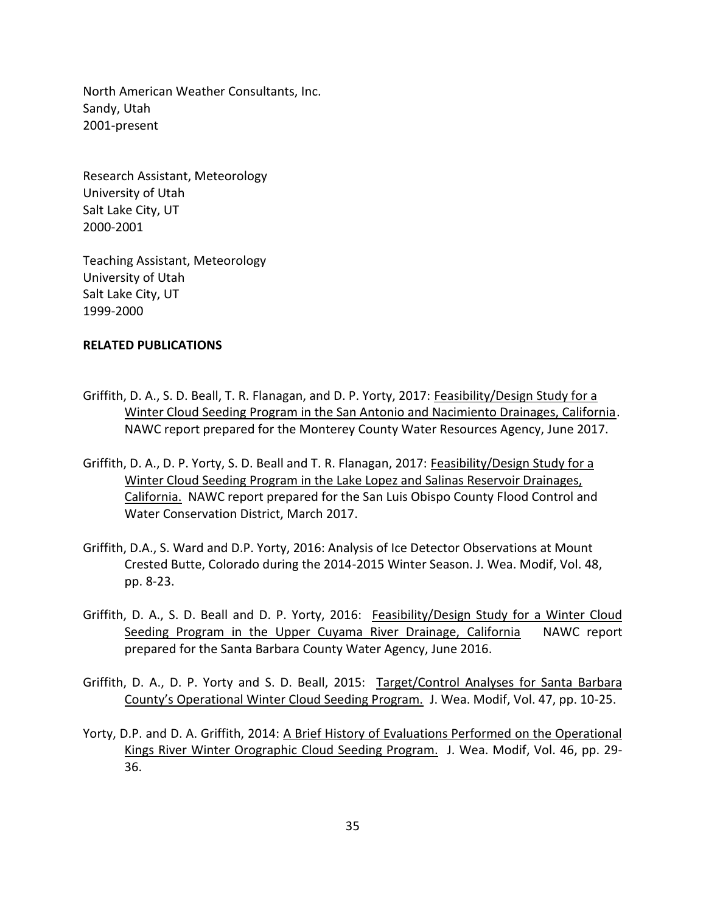North American Weather Consultants, Inc. Sandy, Utah 2001-present

Research Assistant, Meteorology University of Utah Salt Lake City, UT 2000-2001

Teaching Assistant, Meteorology University of Utah Salt Lake City, UT 1999-2000

### **RELATED PUBLICATIONS**

- Griffith, D. A., S. D. Beall, T. R. Flanagan, and D. P. Yorty, 2017: Feasibility/Design Study for a Winter Cloud Seeding Program in the San Antonio and Nacimiento Drainages, California. NAWC report prepared for the Monterey County Water Resources Agency, June 2017.
- Griffith, D. A., D. P. Yorty, S. D. Beall and T. R. Flanagan, 2017: Feasibility/Design Study for a Winter Cloud Seeding Program in the Lake Lopez and Salinas Reservoir Drainages, California. NAWC report prepared for the San Luis Obispo County Flood Control and Water Conservation District, March 2017.
- Griffith, D.A., S. Ward and D.P. Yorty, 2016: Analysis of Ice Detector Observations at Mount Crested Butte, Colorado during the 2014-2015 Winter Season. J. Wea. Modif, Vol. 48, pp. 8-23.
- Griffith, D. A., S. D. Beall and D. P. Yorty, 2016: Feasibility/Design Study for a Winter Cloud Seeding Program in the Upper Cuyama River Drainage, California NAWC report prepared for the Santa Barbara County Water Agency, June 2016.
- Griffith, D. A., D. P. Yorty and S. D. Beall, 2015: Target/Control Analyses for Santa Barbara County's Operational Winter Cloud Seeding Program. J. Wea. Modif, Vol. 47, pp. 10-25.
- Yorty, D.P. and D. A. Griffith, 2014: A Brief History of Evaluations Performed on the Operational Kings River Winter Orographic Cloud Seeding Program. J. Wea. Modif, Vol. 46, pp. 29- 36.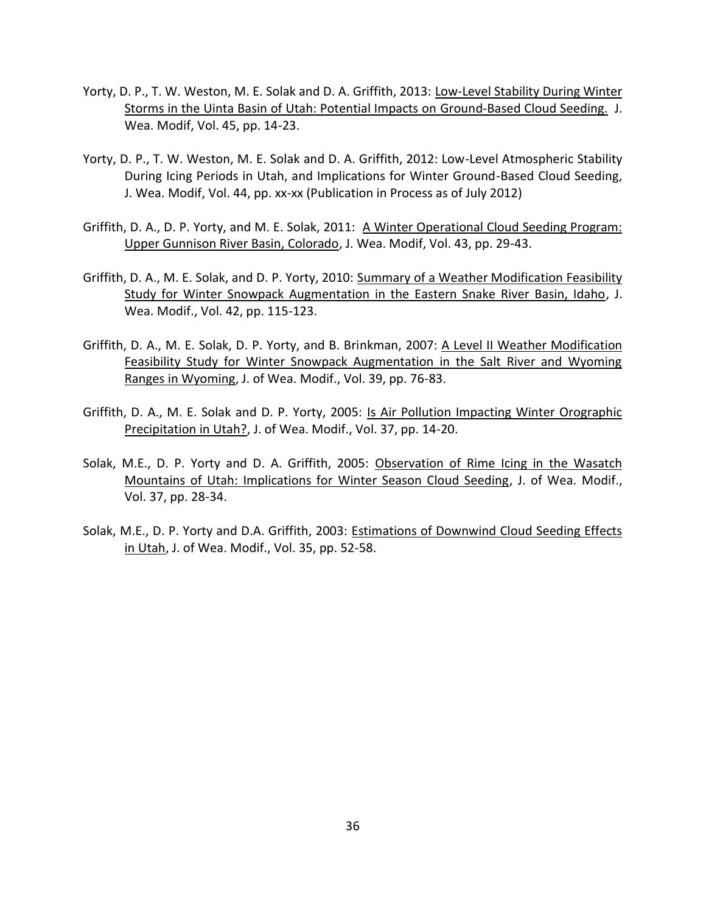- Yorty, D. P., T. W. Weston, M. E. Solak and D. A. Griffith, 2013: Low-Level Stability During Winter Storms in the Uinta Basin of Utah: Potential Impacts on Ground-Based Cloud Seeding. J. Wea. Modif, Vol. 45, pp. 14-23.
- Yorty, D. P., T. W. Weston, M. E. Solak and D. A. Griffith, 2012: Low-Level Atmospheric Stability During Icing Periods in Utah, and Implications for Winter Ground-Based Cloud Seeding, J. Wea. Modif, Vol. 44, pp. xx-xx (Publication in Process as of July 2012)
- Griffith, D. A., D. P. Yorty, and M. E. Solak, 2011: A Winter Operational Cloud Seeding Program: Upper Gunnison River Basin, Colorado, J. Wea. Modif, Vol. 43, pp. 29-43.
- Griffith, D. A., M. E. Solak, and D. P. Yorty, 2010: Summary of a Weather Modification Feasibility Study for Winter Snowpack Augmentation in the Eastern Snake River Basin, Idaho, J. Wea. Modif., Vol. 42, pp. 115-123.
- Griffith, D. A., M. E. Solak, D. P. Yorty, and B. Brinkman, 2007: A Level II Weather Modification Feasibility Study for Winter Snowpack Augmentation in the Salt River and Wyoming Ranges in Wyoming, J. of Wea. Modif., Vol. 39, pp. 76-83.
- Griffith, D. A., M. E. Solak and D. P. Yorty, 2005: Is Air Pollution Impacting Winter Orographic Precipitation in Utah?, J. of Wea. Modif., Vol. 37, pp. 14-20.
- Solak, M.E., D. P. Yorty and D. A. Griffith, 2005: Observation of Rime Icing in the Wasatch Mountains of Utah: Implications for Winter Season Cloud Seeding, J. of Wea. Modif., Vol. 37, pp. 28-34.
- Solak, M.E., D. P. Yorty and D.A. Griffith, 2003: Estimations of Downwind Cloud Seeding Effects in Utah, J. of Wea. Modif., Vol. 35, pp. 52-58.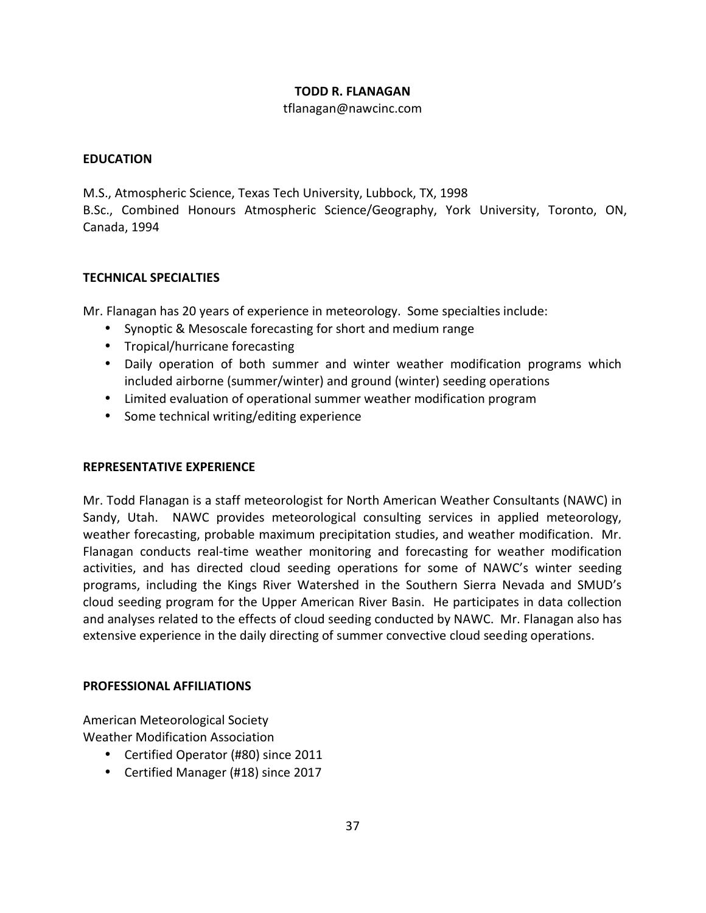## **TODD R. FLANAGAN**

### tflanagan@nawcinc.com

## **EDUCATION**

M.S., Atmospheric Science, Texas Tech University, Lubbock, TX, 1998

B.Sc., Combined Honours Atmospheric Science/Geography, York University, Toronto, ON, Canada, 1994

## **TECHNICAL SPECIALTIES**

Mr. Flanagan has 20 years of experience in meteorology. Some specialties include:

- Synoptic & Mesoscale forecasting for short and medium range
- Tropical/hurricane forecasting
- Daily operation of both summer and winter weather modification programs which included airborne (summer/winter) and ground (winter) seeding operations
- Limited evaluation of operational summer weather modification program
- Some technical writing/editing experience

## **REPRESENTATIVE EXPERIENCE**

Mr. Todd Flanagan is a staff meteorologist for North American Weather Consultants (NAWC) in Sandy, Utah. NAWC provides meteorological consulting services in applied meteorology, weather forecasting, probable maximum precipitation studies, and weather modification. Mr. Flanagan conducts real-time weather monitoring and forecasting for weather modification activities, and has directed cloud seeding operations for some of NAWC's winter seeding programs, including the Kings River Watershed in the Southern Sierra Nevada and SMUD's cloud seeding program for the Upper American River Basin. He participates in data collection and analyses related to the effects of cloud seeding conducted by NAWC. Mr. Flanagan also has extensive experience in the daily directing of summer convective cloud seeding operations.

#### **PROFESSIONAL AFFILIATIONS**

American Meteorological Society Weather Modification Association

- Certified Operator (#80) since 2011
- Certified Manager (#18) since 2017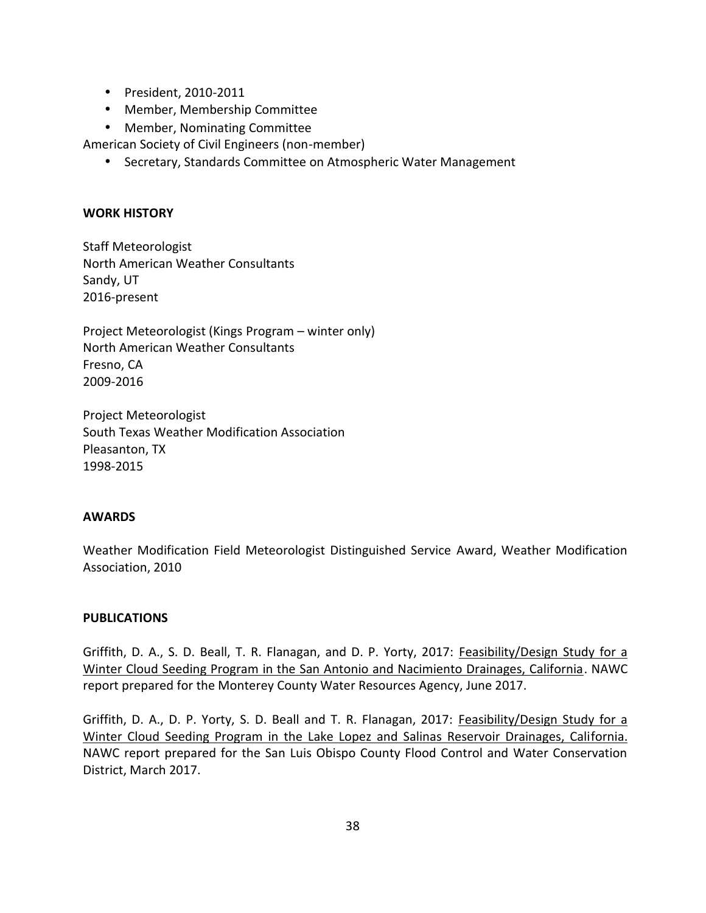President, 2010-2011

Member, Membership Committee

Member, Nominating Committee

American Society of Civil Engineers (non-member)

Secretary, Standards Committee on Atmospheric Water Management

## **WORK HISTORY**

Staff Meteorologist North American Weather Consultants Sandy, UT 2016-present

Project Meteorologist (Kings Program – winter only) North American Weather Consultants Fresno, CA 2009-2016

Project Meteorologist South Texas Weather Modification Association Pleasanton, TX 1998-2015

#### **AWARDS**

Weather Modification Field Meteorologist Distinguished Service Award, Weather Modification Association, 2010

#### **PUBLICATIONS**

Griffith, D. A., S. D. Beall, T. R. Flanagan, and D. P. Yorty, 2017: Feasibility/Design Study for a Winter Cloud Seeding Program in the San Antonio and Nacimiento Drainages, California. NAWC report prepared for the Monterey County Water Resources Agency, June 2017.

Griffith, D. A., D. P. Yorty, S. D. Beall and T. R. Flanagan, 2017: Feasibility/Design Study for a Winter Cloud Seeding Program in the Lake Lopez and Salinas Reservoir Drainages, California. NAWC report prepared for the San Luis Obispo County Flood Control and Water Conservation District, March 2017.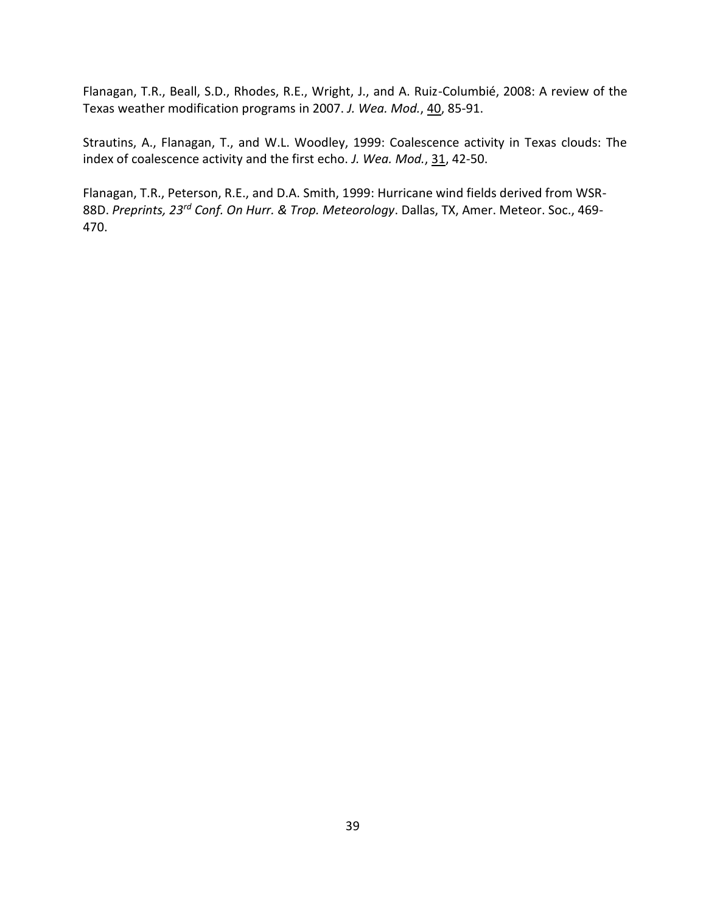Flanagan, T.R., Beall, S.D., Rhodes, R.E., Wright, J., and A. Ruiz-Columbié, 2008: A review of the Texas weather modification programs in 2007. *J. Wea. Mod.*, 40, 85-91.

Strautins, A., Flanagan, T., and W.L. Woodley, 1999: Coalescence activity in Texas clouds: The index of coalescence activity and the first echo. *J. Wea. Mod.*, 31, 42-50.

Flanagan, T.R., Peterson, R.E., and D.A. Smith, 1999: Hurricane wind fields derived from WSR- 88D. *Preprints, 23rd Conf. On Hurr. & Trop. Meteorology*. Dallas, TX, Amer. Meteor. Soc., 469- 470.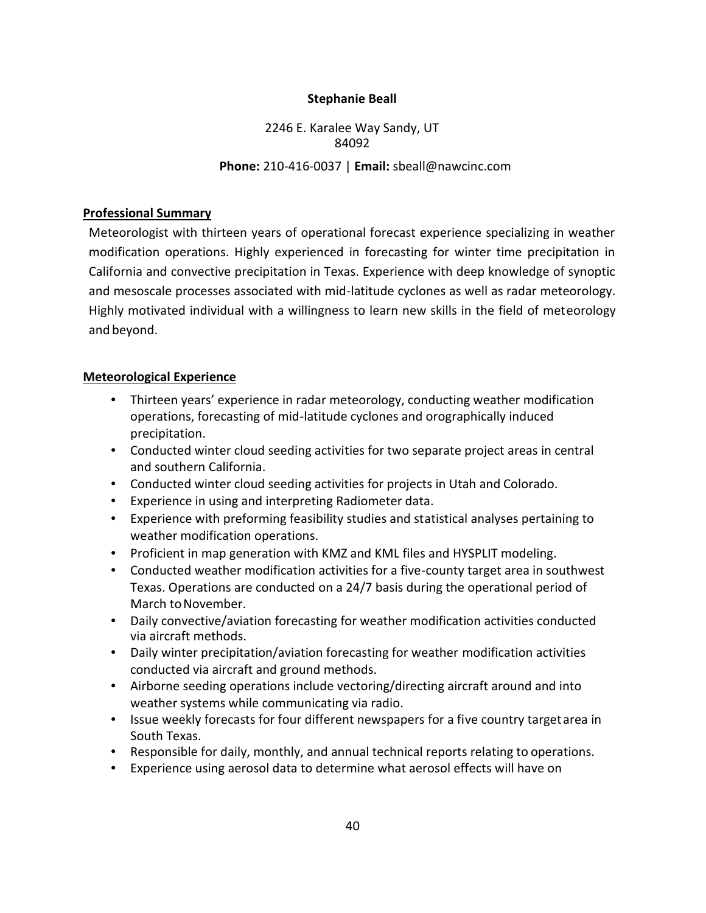## **Stephanie Beall**

2246 E. Karalee Way Sandy, UT 84092 **Phone:** 210-416-0037 | **Email:** sbeall@nawcinc.com

## **Professional Summary**

Meteorologist with thirteen years of operational forecast experience specializing in weather modification operations. Highly experienced in forecasting for winter time precipitation in California and convective precipitation in Texas. Experience with deep knowledge of synoptic and mesoscale processes associated with mid-latitude cyclones as well as radar meteorology. Highly motivated individual with a willingness to learn new skills in the field of meteorology and beyond.

## **Meteorological Experience**

- Thirteen years' experience in radar meteorology, conducting weather modification operations, forecasting of mid-latitude cyclones and orographically induced precipitation.
- Conducted winter cloud seeding activities for two separate project areas in central and southern California.
- Conducted winter cloud seeding activities for projects in Utah and Colorado.
- Experience in using and interpreting Radiometer data.
- Experience with preforming feasibility studies and statistical analyses pertaining to weather modification operations.
- Proficient in map generation with KMZ and KML files and HYSPLIT modeling.
- Conducted weather modification activities for a five-county target area in southwest Texas. Operations are conducted on a 24/7 basis during the operational period of March to November.
- Daily convective/aviation forecasting for weather modification activities conducted via aircraft methods.
- Daily winter precipitation/aviation forecasting for weather modification activities conducted via aircraft and ground methods.
- Airborne seeding operations include vectoring/directing aircraft around and into weather systems while communicating via radio.
- Issue weekly forecasts for four different newspapers for a five country targetarea in South Texas.
- Responsible for daily, monthly, and annual technical reports relating to operations.
- Experience using aerosol data to determine what aerosol effects will have on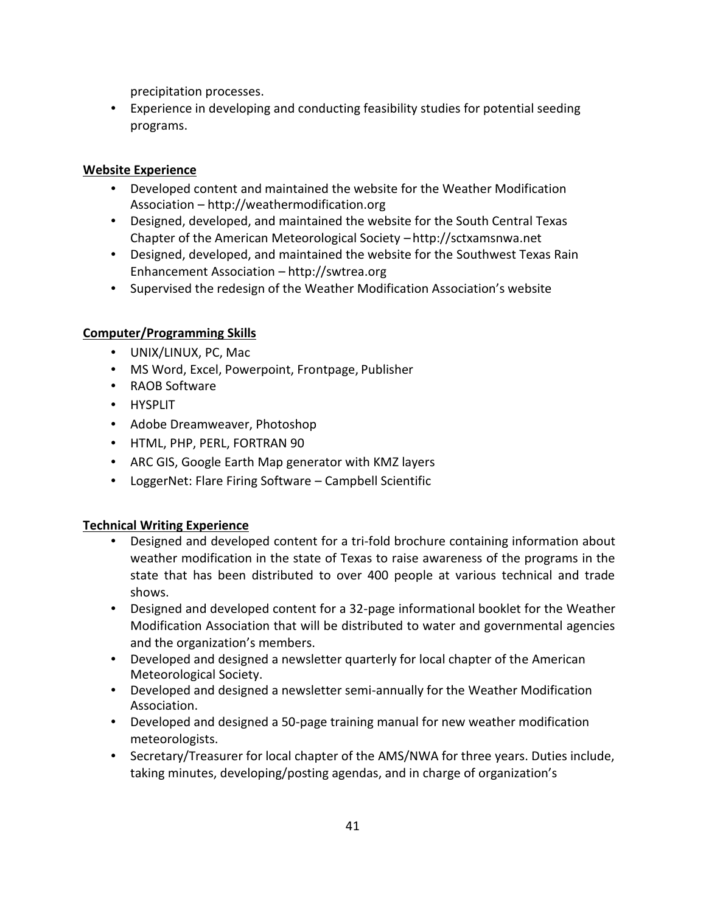precipitation processes.

 Experience in developing and conducting feasibility studies for potential seeding programs.

## **Website Experience**

- Developed content and maintained the website for the Weather Modification Association – http://weathermodification.org
- Designed, developed, and maintained the website for the South Central Texas Chapter of the American Meteorological Society – http://sctxamsnwa.net
- Designed, developed, and maintained the website for the Southwest Texas Rain Enhancement Association – http://swtrea.org
- Supervised the redesign of the Weather Modification Association's website

## **Computer/Programming Skills**

- UNIX/LINUX, PC, Mac
- MS Word, Excel, Powerpoint, Frontpage, Publisher
- RAOB Software
- HYSPLIT
- Adobe Dreamweaver, Photoshop
- HTML, PHP, PERL, FORTRAN 90
- ARC GIS, Google Earth Map generator with KMZ layers
- LoggerNet: Flare Firing Software Campbell Scientific

## **Technical Writing Experience**

- Designed and developed content for a tri-fold brochure containing information about weather modification in the state of Texas to raise awareness of the programs in the state that has been distributed to over 400 people at various technical and trade shows.
- Designed and developed content for a 32-page informational booklet for the Weather Modification Association that will be distributed to water and governmental agencies and the organization's members.
- Developed and designed a newsletter quarterly for local chapter of the American Meteorological Society.
- Developed and designed a newsletter semi-annually for the Weather Modification Association.
- Developed and designed a 50-page training manual for new weather modification meteorologists.
- Secretary/Treasurer for local chapter of the AMS/NWA for three years. Duties include, taking minutes, developing/posting agendas, and in charge of organization's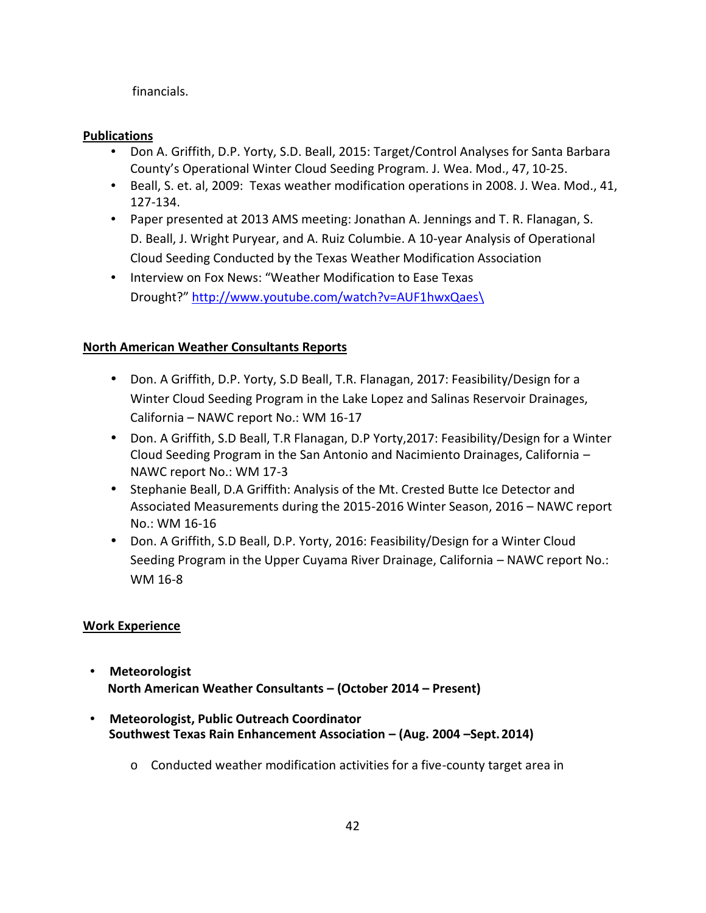financials.

## **Publications**

- Don A. Griffith, D.P. Yorty, S.D. Beall, 2015: Target/Control Analyses for Santa Barbara County's Operational Winter Cloud Seeding Program. J. Wea. Mod., 47, 10-25.
- Beall, S. et. al, 2009: Texas weather modification operations in 2008. J. Wea. Mod., 41, 127-134.
- Paper presented at 2013 AMS meeting: Jonathan A. Jennings and T. R. Flanagan, S. D. Beall, J. Wright Puryear, and A. Ruiz Columbie. A 10-year Analysis of Operational Cloud Seeding Conducted by the Texas Weather Modification Association
- Interview on Fox News: "Weather Modification to Ease Texas Drought?" http://www.youtube.com/watch?v=AUF1hwxQaes\

## **North American Weather Consultants Reports**

- Don. A Griffith, D.P. Yorty, S.D Beall, T.R. Flanagan, 2017: Feasibility/Design for a Winter Cloud Seeding Program in the Lake Lopez and Salinas Reservoir Drainages, California – NAWC report No.: WM 16-17
- Don. A Griffith, S.D Beall, T.R Flanagan, D.P Yorty,2017: Feasibility/Design for a Winter Cloud Seeding Program in the San Antonio and Nacimiento Drainages, California – NAWC report No.: WM 17-3
- Stephanie Beall, D.A Griffith: Analysis of the Mt. Crested Butte Ice Detector and Associated Measurements during the 2015-2016 Winter Season, 2016 – NAWC report No.: WM 16-16
- Don. A Griffith, S.D Beall, D.P. Yorty, 2016: Feasibility/Design for a Winter Cloud Seeding Program in the Upper Cuyama River Drainage, California – NAWC report No.: WM 16-8

## **Work Experience**

- **Meteorologist North American Weather Consultants – (October 2014 – Present)**
- **Meteorologist, Public Outreach Coordinator Southwest Texas Rain Enhancement Association – (Aug. 2004 –Sept.2014)**
	- o Conducted weather modification activities for a five-county target area in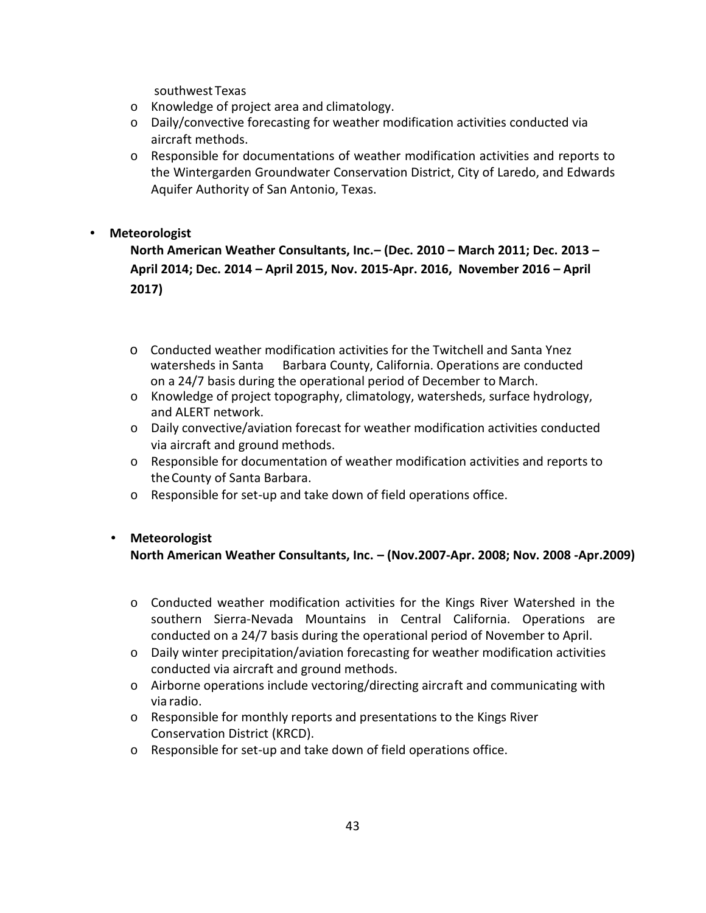southwest Texas

- o Knowledge of project area and climatology.
- o Daily/convective forecasting for weather modification activities conducted via aircraft methods.
- $\circ$  Responsible for documentations of weather modification activities and reports to the Wintergarden Groundwater Conservation District, City of Laredo, and Edwards Aquifer Authority of San Antonio, Texas.

## **Meteorologist**

**North American Weather Consultants, Inc.– (Dec. 2010 – March 2011; Dec. 2013 – April 2014; Dec. 2014 – April 2015, Nov. 2015-Apr. 2016, November 2016 – April 2017)**

- o Conducted weather modification activities for the Twitchell and Santa Ynez watersheds in Santa Barbara County, California. Operations are conducted on a 24/7 basis during the operational period of December to March.
- o Knowledge of project topography, climatology, watersheds, surface hydrology, and ALERT network.
- o Daily convective/aviation forecast for weather modification activities conducted via aircraft and ground methods.
- o Responsible for documentation of weather modification activities and reports to theCounty of Santa Barbara.
- o Responsible for set-up and take down of field operations office.

## **Meteorologist**

**North American Weather Consultants, Inc. – (Nov.2007-Apr. 2008; Nov. 2008 -Apr.2009)**

- o Conducted weather modification activities for the Kings River Watershed in the southern Sierra-Nevada Mountains in Central California. Operations are conducted on a 24/7 basis during the operational period of November to April.
- o Daily winter precipitation/aviation forecasting for weather modification activities conducted via aircraft and ground methods.
- $\circ$  Airborne operations include vectoring/directing aircraft and communicating with via radio.
- o Responsible for monthly reports and presentations to the Kings River Conservation District (KRCD).
- o Responsible for set-up and take down of field operations office.